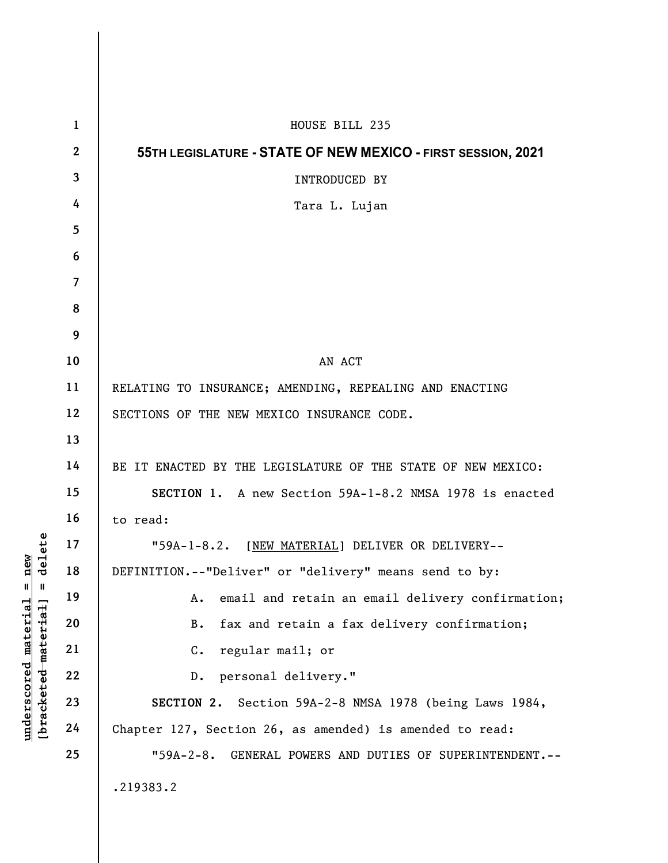|                                                                                                  | $\mathbf{1}$   | HOUSE BILL 235                                                 |
|--------------------------------------------------------------------------------------------------|----------------|----------------------------------------------------------------|
|                                                                                                  | $\mathbf{2}$   | 55TH LEGISLATURE - STATE OF NEW MEXICO - FIRST SESSION, 2021   |
|                                                                                                  | $\mathbf{3}$   | INTRODUCED BY                                                  |
|                                                                                                  | 4              | Tara L. Lujan                                                  |
|                                                                                                  | $\overline{5}$ |                                                                |
|                                                                                                  | 6              |                                                                |
|                                                                                                  | $\overline{7}$ |                                                                |
|                                                                                                  | 8              |                                                                |
|                                                                                                  | 9              |                                                                |
|                                                                                                  | 10             | AN ACT                                                         |
|                                                                                                  | 11             | RELATING TO INSURANCE; AMENDING, REPEALING AND ENACTING        |
|                                                                                                  | 12             | SECTIONS OF THE NEW MEXICO INSURANCE CODE.                     |
|                                                                                                  | 13             |                                                                |
|                                                                                                  | 14             | BE IT ENACTED BY THE LEGISLATURE OF THE STATE OF NEW MEXICO:   |
|                                                                                                  | 15             | SECTION 1. A new Section 59A-1-8.2 NMSA 1978 is enacted        |
|                                                                                                  | 16             | to read:                                                       |
|                                                                                                  | 17             | "59A-1-8.2. [NEW MATERIAL] DELIVER OR DELIVERY--               |
| new<br>delete<br>$^{\mathsf{II}}$<br>Ш<br><u>material</u><br>[bracketed-material]<br>underscored | 18             | DEFINITION.--"Deliver" or "delivery" means send to by:         |
|                                                                                                  | 19             | email and retain an email delivery confirmation;<br>Α.         |
|                                                                                                  | 20             | fax and retain a fax delivery confirmation;<br>B.              |
|                                                                                                  | 21             | regular mail; or<br>$\mathsf{C}$ .                             |
|                                                                                                  | 22             | personal delivery."<br>$D$ .                                   |
|                                                                                                  | 23             | SECTION 2. Section 59A-2-8 NMSA 1978 (being Laws 1984,         |
|                                                                                                  | 24             | Chapter 127, Section 26, as amended) is amended to read:       |
|                                                                                                  | 25             | GENERAL POWERS AND DUTIES OF SUPERINTENDENT. --<br>$"59A-2-8.$ |
|                                                                                                  |                | .219383.2                                                      |
|                                                                                                  |                |                                                                |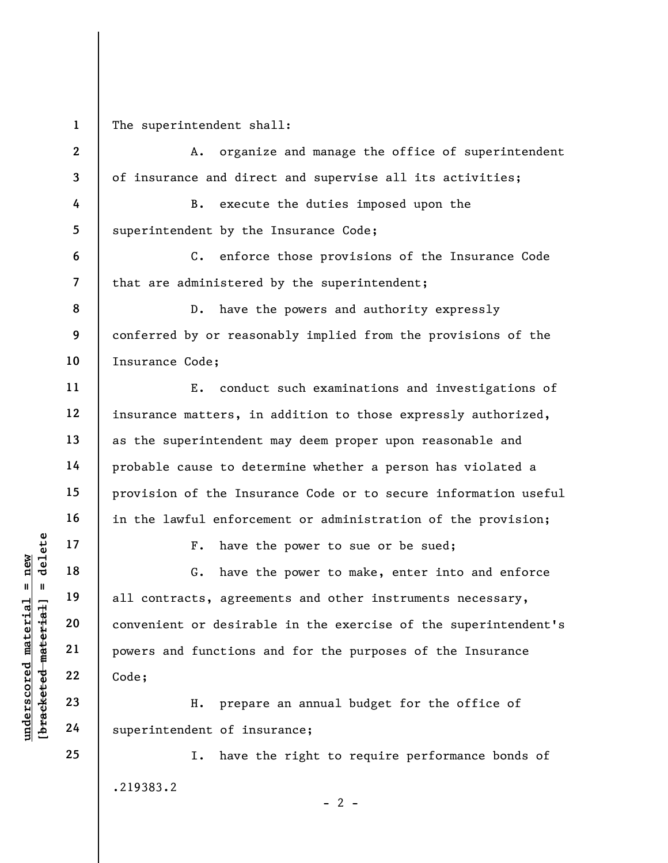1 The superintendent shall:

underscored material material end of the set of the convenient or desirable material powers and functions<br>gradient 22<br>underscore convenient or desirable 22<br>understand material powers and functions<br>code;<br>H. preparalled and 2 3 4 5 6 7 8 9 10 11 12 13 14 15 16 17 18 19 20 21 22 A. organize and manage the office of superintendent of insurance and direct and supervise all its activities; B. execute the duties imposed upon the superintendent by the Insurance Code; C. enforce those provisions of the Insurance Code that are administered by the superintendent; D. have the powers and authority expressly conferred by or reasonably implied from the provisions of the Insurance Code; E. conduct such examinations and investigations of insurance matters, in addition to those expressly authorized, as the superintendent may deem proper upon reasonable and probable cause to determine whether a person has violated a provision of the Insurance Code or to secure information useful in the lawful enforcement or administration of the provision; F. have the power to sue or be sued; G. have the power to make, enter into and enforce all contracts, agreements and other instruments necessary, convenient or desirable in the exercise of the superintendent's powers and functions and for the purposes of the Insurance Code;

H. prepare an annual budget for the office of superintendent of insurance;

I. have the right to require performance bonds of .219383.2  $- 2 -$ 

24 25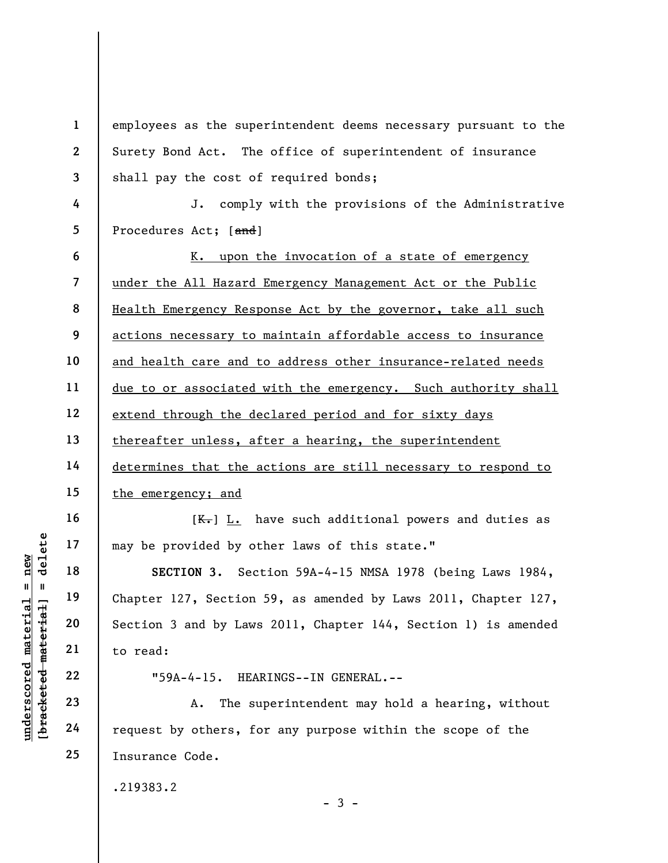underscored material = new [bracketed material] = delete 1 2 3 4 5 6 7 8 9 10 11 12 13 14 15 16 17 18 19 20 21 22 23 24 25 employees as the superintendent deems necessary pursuant to the Surety Bond Act. The office of superintendent of insurance shall pay the cost of required bonds; J. comply with the provisions of the Administrative Procedures Act; [and] K. upon the invocation of a state of emergency under the All Hazard Emergency Management Act or the Public Health Emergency Response Act by the governor, take all such actions necessary to maintain affordable access to insurance and health care and to address other insurance-related needs due to or associated with the emergency. Such authority shall extend through the declared period and for sixty days thereafter unless, after a hearing, the superintendent determines that the actions are still necessary to respond to the emergency; and  $[K_{\tau}]$  L. have such additional powers and duties as may be provided by other laws of this state." SECTION 3. Section 59A-4-15 NMSA 1978 (being Laws 1984, Chapter 127, Section 59, as amended by Laws 2011, Chapter 127, Section 3 and by Laws 2011, Chapter 144, Section 1) is amended to read: "59A-4-15. HEARINGS--IN GENERAL.-- A. The superintendent may hold a hearing, without request by others, for any purpose within the scope of the Insurance Code. .219383.2

 $-3 -$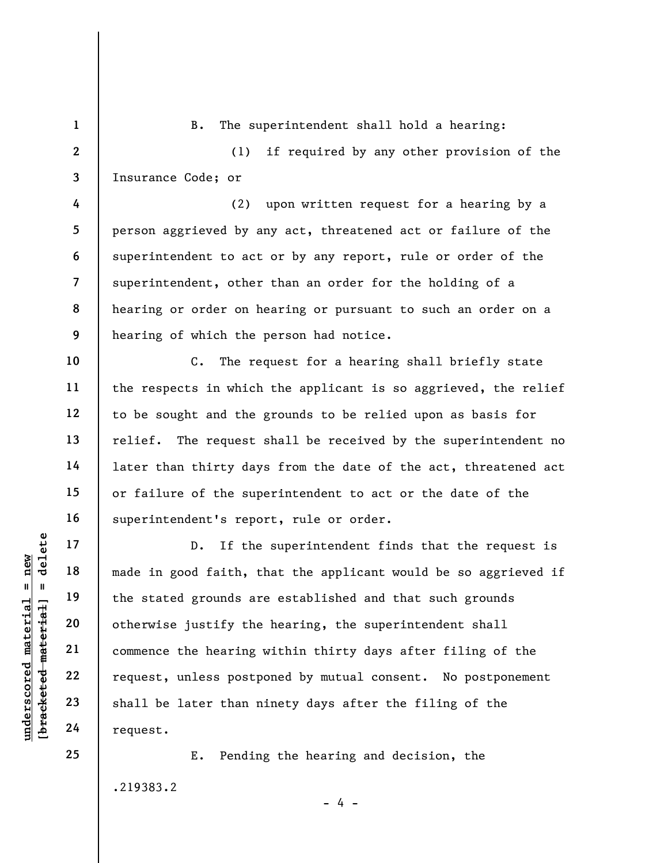underscored material = new [bracketed material] = delete 2 3 4 5 6 7 8 9 10 11 12 13 14 15 16 17 18 19 20 21 22 23 (1) if required by any other provision of the Insurance Code; or (2) upon written request for a hearing by a person aggrieved by any act, threatened act or failure of the superintendent to act or by any report, rule or order of the superintendent, other than an order for the holding of a hearing or order on hearing or pursuant to such an order on a hearing of which the person had notice. C. The request for a hearing shall briefly state the respects in which the applicant is so aggrieved, the relief to be sought and the grounds to be relied upon as basis for relief. The request shall be received by the superintendent no later than thirty days from the date of the act, threatened act or failure of the superintendent to act or the date of the superintendent's report, rule or order. D. If the superintendent finds that the request is made in good faith, that the applicant would be so aggrieved if the stated grounds are established and that such grounds otherwise justify the hearing, the superintendent shall commence the hearing within thirty days after filing of the request, unless postponed by mutual consent. No postponement shall be later than ninety days after the filing of the

B. The superintendent shall hold a hearing:

E. Pending the hearing and decision, the .219383.2

 $- 4 -$ 

24 25

request.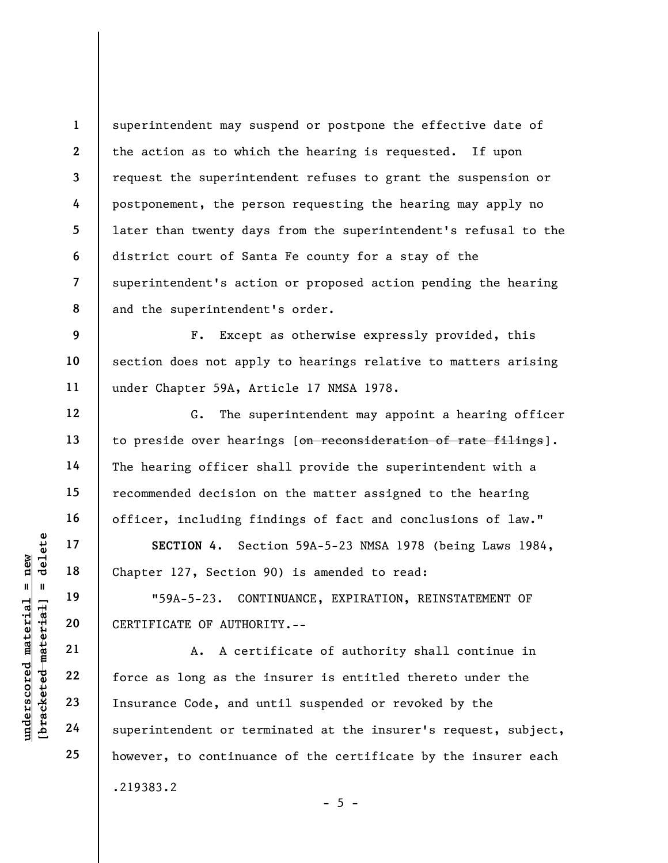1 2 3 4 5 6 7 8 superintendent may suspend or postpone the effective date of the action as to which the hearing is requested. If upon request the superintendent refuses to grant the suspension or postponement, the person requesting the hearing may apply no later than twenty days from the superintendent's refusal to the district court of Santa Fe county for a stay of the superintendent's action or proposed action pending the hearing and the superintendent's order.

9 10 11 F. Except as otherwise expressly provided, this section does not apply to hearings relative to matters arising under Chapter 59A, Article 17 NMSA 1978.

G. The superintendent may appoint a hearing officer to preside over hearings [on reconsideration of rate filings]. The hearing officer shall provide the superintendent with a recommended decision on the matter assigned to the hearing officer, including findings of fact and conclusions of law."

SECTION 4. Section 59A-5-23 NMSA 1978 (being Laws 1984, Chapter 127, Section 90) is amended to read:

"59A-5-23. CONTINUANCE, EXPIRATION, REINSTATEMENT OF CERTIFICATE OF AUTHORITY.--

UN SECTION 4. Section<br>
17 18 Chapter 127, Section<br>
19 19 19 19 19 19 1984-5-23. CONT<br>
19 1984-5-23. CONTENTIFICATE OF AUTHOR<br>
21 22 10 1984-94 1984-4<br>
23 10 1984-4<br>
24 10 1984-1984 1984-1985<br>
24 10 1994-1995<br>
24 10 1995<br>
2 A. A certificate of authority shall continue in force as long as the insurer is entitled thereto under the Insurance Code, and until suspended or revoked by the superintendent or terminated at the insurer's request, subject, however, to continuance of the certificate by the insurer each .219383.2

 $- 5 -$ 

12

13

14

15

16

17

18

19

20

21

22

23

24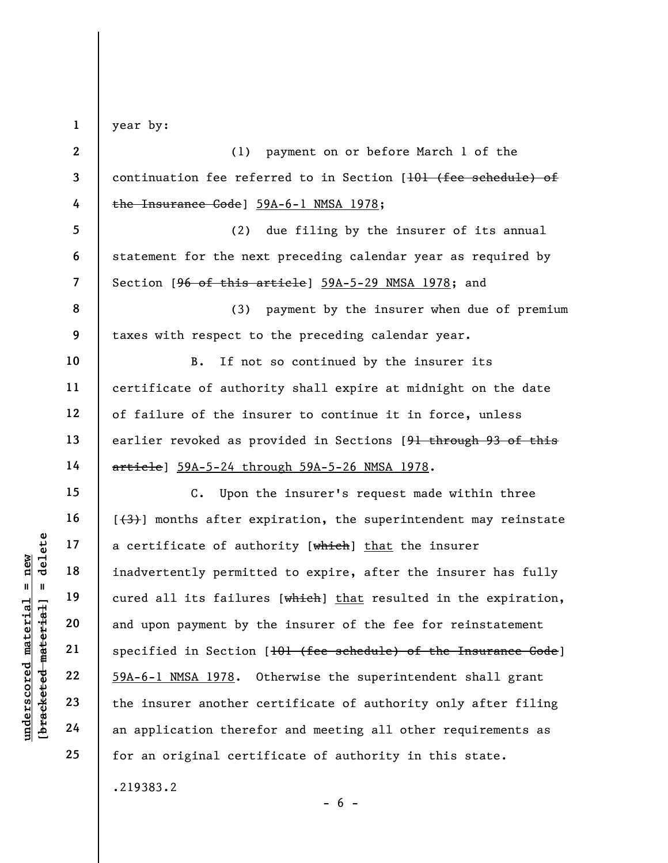underscored material = new [bracketed material] = delete 1 2 3 4 5 6 7 8 9 10 11 12 13 14 15 16 17 18 19 20 21 22 23 24 25 year by: (1) payment on or before March 1 of the continuation fee referred to in Section [101 (fee schedule) of the Insurance Code] 59A-6-1 NMSA 1978; (2) due filing by the insurer of its annual statement for the next preceding calendar year as required by Section [96 of this article] 59A-5-29 NMSA 1978; and (3) payment by the insurer when due of premium taxes with respect to the preceding calendar year. B. If not so continued by the insurer its certificate of authority shall expire at midnight on the date of failure of the insurer to continue it in force, unless earlier revoked as provided in Sections [91 through 93 of this article] 59A-5-24 through 59A-5-26 NMSA 1978. C. Upon the insurer's request made within three  $[\frac{4}{3}]$  months after expiration, the superintendent may reinstate a certificate of authority [which] that the insurer inadvertently permitted to expire, after the insurer has fully cured all its failures [which] that resulted in the expiration, and upon payment by the insurer of the fee for reinstatement specified in Section [101 (fee schedule) of the Insurance Code] 59A-6-1 NMSA 1978. Otherwise the superintendent shall grant the insurer another certificate of authority only after filing an application therefor and meeting all other requirements as for an original certificate of authority in this state. .219383.2

 $- 6 -$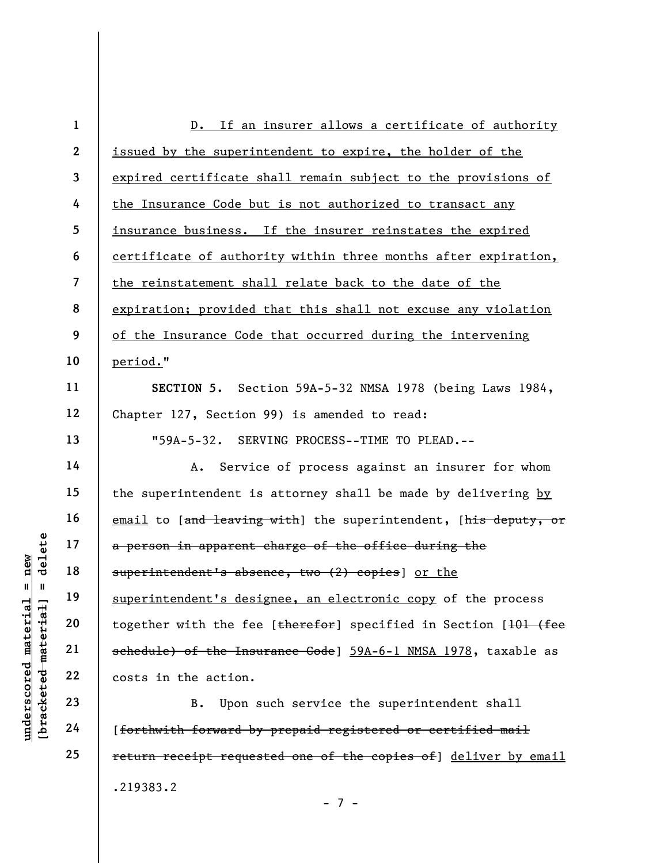|                                       | $\mathbf{1}$             | D. If an insurer allows a certificate of authority                          |
|---------------------------------------|--------------------------|-----------------------------------------------------------------------------|
|                                       | $\mathbf{2}$             | issued by the superintendent to expire, the holder of the                   |
|                                       | 3                        | expired certificate shall remain subject to the provisions of               |
|                                       | 4                        | the Insurance Code but is not authorized to transact any                    |
|                                       | 5                        | insurance business. If the insurer reinstates the expired                   |
|                                       | 6                        | certificate of authority within three months after expiration,              |
|                                       | $\overline{\mathcal{L}}$ | the reinstatement shall relate back to the date of the                      |
|                                       | 8                        | expiration; provided that this shall not excuse any violation               |
|                                       | 9                        | of the Insurance Code that occurred during the intervening                  |
|                                       | 10                       | period."                                                                    |
|                                       | 11                       | SECTION 5. Section 59A-5-32 NMSA 1978 (being Laws 1984,                     |
|                                       | 12                       | Chapter 127, Section 99) is amended to read:                                |
|                                       | 13                       | "59A-5-32. SERVING PROCESS--TIME TO PLEAD.--                                |
|                                       | 14                       | Service of process against an insurer for whom<br>Α.                        |
|                                       | 15                       | the superintendent is attorney shall be made by delivering by               |
|                                       | 16                       | email to [and leaving with] the superintendent, [his deputy, or             |
| delete                                | 17                       | a person in apparent charge of the office during the                        |
| new                                   | 18                       | superintendent's absence, two (2) copies] or the                            |
| Ш<br>- 11<br>LG.                      | 19                       | superintendent's designee, an electronic copy of the process                |
| material<br>materi                    | 20                       | together with the fee [therefor] specified in Section [ <del>101 (fee</del> |
|                                       | 21                       | schedule) of the Insurance Code] 59A-6-1 NMSA 1978, taxable as              |
|                                       | 22                       | costs in the action.                                                        |
| $\bm{{\rm underscore}}$<br>[bracketed | 23                       | Upon such service the superintendent shall<br>B.                            |
|                                       | 24                       | [forthwith forward by prepaid registered or certified mail                  |
|                                       | 25                       | return receipt requested one of the copies of] deliver by email             |
|                                       |                          | .219383.2                                                                   |

- 7 -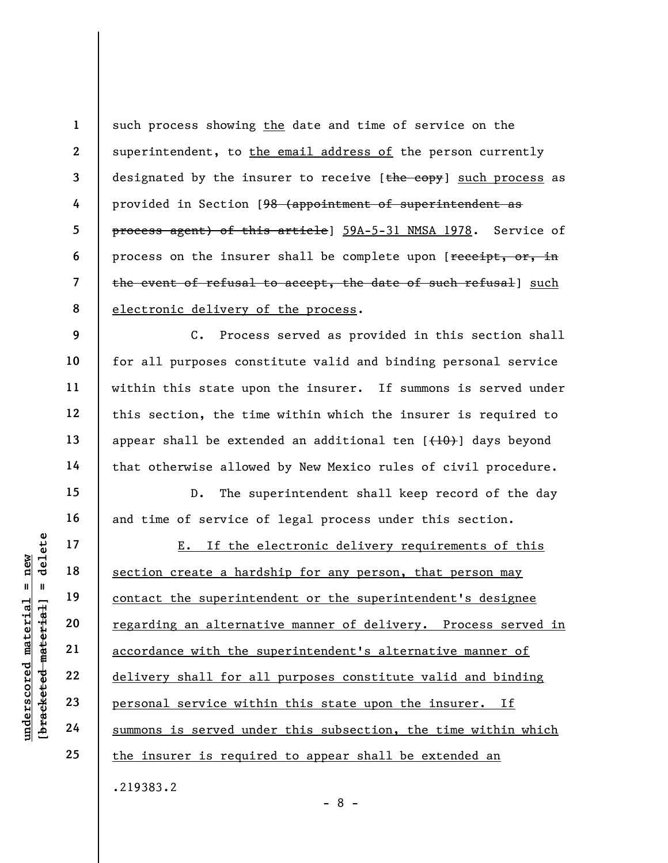1 2 3 4 5 6 7 8 such process showing the date and time of service on the superintendent, to the email address of the person currently designated by the insurer to receive [the copy] such process as provided in Section [98 (appointment of superintendent as process agent) of this article] 59A-5-31 NMSA 1978. Service of process on the insurer shall be complete upon [receipt, or, in the event of refusal to accept, the date of such refusal) such electronic delivery of the process.

C. Process served as provided in this section shall for all purposes constitute valid and binding personal service within this state upon the insurer. If summons is served under this section, the time within which the insurer is required to appear shall be extended an additional ten  $\{+10\}$  days beyond that otherwise allowed by New Mexico rules of civil procedure.

D. The superintendent shall keep record of the day and time of service of legal process under this section.

UNDER 17<br>
UNDER 18<br>
UNDER 19<br>
UNDER 19<br>
UNDER 19<br>
UNDER 19<br>
UNDER 19<br>
20<br>
22<br>
23<br>
UNDER 19<br>
22<br>
<u>DUER 19</u><br>
22<br>
<u>DUER 19</u><br>
22<br>
<u>DUER 19</u><br>
23<br>
<u>DUER 19<br>
24<br>
Summons is served und</u><br>
24<br>
<u>Summons is served und</u> E. If the electronic delivery requirements of this section create a hardship for any person, that person may contact the superintendent or the superintendent's designee regarding an alternative manner of delivery. Process served in accordance with the superintendent's alternative manner of delivery shall for all purposes constitute valid and binding personal service within this state upon the insurer. If summons is served under this subsection, the time within which the insurer is required to appear shall be extended an

- 8 -

.219383.2

9

10

11

12

13

14

15

16

17

18

19

20

21

22

23

24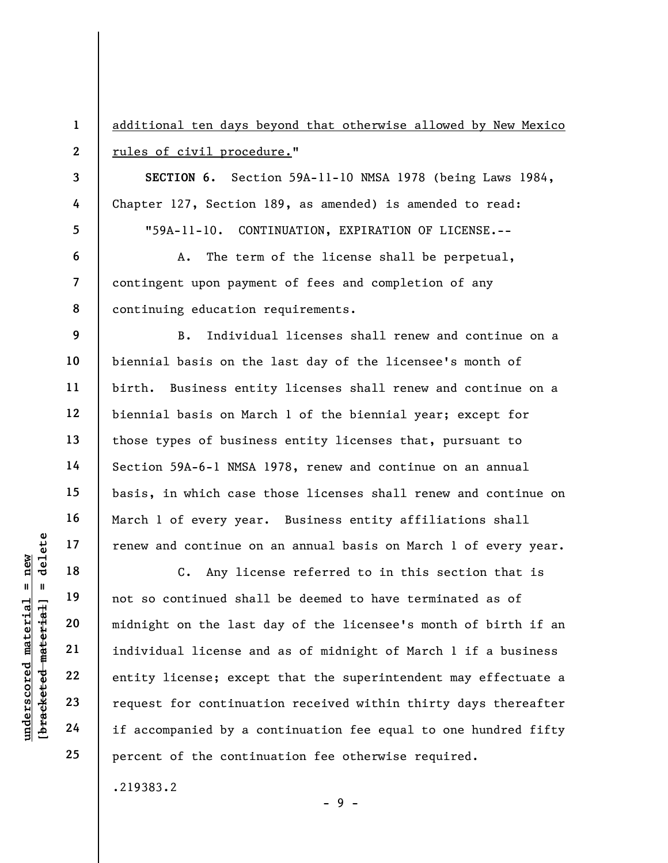|                                                | $\mathbf{1}$   | additional ten days beyond that otherwise allowed by New Mexico  |
|------------------------------------------------|----------------|------------------------------------------------------------------|
|                                                | $\mathbf{2}$   | rules of civil procedure."                                       |
|                                                | 3              | SECTION 6. Section 59A-11-10 NMSA 1978 (being Laws 1984,         |
|                                                | 4              | Chapter 127, Section 189, as amended) is amended to read:        |
|                                                | 5              | "59A-11-10. CONTINUATION, EXPIRATION OF LICENSE.--               |
|                                                | 6              | The term of the license shall be perpetual,<br>A.                |
|                                                | $\overline{7}$ | contingent upon payment of fees and completion of any            |
|                                                | 8              | continuing education requirements.                               |
|                                                | 9              | Individual licenses shall renew and continue on a<br><b>B</b> .  |
|                                                | 10             | biennial basis on the last day of the licensee's month of        |
|                                                | 11             | birth. Business entity licenses shall renew and continue on a    |
|                                                | 12             | biennial basis on March 1 of the biennial year; except for       |
|                                                | 13             | those types of business entity licenses that, pursuant to        |
|                                                | 14             | Section 59A-6-1 NMSA 1978, renew and continue on an annual       |
|                                                | 15             | basis, in which case those licenses shall renew and continue on  |
|                                                | 16             | March 1 of every year. Business entity affiliations shall        |
| delete                                         | 17             | renew and continue on an annual basis on March 1 of every year.  |
| new<br>$\mathsf{II}$<br>- 11                   | 18             | Any license referred to in this section that is<br>$c_{\bullet}$ |
| đ                                              | 19             | not so continued shall be deemed to have terminated as of        |
| materi                                         | 20             | midnight on the last day of the licensee's month of birth if an  |
|                                                | 21             | individual license and as of midnight of March 1 if a business   |
| [bracketed material<br>$\bm{{\rm underscore}}$ | 22             | entity license; except that the superintendent may effectuate a  |
|                                                | 23             | request for continuation received within thirty days thereafter  |
|                                                | 24             | if accompanied by a continuation fee equal to one hundred fifty  |
|                                                | 25             | percent of the continuation fee otherwise required.              |

.219383.2

 $- 9 -$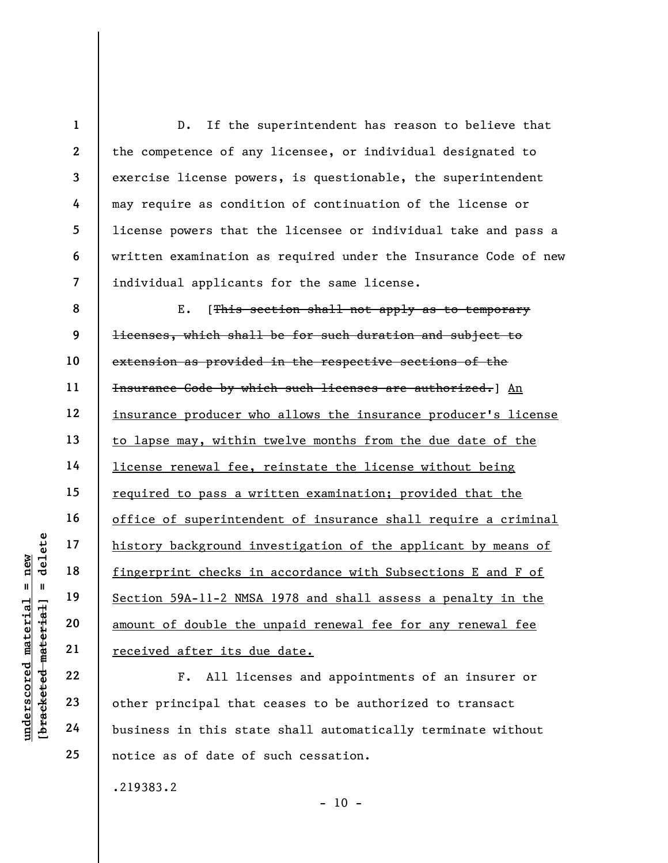under 17<br>
= 18<br>
= 18<br>
= 19<br>
= 19<br>
= 19<br>
= 19<br>
= 19<br>
= 19<br>
= 19<br>
= 19<br>
= 19<br>
= 19<br>
= 19<br>
= 19<br>
= 19<br>
= 19<br>
= 19<br>
= 19<br>
= 19<br>
= 11<br>
= 10<br>
= 11<br>
= 10<br>
= 11<br>
= 10<br>
= 11<br>
= 10<br>
= 11<br>
= 11<br>
= 11<br>
= 11<br>
= 11<br>
= 11<br>
= 11<br>
= 11<br>
= 1 2 3 4 5 6 7 8 9 10 11 12 13 14 15 16 17 18 19 20 21 D. If the superintendent has reason to believe that the competence of any licensee, or individual designated to exercise license powers, is questionable, the superintendent may require as condition of continuation of the license or license powers that the licensee or individual take and pass a written examination as required under the Insurance Code of new individual applicants for the same license. E. [This section shall not apply as to temporary licenses, which shall be for such duration and subject to extension as provided in the respective sections of the Insurance Code by which such licenses are authorized.] An insurance producer who allows the insurance producer's license to lapse may, within twelve months from the due date of the license renewal fee, reinstate the license without being required to pass a written examination; provided that the office of superintendent of insurance shall require a criminal history background investigation of the applicant by means of fingerprint checks in accordance with Subsections E and F of Section 59A-11-2 NMSA 1978 and shall assess a penalty in the amount of double the unpaid renewal fee for any renewal fee received after its due date.

F. All licenses and appointments of an insurer or other principal that ceases to be authorized to transact business in this state shall automatically terminate without notice as of date of such cessation.

.219383.2

22

23

24

25

 $- 10 -$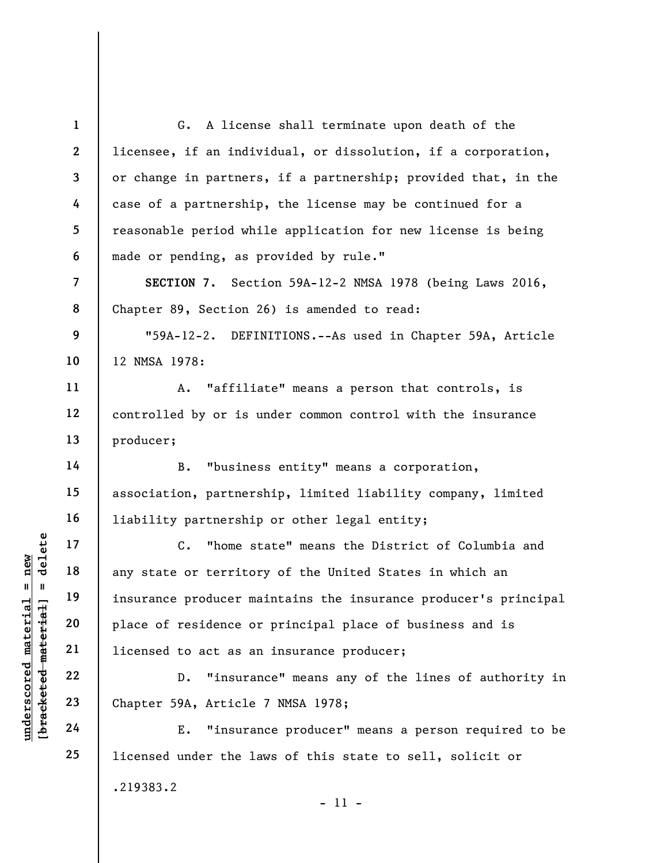underscored material = new [bracketed material] = delete 1 2 3 4 5 6 7 8 9 10 11 12 13 14 15 16 17 18 19 20 21 22 23 24 25 G. A license shall terminate upon death of the licensee, if an individual, or dissolution, if a corporation, or change in partners, if a partnership; provided that, in the case of a partnership, the license may be continued for a reasonable period while application for new license is being made or pending, as provided by rule." SECTION 7. Section 59A-12-2 NMSA 1978 (being Laws 2016, Chapter 89, Section 26) is amended to read: "59A-12-2. DEFINITIONS.--As used in Chapter 59A, Article 12 NMSA 1978: A. "affiliate" means a person that controls, is controlled by or is under common control with the insurance producer; B. "business entity" means a corporation, association, partnership, limited liability company, limited liability partnership or other legal entity; C. "home state" means the District of Columbia and any state or territory of the United States in which an insurance producer maintains the insurance producer's principal place of residence or principal place of business and is licensed to act as an insurance producer; D. "insurance" means any of the lines of authority in Chapter 59A, Article 7 NMSA 1978; E. "insurance producer" means a person required to be licensed under the laws of this state to sell, solicit or .219383.2 - 11 -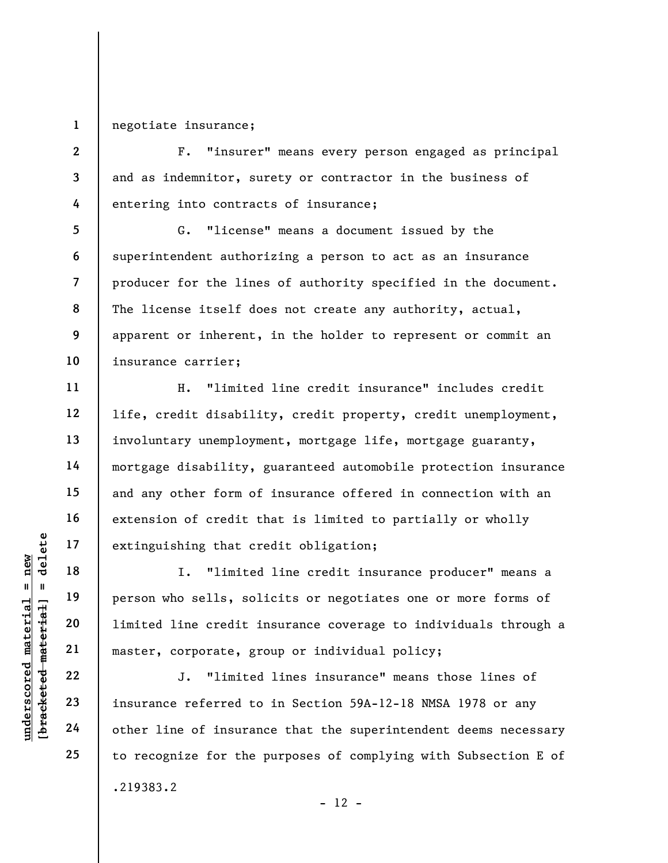1 negotiate insurance;

2

3

4

5

6

7

8

9

10

11

12

13

14

15

16

17

18

19

20

21

22

23

24

25

F. "insurer" means every person engaged as principal and as indemnitor, surety or contractor in the business of entering into contracts of insurance;

G. "license" means a document issued by the superintendent authorizing a person to act as an insurance producer for the lines of authority specified in the document. The license itself does not create any authority, actual, apparent or inherent, in the holder to represent or commit an insurance carrier;

H. "limited line credit insurance" includes credit life, credit disability, credit property, credit unemployment, involuntary unemployment, mortgage life, mortgage guaranty, mortgage disability, guaranteed automobile protection insurance and any other form of insurance offered in connection with an extension of credit that is limited to partially or wholly extinguishing that credit obligation;

under 17<br>
= 18<br>
= 18<br>
= 19<br>
= 19<br>
= 19<br>
= 19<br>
= 19<br>
= 19<br>
= 19<br>
= 19<br>
= 11<br>
= 11<br>
= 11<br>
= 11<br>
= 11<br>
= 11<br>
= 11<br>
= 11<br>
= 11<br>
= 11<br>
= 11<br>
= 11<br>
= 11<br>
= 11<br>
= 11<br>
= 11<br>
= 11<br>
= 11<br>
= 11<br>
= 11<br>
= 11<br>
= 11<br>
= 11<br>
= 11<br>
= 11<br>
= I. "limited line credit insurance producer" means a person who sells, solicits or negotiates one or more forms of limited line credit insurance coverage to individuals through a master, corporate, group or individual policy;

J. "limited lines insurance" means those lines of insurance referred to in Section 59A-12-18 NMSA 1978 or any other line of insurance that the superintendent deems necessary to recognize for the purposes of complying with Subsection E of .219383.2

```
- 12 -
```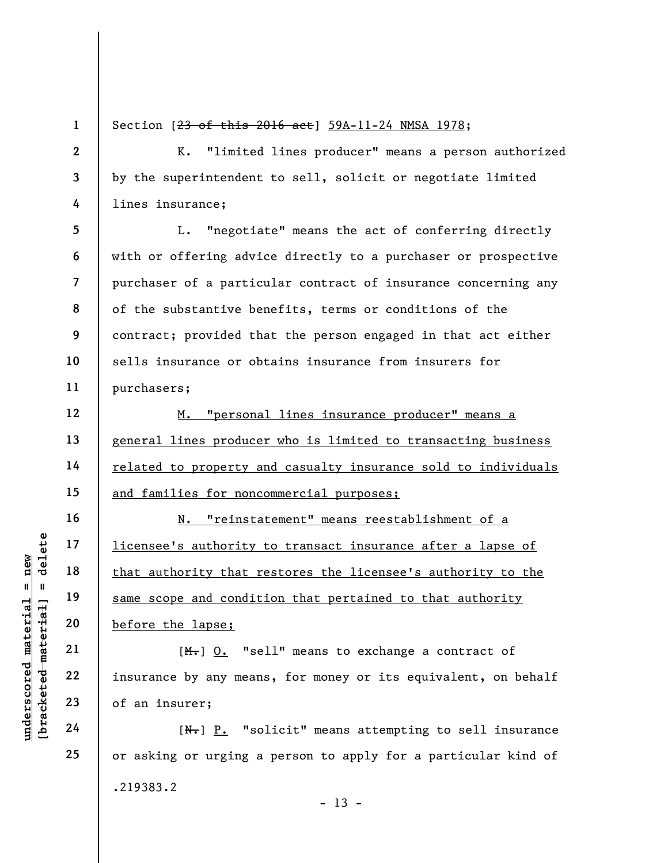1 2

3

4

5

6

7

8

9

10

11

12

13

14

15

16

17

18

19

20

21

22

23

24

25

Section [23 of this 2016 act] 59A-11-24 NMSA 1978;

K. "limited lines producer" means a person authorized by the superintendent to sell, solicit or negotiate limited lines insurance;

L. "negotiate" means the act of conferring directly with or offering advice directly to a purchaser or prospective purchaser of a particular contract of insurance concerning any of the substantive benefits, terms or conditions of the contract; provided that the person engaged in that act either sells insurance or obtains insurance from insurers for purchasers;

M. "personal lines insurance producer" means a general lines producer who is limited to transacting business related to property and casualty insurance sold to individuals and families for noncommercial purposes;

understand of an insurer;<br>
we have that antionity that reading that and the same scope and condit<br>
we were the lapse;<br>
and the same scope and condit<br>
before the lapse;<br>
(M-) <u>O.</u> "se<br>
insurance by any mean<br>
of an insurer;<br> N. "reinstatement" means reestablishment of a licensee's authority to transact insurance after a lapse of that authority that restores the licensee's authority to the same scope and condition that pertained to that authority before the lapse;

 $[M_{\tau}]$  0. "sell" means to exchange a contract of insurance by any means, for money or its equivalent, on behalf of an insurer;

 $[N<sub>1</sub>]$   $P<sub>2</sub>$  "solicit" means attempting to sell insurance or asking or urging a person to apply for a particular kind of .219383.2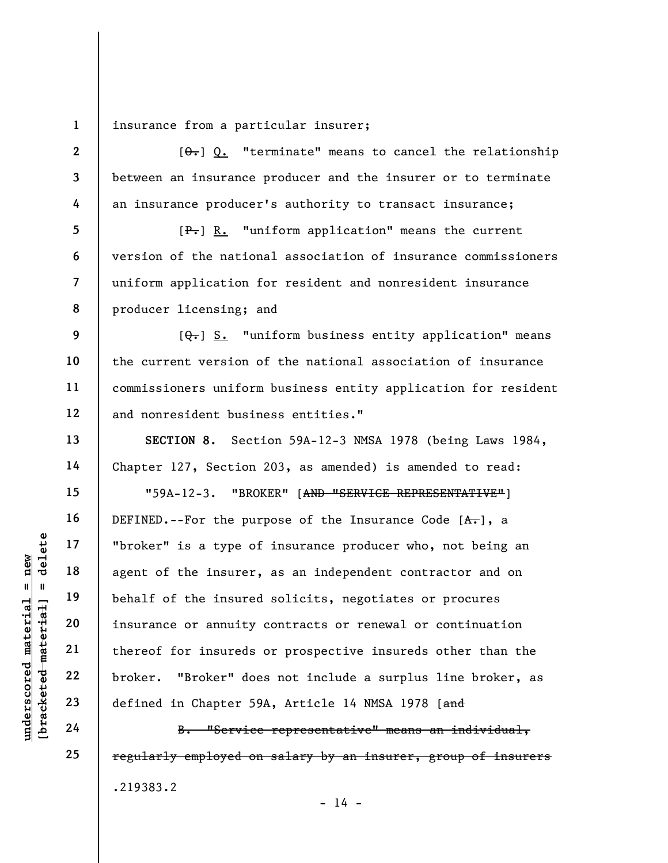1 insurance from a particular insurer;

 $[0, 0]$  "terminate" means to cancel the relationship between an insurance producer and the insurer or to terminate an insurance producer's authority to transact insurance;

[P.] R. "uniform application" means the current version of the national association of insurance commissioners uniform application for resident and nonresident insurance producer licensing; and

 $[Q_{\overline{\bullet}}]$  S. "uniform business entity application" means the current version of the national association of insurance commissioners uniform business entity application for resident and nonresident business entities."

SECTION 8. Section 59A-12-3 NMSA 1978 (being Laws 1984, Chapter 127, Section 203, as amended) is amended to read:

"59A-12-3. "BROKER" [AND "SERVICE REPRESENTATIVE"]

understand material material end of the insurer,<br>  $\begin{array}{c|c|c|c} \mathbf{u} & \mathbf{u} & \mathbf{u} & \mathbf{u} & \mathbf{u} & \mathbf{u} & \mathbf{u} & \mathbf{u} & \mathbf{u} & \mathbf{u} & \mathbf{u} & \mathbf{u} & \mathbf{u} & \mathbf{u} & \mathbf{u} & \mathbf{u} & \mathbf{u} & \mathbf{u} & \mathbf{u} & \mathbf{u} & \mathbf{u} & \mathbf{u} & \mathbf{$ DEFINED.--For the purpose of the Insurance Code  $[A, \cdot]$ , a "broker" is a type of insurance producer who, not being an agent of the insurer, as an independent contractor and on behalf of the insured solicits, negotiates or procures insurance or annuity contracts or renewal or continuation thereof for insureds or prospective insureds other than the broker. "Broker" does not include a surplus line broker, as defined in Chapter 59A, Article 14 NMSA 1978 [and

B. "Service representative" means an individual, regularly employed on salary by an insurer, group of insurers .219383.2

2

3

4

5

6

7

8

9

10

11

12

13

14

15

16

17

18

19

20

21

22

23

24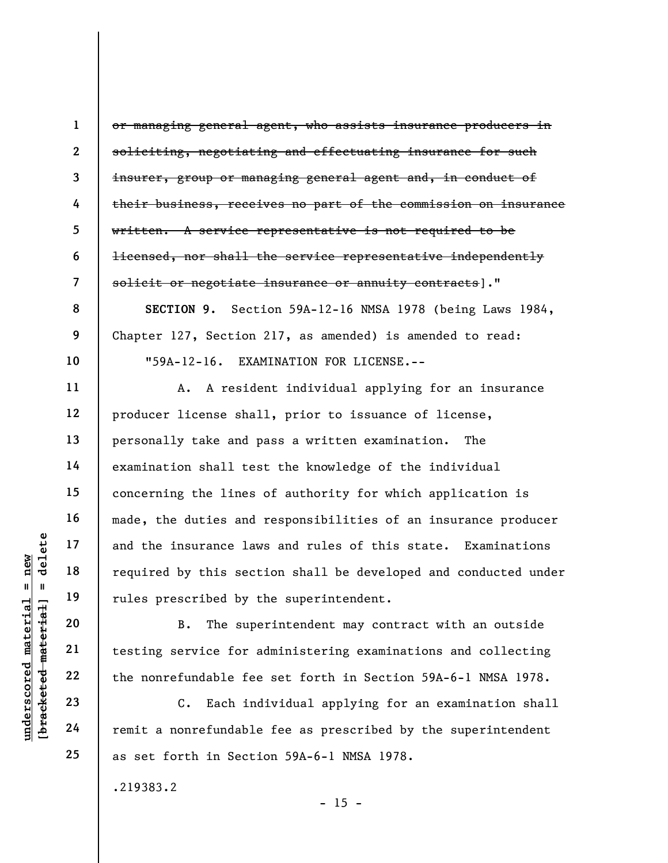or managing general agent, who assists insurance producers in soliciting, negotiating and effectuating insurance for such insurer, group or managing general agent and, in conduct of their business, receives no part of the commission on insurance written. A service representative is not required to be licensed, nor shall the service representative independently solicit or negotiate insurance or annuity contracts]."

SECTION 9. Section 59A-12-16 NMSA 1978 (being Laws 1984, Chapter 127, Section 217, as amended) is amended to read: "59A-12-16. EXAMINATION FOR LICENSE.--

understand material and the insurance law<br>
required by this sect<br>
required by this sect<br>
rules prescribed by t<br>
rules prescribed by t<br>
rules prescribed by t<br>
rules prescribed by t<br>
B. The supe<br>
testing service for a<br>
the n A. A resident individual applying for an insurance producer license shall, prior to issuance of license, personally take and pass a written examination. The examination shall test the knowledge of the individual concerning the lines of authority for which application is made, the duties and responsibilities of an insurance producer and the insurance laws and rules of this state. Examinations required by this section shall be developed and conducted under rules prescribed by the superintendent.

B. The superintendent may contract with an outside testing service for administering examinations and collecting the nonrefundable fee set forth in Section 59A-6-1 NMSA 1978.

C. Each individual applying for an examination shall remit a nonrefundable fee as prescribed by the superintendent as set forth in Section 59A-6-1 NMSA 1978.

.219383.2

1

2

3

4

5

6

7

8

9

10

11

12

13

14

15

16

17

18

19

20

21

22

23

24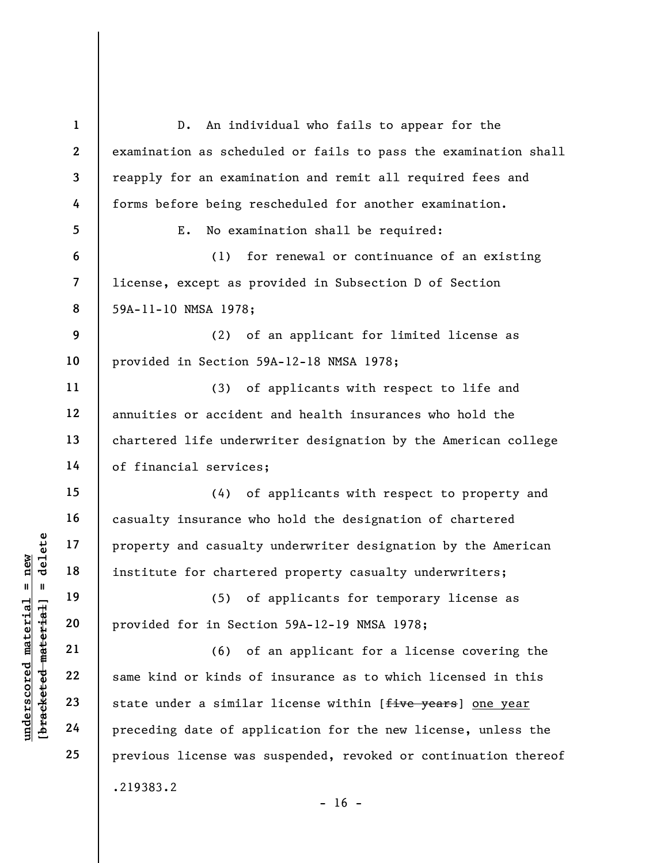underscored material material end of the set of a property and casualty<br>
institute for charter<br>  $\begin{array}{c|c|c|c} \hline \text{u} & \text{u} & \text{u} & \text{u} \\ \hline \text{u} & \text{u} & \text{u} & \text{u} \\ \hline \text{u} & \text{u} & \text{u} & \text{u} \\ \hline \text{u} & \text{u} & \text{u} & \text{u} \\ \hline \$ 1 2 3 4 5 6 7 8 9 10 11 12 13 14 15 16 17 18 19 20 21 22 23 24 25 D. An individual who fails to appear for the examination as scheduled or fails to pass the examination shall reapply for an examination and remit all required fees and forms before being rescheduled for another examination. E. No examination shall be required: (1) for renewal or continuance of an existing license, except as provided in Subsection D of Section 59A-11-10 NMSA 1978; (2) of an applicant for limited license as provided in Section 59A-12-18 NMSA 1978; (3) of applicants with respect to life and annuities or accident and health insurances who hold the chartered life underwriter designation by the American college of financial services; (4) of applicants with respect to property and casualty insurance who hold the designation of chartered property and casualty underwriter designation by the American institute for chartered property casualty underwriters; (5) of applicants for temporary license as provided for in Section 59A-12-19 NMSA 1978; (6) of an applicant for a license covering the same kind or kinds of insurance as to which licensed in this state under a similar license within [five years] one year preceding date of application for the new license, unless the previous license was suspended, revoked or continuation thereof .219383.2

 $- 16 -$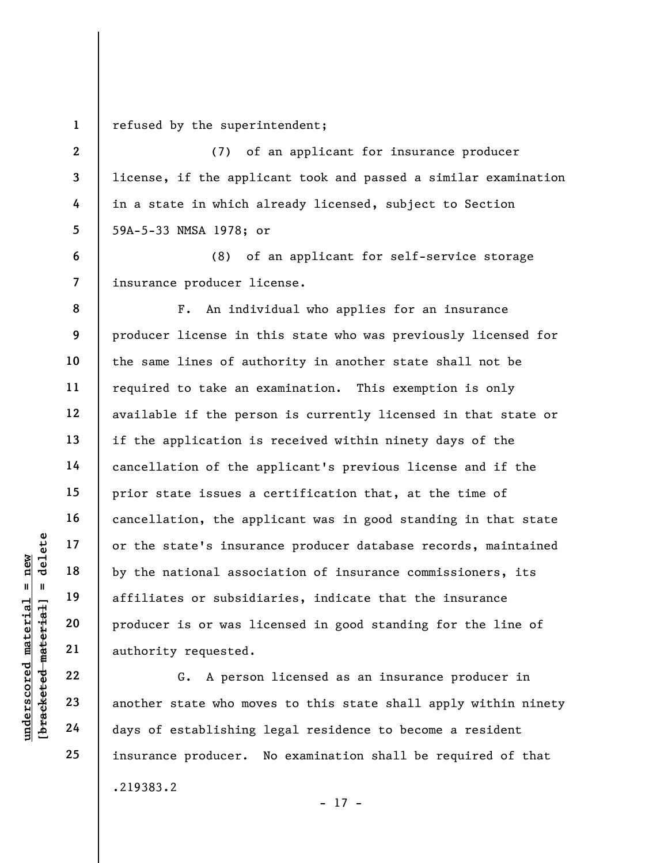1 refused by the superintendent;

2

3

4

5

6

7

8

9

10

11

12

13

14

15

16

17

18

19

20

21

22

23

24

25

(7) of an applicant for insurance producer license, if the applicant took and passed a similar examination in a state in which already licensed, subject to Section 59A-5-33 NMSA 1978; or

(8) of an applicant for self-service storage insurance producer license.

underscored material = new [bracketed material] = delete F. An individual who applies for an insurance producer license in this state who was previously licensed for the same lines of authority in another state shall not be required to take an examination. This exemption is only available if the person is currently licensed in that state or if the application is received within ninety days of the cancellation of the applicant's previous license and if the prior state issues a certification that, at the time of cancellation, the applicant was in good standing in that state or the state's insurance producer database records, maintained by the national association of insurance commissioners, its affiliates or subsidiaries, indicate that the insurance producer is or was licensed in good standing for the line of authority requested.

G. A person licensed as an insurance producer in another state who moves to this state shall apply within ninety days of establishing legal residence to become a resident insurance producer. No examination shall be required of that .219383.2

```
- 17 -
```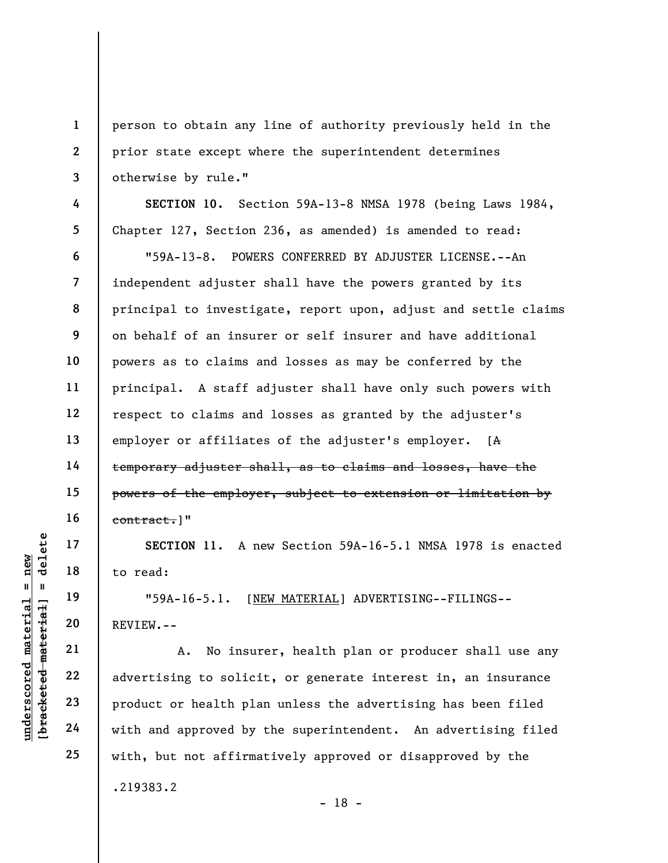person to obtain any line of authority previously held in the prior state except where the superintendent determines otherwise by rule."

SECTION 10. Section 59A-13-8 NMSA 1978 (being Laws 1984, Chapter 127, Section 236, as amended) is amended to read:

"59A-13-8. POWERS CONFERRED BY ADJUSTER LICENSE.--An independent adjuster shall have the powers granted by its principal to investigate, report upon, adjust and settle claims on behalf of an insurer or self insurer and have additional powers as to claims and losses as may be conferred by the principal. A staff adjuster shall have only such powers with respect to claims and losses as granted by the adjuster's employer or affiliates of the adjuster's employer. [A temporary adjuster shall, as to claims and losses, have the powers of the employer, subject to extension or limitation by contract.]"

SECTION 11. A new Section 59A-16-5.1 NMSA 1978 is enacted to read:

"59A-16-5.1. [NEW MATERIAL] ADVERTISING--FILINGS-- REVIEW.--

UN SECTION 11. A metal material material is to read:<br>  $\begin{array}{c|ccc}\n\text{Equation 19} & \text{Equation 19} & \text{Equation 19} \\
\text{Equation 20} & \text{REVIEW} & - & \text{Equation 21} \\
\text{Equation 22} & \text{Equation 22} & \text{Equation 23} \\
\text{Equation 24} & \text{equation 24} & \text{equation 25} & \text{equation 26} & \text{equation 27} \\
\text{Equation 28} & \text{Equation 29$ A. No insurer, health plan or producer shall use any advertising to solicit, or generate interest in, an insurance product or health plan unless the advertising has been filed with and approved by the superintendent. An advertising filed with, but not affirmatively approved or disapproved by the .219383.2 - 18 -

1

2

3

4

5

6

7

8

9

10

11

12

13

14

15

16

17

18

19

20

21

22

23

24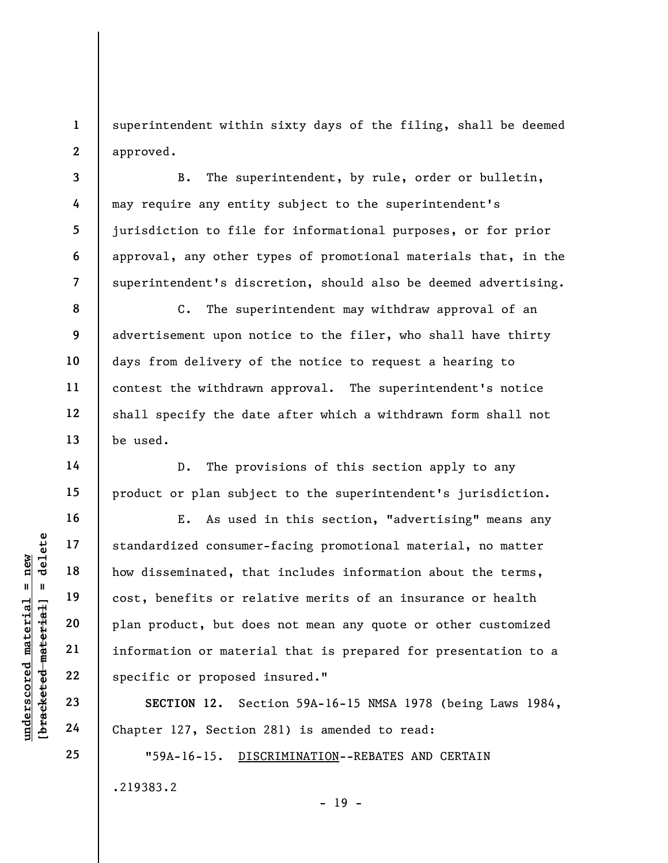1 2 superintendent within sixty days of the filing, shall be deemed approved.

B. The superintendent, by rule, order or bulletin, may require any entity subject to the superintendent's jurisdiction to file for informational purposes, or for prior approval, any other types of promotional materials that, in the superintendent's discretion, should also be deemed advertising.

C. The superintendent may withdraw approval of an advertisement upon notice to the filer, who shall have thirty days from delivery of the notice to request a hearing to contest the withdrawn approval. The superintendent's notice shall specify the date after which a withdrawn form shall not be used.

D. The provisions of this section apply to any product or plan subject to the superintendent's jurisdiction.

underscored material = new [bracketed material] = delete E. As used in this section, "advertising" means any standardized consumer-facing promotional material, no matter how disseminated, that includes information about the terms, cost, benefits or relative merits of an insurance or health plan product, but does not mean any quote or other customized information or material that is prepared for presentation to a specific or proposed insured."

SECTION 12. Section 59A-16-15 NMSA 1978 (being Laws 1984, Chapter 127, Section 281) is amended to read:

- 19 -

"59A-16-15. DISCRIMINATION--REBATES AND CERTAIN .219383.2

3

4

5

6

7

8

9

10

11

12

13

14

15

16

17

18

19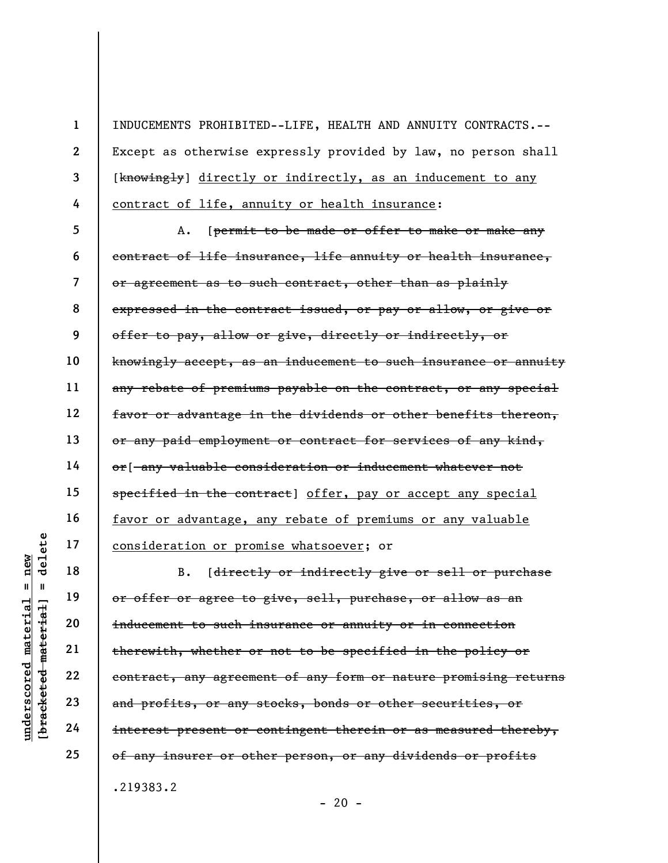INDUCEMENTS PROHIBITED--LIFE, HEALTH AND ANNUITY CONTRACTS.-- Except as otherwise expressly provided by law, no person shall [knowingly] directly or indirectly, as an inducement to any contract of life, annuity or health insurance:

5 6 7 8 9 10 11 12 13 14 15 16 17 A. [permit to be made or offer to make or make any contract of life insurance, life annuity or health insurance, or agreement as to such contract, other than as plainly expressed in the contract issued, or pay or allow, or give or offer to pay, allow or give, directly or indirectly, or knowingly accept, as an inducement to such insurance or annuity any rebate of premiums payable on the contract, or any special favor or advantage in the dividends or other benefits thereon, or any paid employment or contract for services of any kind, or[ any valuable consideration or inducement whatever not specified in the contract] offer, pay or accept any special favor or advantage, any rebate of premiums or any valuable consideration or promise whatsoever; or

understand material material of the research material entire to such in the rew ith, whether or expected and profits, or any sensible 24 interest present or c B. [directly or indirectly give or sell or purchase or offer or agree to give, sell, purchase, or allow as an inducement to such insurance or annuity or in connection therewith, whether or not to be specified in the policy or contract, any agreement of any form or nature promising returns and profits, or any stocks, bonds or other securities, or interest present or contingent therein or as measured thereby, of any insurer or other person, or any dividends or profits .219383.2

 $- 20 -$ 

18

19

20

21

22

23

24

25

1

2

3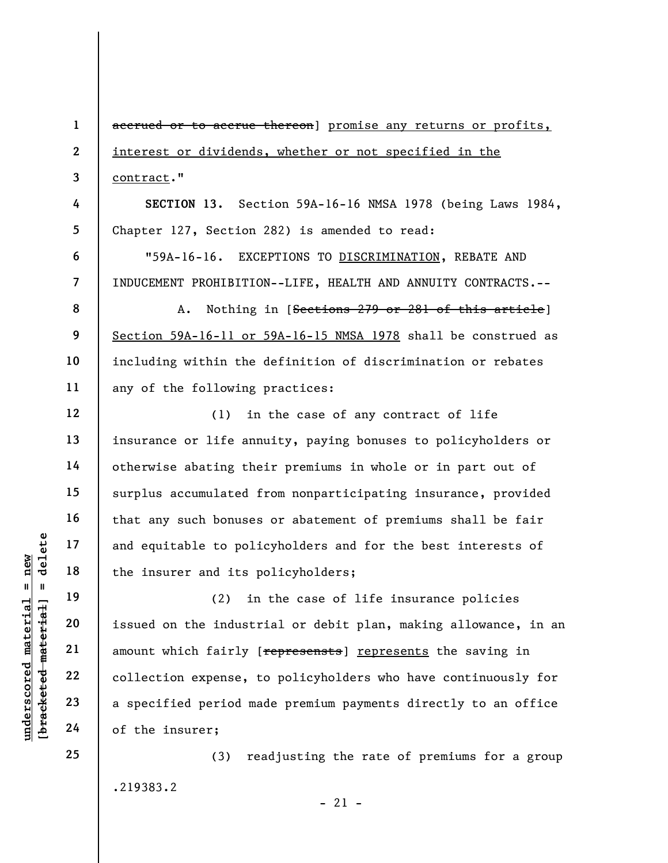underscored material = new [bracketed material] = delete 1 2 3 4 5 6 7 8 9 10 11 12 13 14 15 16 17 18 19 20 21 22 23 24 accrued or to accrue thereon] promise any returns or profits, interest or dividends, whether or not specified in the contract." SECTION 13. Section 59A-16-16 NMSA 1978 (being Laws 1984, Chapter 127, Section 282) is amended to read: "59A-16-16. EXCEPTIONS TO DISCRIMINATION, REBATE AND INDUCEMENT PROHIBITION--LIFE, HEALTH AND ANNUITY CONTRACTS.-- A. Nothing in [Sections 279 or 281 of this article] Section 59A-16-11 or 59A-16-15 NMSA 1978 shall be construed as including within the definition of discrimination or rebates any of the following practices: (1) in the case of any contract of life insurance or life annuity, paying bonuses to policyholders or otherwise abating their premiums in whole or in part out of surplus accumulated from nonparticipating insurance, provided that any such bonuses or abatement of premiums shall be fair and equitable to policyholders and for the best interests of the insurer and its policyholders; (2) in the case of life insurance policies issued on the industrial or debit plan, making allowance, in an amount which fairly [represensts] represents the saving in collection expense, to policyholders who have continuously for a specified period made premium payments directly to an office of the insurer;

> (3) readjusting the rate of premiums for a group .219383.2

> > $-21 -$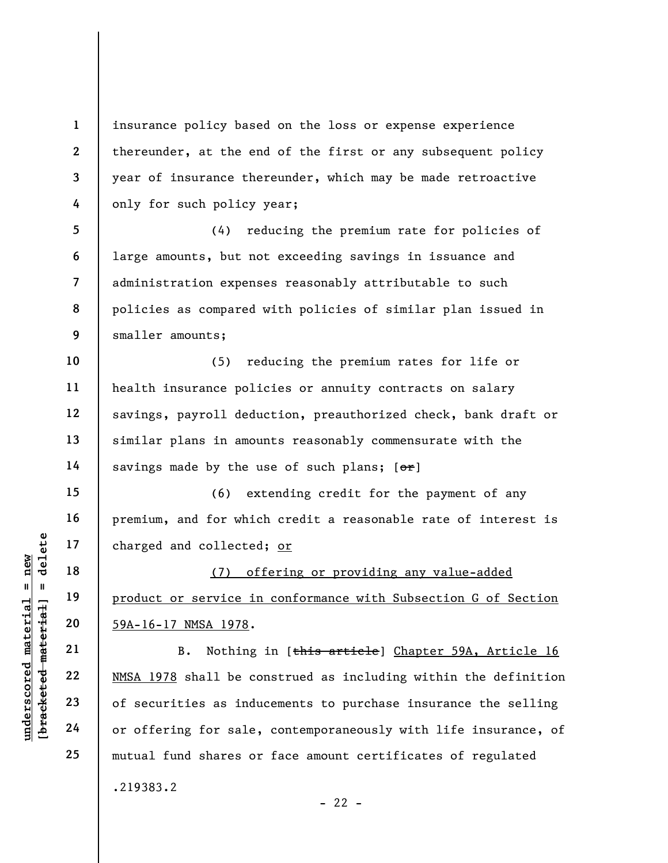insurance policy based on the loss or expense experience thereunder, at the end of the first or any subsequent policy year of insurance thereunder, which may be made retroactive only for such policy year;

5 6 7 8 9 (4) reducing the premium rate for policies of large amounts, but not exceeding savings in issuance and administration expenses reasonably attributable to such policies as compared with policies of similar plan issued in smaller amounts;

10 11 12 13 14 (5) reducing the premium rates for life or health insurance policies or annuity contracts on salary savings, payroll deduction, preauthorized check, bank draft or similar plans in amounts reasonably commensurate with the savings made by the use of such plans;  $[ $\sigma$  r]$ 

(6) extending credit for the payment of any premium, and for which credit a reasonable rate of interest is charged and collected; or

(7) offering or providing any value-added product or service in conformance with Subsection G of Section 59A-16-17 NMSA 1978.

underscored material = new [bracketed material] = delete B. Nothing in [this article] Chapter 59A, Article 16 NMSA 1978 shall be construed as including within the definition of securities as inducements to purchase insurance the selling or offering for sale, contemporaneously with life insurance, of mutual fund shares or face amount certificates of regulated .219383.2

 $- 22 -$ 

1

2

3

4

15

16

17

18

19

20

21

22

23

24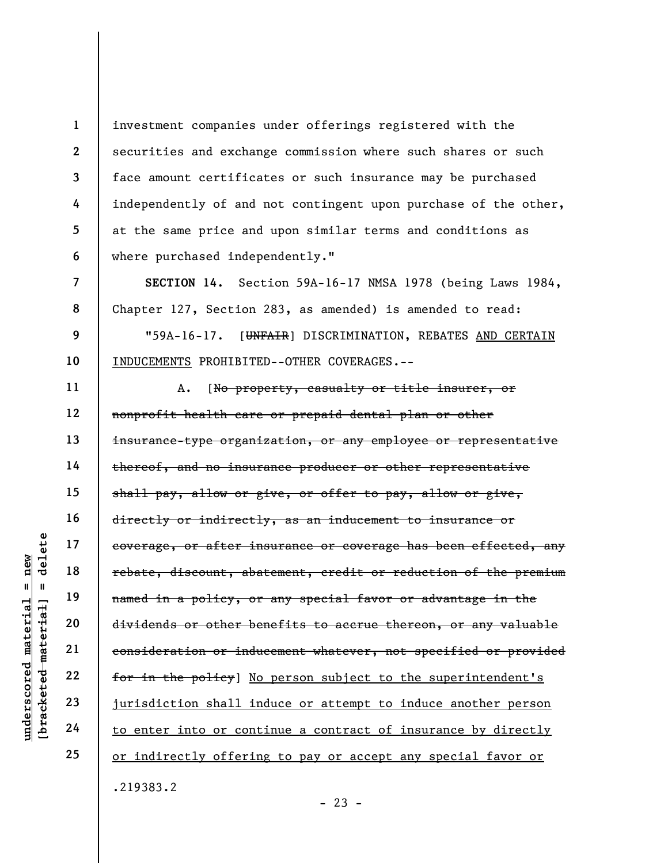investment companies under offerings registered with the securities and exchange commission where such shares or such face amount certificates or such insurance may be purchased independently of and not contingent upon purchase of the other, at the same price and upon similar terms and conditions as where purchased independently."

SECTION 14. Section 59A-16-17 NMSA 1978 (being Laws 1984, Chapter 127, Section 283, as amended) is amended to read:

"59A-16-17. [UNFAIR] DISCRIMINATION, REBATES AND CERTAIN INDUCEMENTS PROHIBITED--OTHER COVERAGES.--

understand material states of after in<br>
and the material states discount, about the material material material<br>
dividends or other be<br>
ensideration or induced the policy of dividends or other be<br>
ensideration or induced th 11 12 13 14 15 16 17 18 19 20 21 22 23 A. [No property, casualty or title insurer, or nonprofit health care or prepaid dental plan or other insurance-type organization, or any employee or representative thereof, and no insurance producer or other representative shall pay, allow or give, or offer to pay, allow or give, directly or indirectly, as an inducement to insurance or coverage, or after insurance or coverage has been effected, any rebate, discount, abatement, credit or reduction of the premium named in a policy, or any special favor or advantage in the dividends or other benefits to accrue thereon, or any valuable consideration or inducement whatever, not specified or provided for in the policy] No person subject to the superintendent's jurisdiction shall induce or attempt to induce another person to enter into or continue a contract of insurance by directly or indirectly offering to pay or accept any special favor or .219383.2

24 25

1

2

3

4

5

6

7

8

9

10

 $- 23 -$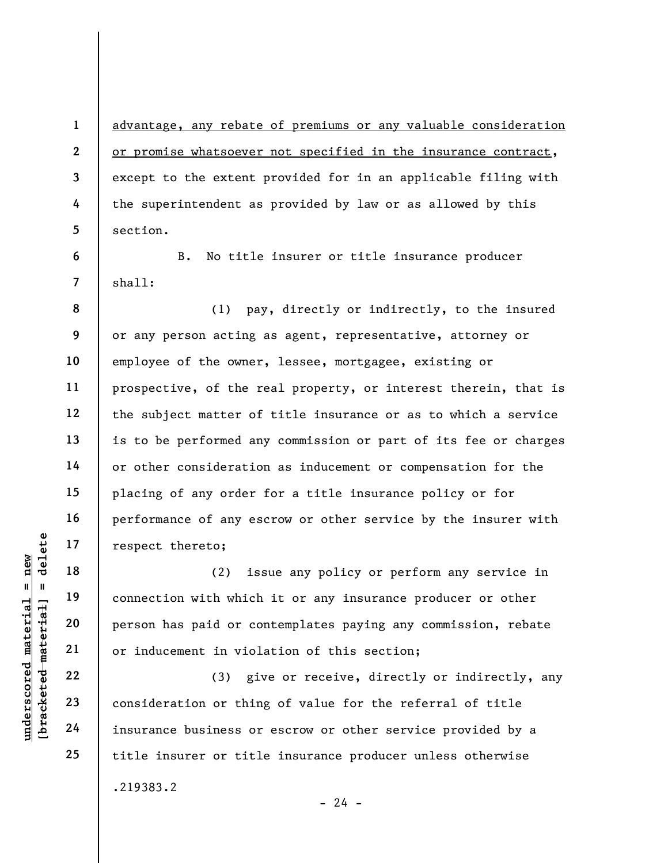advantage, any rebate of premiums or any valuable consideration or promise whatsoever not specified in the insurance contract, except to the extent provided for in an applicable filing with the superintendent as provided by law or as allowed by this section.

B. No title insurer or title insurance producer shall:

8 9 10 11 12 13 14 15 16 17 (1) pay, directly or indirectly, to the insured or any person acting as agent, representative, attorney or employee of the owner, lessee, mortgagee, existing or prospective, of the real property, or interest therein, that is the subject matter of title insurance or as to which a service is to be performed any commission or part of its fee or charges or other consideration as inducement or compensation for the placing of any order for a title insurance policy or for performance of any escrow or other service by the insurer with respect thereto;

understand material material material material connection with which<br>
expect there to:<br>
(2) is<br>
(2) is<br>
connection with which<br>
person has paid or co<br>
person has paid or co<br>
or inducement in viol<br>
(3) gi<br>
consideration or t (2) issue any policy or perform any service in connection with which it or any insurance producer or other person has paid or contemplates paying any commission, rebate or inducement in violation of this section;

(3) give or receive, directly or indirectly, any consideration or thing of value for the referral of title insurance business or escrow or other service provided by a title insurer or title insurance producer unless otherwise .219383.2  $- 24 -$ 

18

19

20

21

22

23

24

25

1

2

3

4

5

6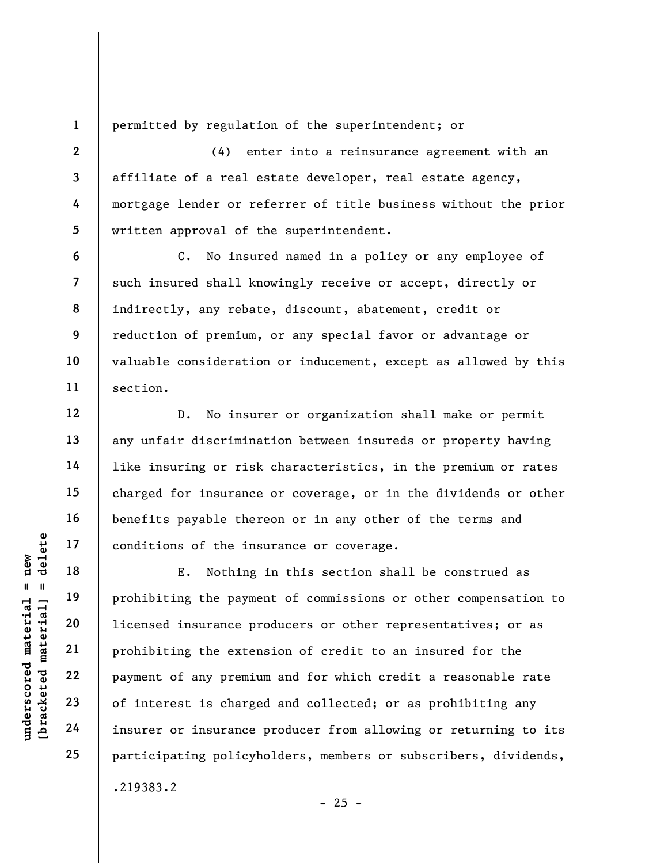1

2

3

4

5

6

7

8

9

10

11

12

13

14

15

16

17

18

19

20

21

22

23

24

25

permitted by regulation of the superintendent; or

(4) enter into a reinsurance agreement with an affiliate of a real estate developer, real estate agency, mortgage lender or referrer of title business without the prior written approval of the superintendent.

C. No insured named in a policy or any employee of such insured shall knowingly receive or accept, directly or indirectly, any rebate, discount, abatement, credit or reduction of premium, or any special favor or advantage or valuable consideration or inducement, except as allowed by this section.

D. No insurer or organization shall make or permit any unfair discrimination between insureds or property having like insuring or risk characteristics, in the premium or rates charged for insurance or coverage, or in the dividends or other benefits payable thereon or in any other of the terms and conditions of the insurance or coverage.

underscored material = new [bracketed material] = delete E. Nothing in this section shall be construed as prohibiting the payment of commissions or other compensation to licensed insurance producers or other representatives; or as prohibiting the extension of credit to an insured for the payment of any premium and for which credit a reasonable rate of interest is charged and collected; or as prohibiting any insurer or insurance producer from allowing or returning to its participating policyholders, members or subscribers, dividends, .219383.2

 $- 25 -$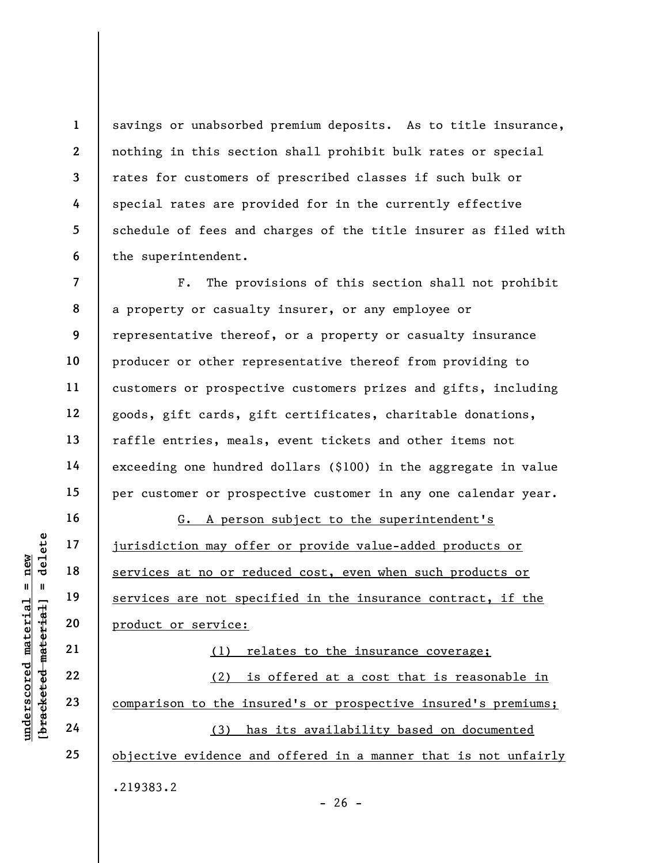savings or unabsorbed premium deposits. As to title insurance, nothing in this section shall prohibit bulk rates or special rates for customers of prescribed classes if such bulk or special rates are provided for in the currently effective schedule of fees and charges of the title insurer as filed with the superintendent.

7 8 9 10 11 12 13 14 15 F. The provisions of this section shall not prohibit a property or casualty insurer, or any employee or representative thereof, or a property or casualty insurance producer or other representative thereof from providing to customers or prospective customers prizes and gifts, including goods, gift cards, gift certificates, charitable donations, raffle entries, meals, event tickets and other items not exceeding one hundred dollars (\$100) in the aggregate in value per customer or prospective customer in any one calendar year.

underscored material = new [bracketed material] = delete G. A person subject to the superintendent's jurisdiction may offer or provide value-added products or services at no or reduced cost, even when such products or services are not specified in the insurance contract, if the product or service:

(1) relates to the insurance coverage; (2) is offered at a cost that is reasonable in comparison to the insured's or prospective insured's premiums; (3) has its availability based on documented objective evidence and offered in a manner that is not unfairly .219383.2

1

2

3

4

5

6

16

17

18

19

20

21

22

23

24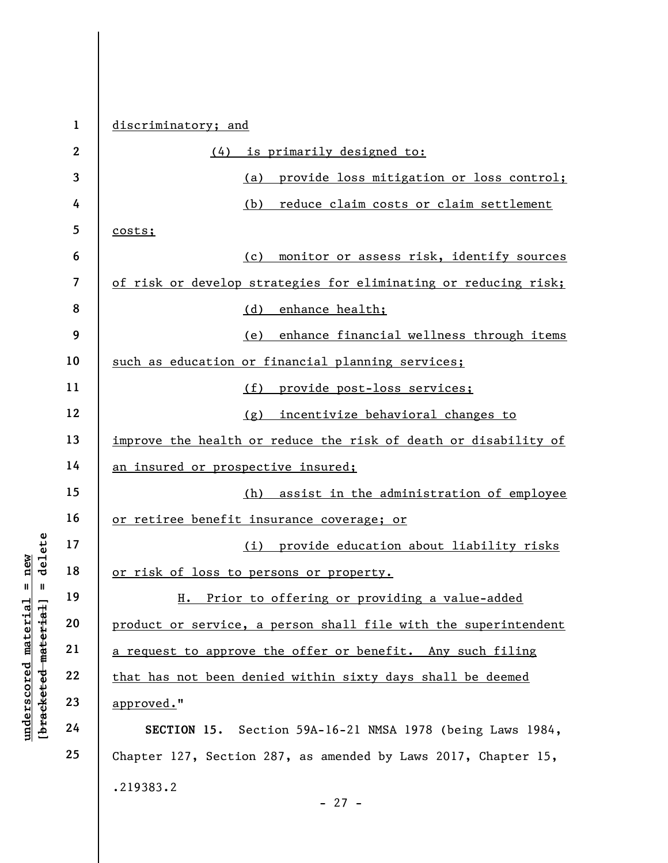|                                                                      | $\mathbf{1}$             | discriminatory; and                                             |
|----------------------------------------------------------------------|--------------------------|-----------------------------------------------------------------|
|                                                                      | $\overline{2}$           | <u>is primarily designed to:</u><br>(4)                         |
|                                                                      | 3                        | provide loss mitigation or loss control;<br>(a)                 |
|                                                                      | 4                        | (b)<br>reduce claim costs or claim settlement                   |
|                                                                      | 5                        | costs;                                                          |
|                                                                      | 6                        | monitor or assess risk, identify sources<br>(c)                 |
|                                                                      | $\overline{\mathcal{L}}$ | of risk or develop strategies for eliminating or reducing risk; |
|                                                                      | 8                        | enhance health;<br>(d)                                          |
|                                                                      | 9                        | enhance financial wellness through items<br>(e)                 |
|                                                                      | 10                       | such as education or financial planning services;               |
|                                                                      | 11                       | provide post-loss services;<br>(f)                              |
|                                                                      | 12                       | incentivize behavioral changes to<br>(g)                        |
|                                                                      | 13                       | improve the health or reduce the risk of death or disability of |
|                                                                      | 14                       | an insured or prospective insured;                              |
|                                                                      | 15                       | (h) assist in the administration of employee                    |
|                                                                      | 16                       | or retiree benefit insurance coverage; or                       |
| delete                                                               | 17                       | provide education about liability risks<br>(i)                  |
| new                                                                  | 18                       | or risk of loss to persons or property.                         |
| $\mathbf{II}$<br>Ш                                                   | 19                       | Prior to offering or providing a value-added<br>н.              |
| underscored material<br>[ <del>brack</del> ete <del>d material</del> | 20                       | product or service, a person shall file with the superintendent |
|                                                                      | 21                       | a request to approve the offer or benefit. Any such filing      |
|                                                                      | 22                       | that has not been denied within sixty days shall be deemed      |
|                                                                      | 23                       | approved."                                                      |
|                                                                      | 24                       | SECTION 15.<br>Section 59A-16-21 NMSA 1978 (being Laws 1984,    |
|                                                                      | 25                       | Chapter 127, Section 287, as amended by Laws 2017, Chapter 15,  |
|                                                                      |                          | .219383.2                                                       |

- 27 -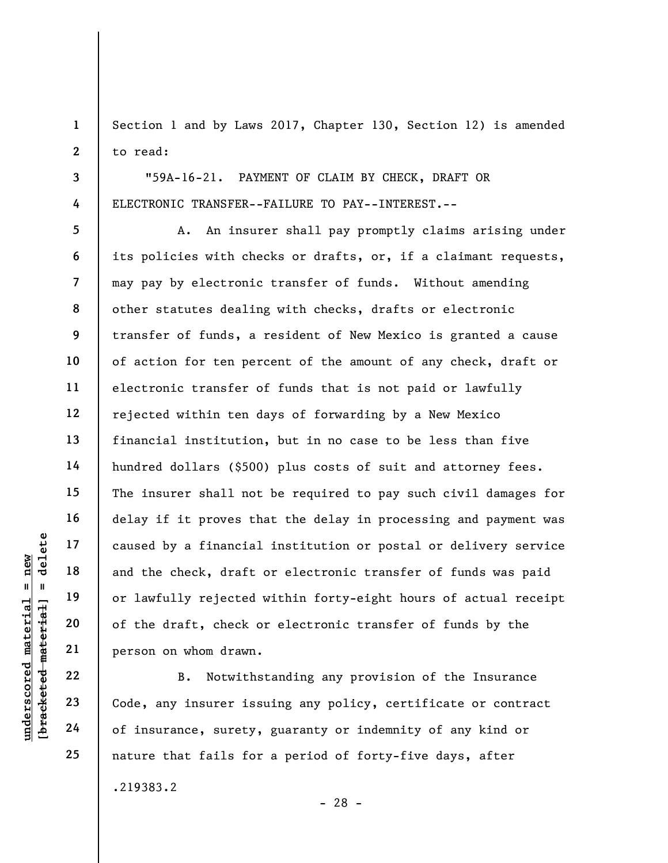Section 1 and by Laws 2017, Chapter 130, Section 12) is amended to read:

"59A-16-21. PAYMENT OF CLAIM BY CHECK, DRAFT OR ELECTRONIC TRANSFER--FAILURE TO PAY--INTEREST.--

underscored material = new [bracketed material] = delete A. An insurer shall pay promptly claims arising under its policies with checks or drafts, or, if a claimant requests, may pay by electronic transfer of funds. Without amending other statutes dealing with checks, drafts or electronic transfer of funds, a resident of New Mexico is granted a cause of action for ten percent of the amount of any check, draft or electronic transfer of funds that is not paid or lawfully rejected within ten days of forwarding by a New Mexico financial institution, but in no case to be less than five hundred dollars (\$500) plus costs of suit and attorney fees. The insurer shall not be required to pay such civil damages for delay if it proves that the delay in processing and payment was caused by a financial institution or postal or delivery service and the check, draft or electronic transfer of funds was paid or lawfully rejected within forty-eight hours of actual receipt of the draft, check or electronic transfer of funds by the person on whom drawn.

B. Notwithstanding any provision of the Insurance Code, any insurer issuing any policy, certificate or contract of insurance, surety, guaranty or indemnity of any kind or nature that fails for a period of forty-five days, after

.219383.2

- 28 -

1

2

3

4

5

6

7

8

9

10

11

12

13

14

15

16

17

18

19

20

21

22

23

24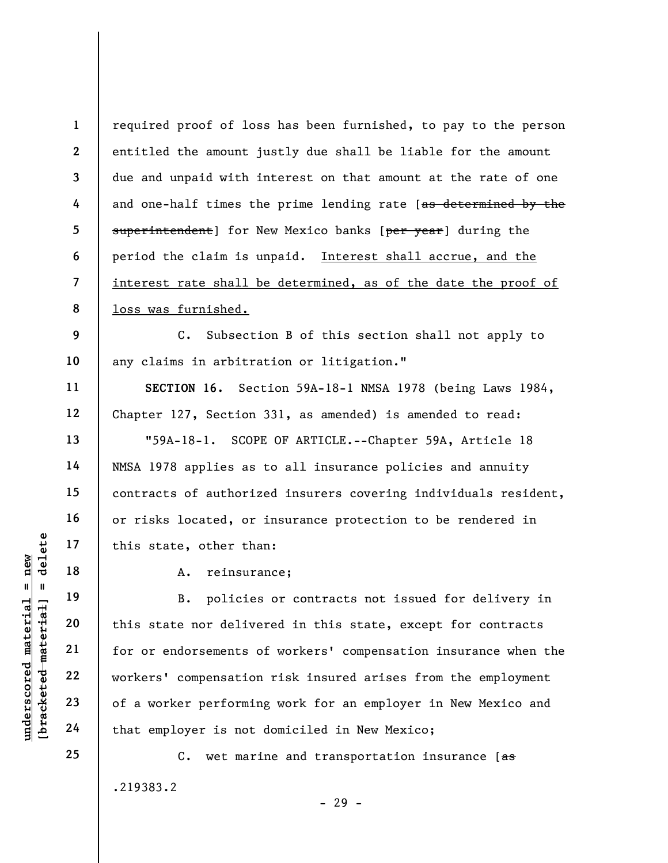1 2 3 4 5 6 7 8 required proof of loss has been furnished, to pay to the person entitled the amount justly due shall be liable for the amount due and unpaid with interest on that amount at the rate of one and one-half times the prime lending rate [as determined by the superintendent] for New Mexico banks [per year] during the period the claim is unpaid. Interest shall accrue, and the interest rate shall be determined, as of the date the proof of loss was furnished.

C. Subsection B of this section shall not apply to any claims in arbitration or litigation."

SECTION 16. Section 59A-18-1 NMSA 1978 (being Laws 1984, Chapter 127, Section 331, as amended) is amended to read:

"59A-18-1. SCOPE OF ARTICLE.--Chapter 59A, Article 18 NMSA 1978 applies as to all insurance policies and annuity contracts of authorized insurers covering individuals resident, or risks located, or insurance protection to be rendered in this state, other than:

18

9

10

11

12

13

14

15

16

17

19

20

21

22

23

24

25

A. reinsurance;

underscored material = new [bracketed material] = delete B. policies or contracts not issued for delivery in this state nor delivered in this state, except for contracts for or endorsements of workers' compensation insurance when the workers' compensation risk insured arises from the employment of a worker performing work for an employer in New Mexico and that employer is not domiciled in New Mexico;

> C. wet marine and transportation insurance  $f_{\text{as}}$ .219383.2

- 29 -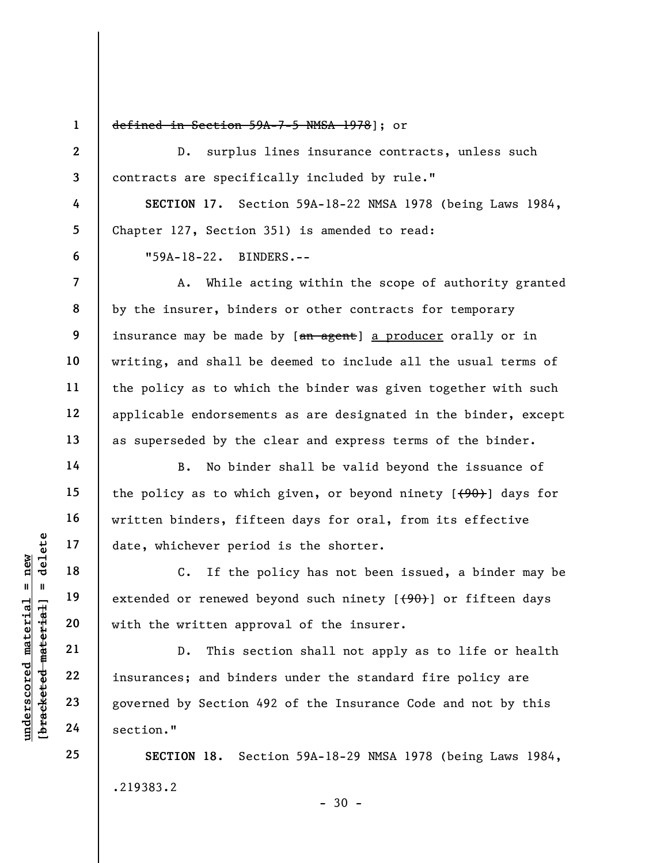1 2

3

4

5

6

7

8

9

10

11

12

13

14

15

16

17

18

19

20

21

22

23

24

25

## defined in Section 59A-7-5 NMSA 1978]; or

D. surplus lines insurance contracts, unless such contracts are specifically included by rule."

SECTION 17. Section 59A-18-22 NMSA 1978 (being Laws 1984, Chapter 127, Section 351) is amended to read: "59A-18-22. BINDERS.--

A. While acting within the scope of authority granted by the insurer, binders or other contracts for temporary insurance may be made by [an agent] a producer orally or in writing, and shall be deemed to include all the usual terms of the policy as to which the binder was given together with such applicable endorsements as are designated in the binder, except as superseded by the clear and express terms of the binder.

B. No binder shall be valid beyond the issuance of the policy as to which given, or beyond ninety  $[490]$  days for written binders, fifteen days for oral, from its effective date, whichever period is the shorter.

C. If the policy has not been issued, a binder may be extended or renewed beyond such ninety  $[+90]$  or fifteen days with the written approval of the insurer.

under 17<br>
under 18<br>
under 19<br>
under 19<br>
under 19<br>
under 19<br>
under 19<br>
under 19<br>
under 19<br>
under 19<br>
21<br>
22<br>
insurances; and binde<br>
governed by Section 4<br>
24<br>
section." D. This section shall not apply as to life or health insurances; and binders under the standard fire policy are governed by Section 492 of the Insurance Code and not by this section."

> SECTION 18. Section 59A-18-29 NMSA 1978 (being Laws 1984, .219383.2  $-30 -$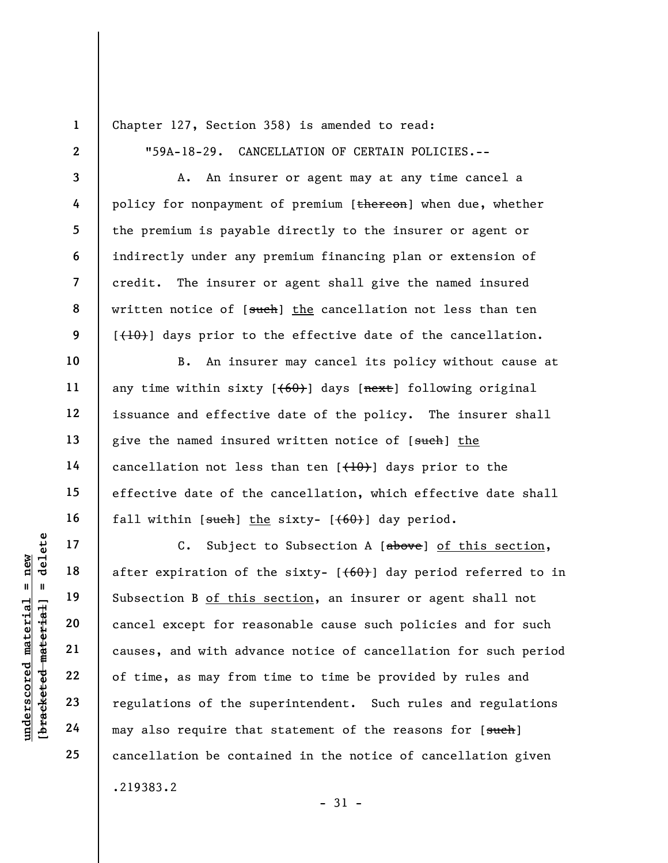1 2

3

4

5

6

7

8

9

10

11

12

13

14

15

16

17

18

19

20

21

22

23

24

25

Chapter 127, Section 358) is amended to read:

"59A-18-29. CANCELLATION OF CERTAIN POLICIES.--

A. An insurer or agent may at any time cancel a policy for nonpayment of premium [thereon] when due, whether the premium is payable directly to the insurer or agent or indirectly under any premium financing plan or extension of credit. The insurer or agent shall give the named insured written notice of [such] the cancellation not less than ten  $[\frac{(10)}{10}]$  days prior to the effective date of the cancellation.

B. An insurer may cancel its policy without cause at any time within sixty  $[+60+]$  days  $[nex\texttt{t}]$  following original issuance and effective date of the policy. The insurer shall give the named insured written notice of [such] the cancellation not less than ten  $[$   $($   $+$   $0$  $)$  $]$  days prior to the effective date of the cancellation, which effective date shall fall within  $[such]$  the sixty-  $[{60}$ ) day period.

underscored material = new [bracketed material] = delete C. Subject to Subsection A [above] of this section, after expiration of the sixty-  $[60]$  day period referred to in Subsection B of this section, an insurer or agent shall not cancel except for reasonable cause such policies and for such causes, and with advance notice of cancellation for such period of time, as may from time to time be provided by rules and regulations of the superintendent. Such rules and regulations may also require that statement of the reasons for [such] cancellation be contained in the notice of cancellation given .219383.2

- 31 -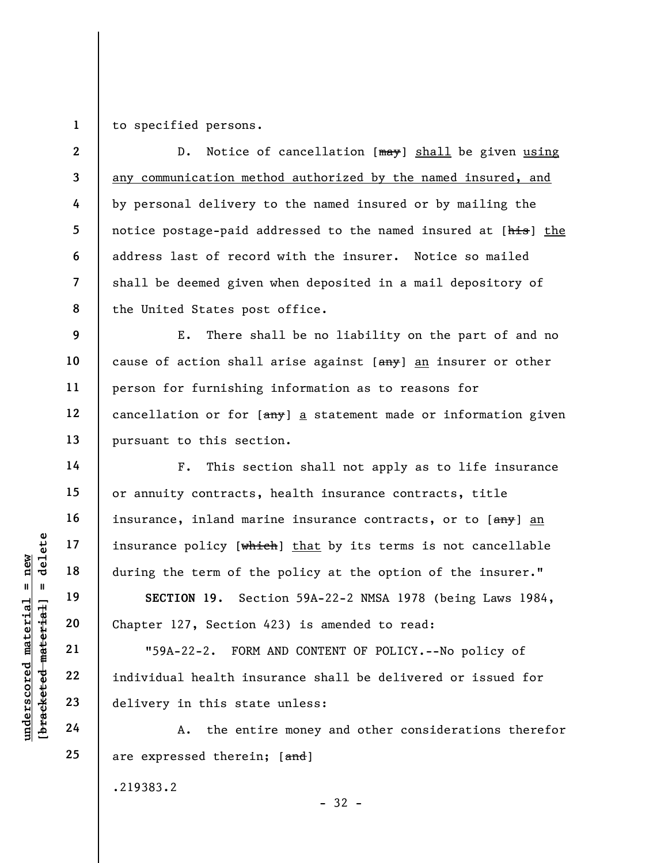1 to specified persons.

2 3 4 5 6 7 8 D. Notice of cancellation [may] shall be given using any communication method authorized by the named insured, and by personal delivery to the named insured or by mailing the notice postage-paid addressed to the named insured at [his] the address last of record with the insurer. Notice so mailed shall be deemed given when deposited in a mail depository of the United States post office.

9 10 11 12 13 E. There shall be no liability on the part of and no cause of action shall arise against  $[**amy**]$  an insurer or other person for furnishing information as to reasons for cancellation or for  $\left[\frac{amy}{a}\right]$  a statement made or information given pursuant to this section.

F. This section shall not apply as to life insurance or annuity contracts, health insurance contracts, title insurance, inland marine insurance contracts, or to [any] an insurance policy [which] that by its terms is not cancellable during the term of the policy at the option of the insurer."

SECTION 19. Section 59A-22-2 NMSA 1978 (being Laws 1984, Chapter 127, Section 423) is amended to read:

underscored material = new [bracketed material] = delete "59A-22-2. FORM AND CONTENT OF POLICY.--No policy of individual health insurance shall be delivered or issued for delivery in this state unless:

A. the entire money and other considerations therefor are expressed therein; [and]

- 32 -

.219383.2

14

15

16

17

18

19

20

21

22

23

24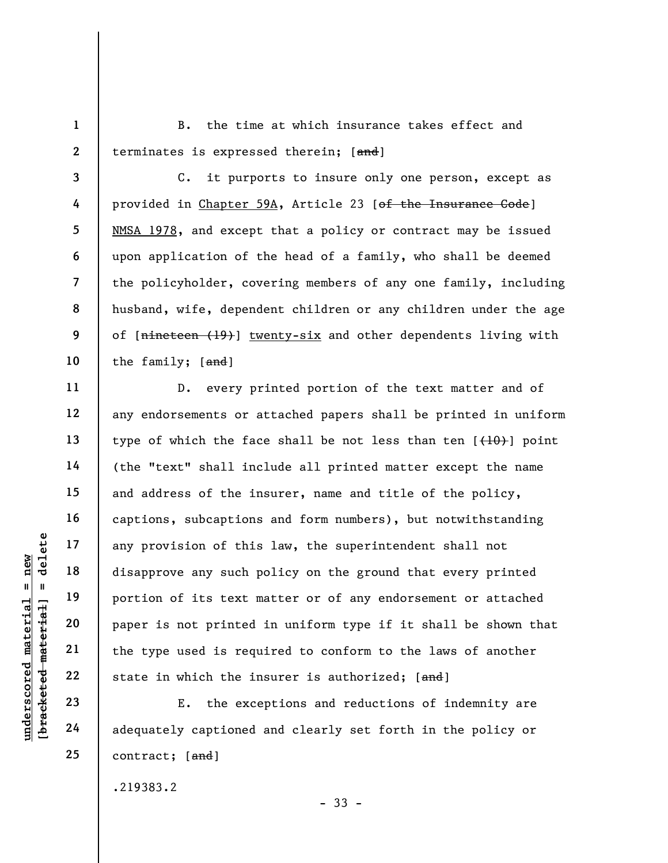1 2

4

5

6

11

12

13

14

15

16

17

18

19

20

21

22

23

24

25

B. the time at which insurance takes effect and terminates is expressed therein; [and]

3 7 8 9 10 C. it purports to insure only one person, except as provided in Chapter 59A, Article 23 [of the Insurance Code] NMSA 1978, and except that a policy or contract may be issued upon application of the head of a family, who shall be deemed the policyholder, covering members of any one family, including husband, wife, dependent children or any children under the age of [nineteen (19)] twenty-six and other dependents living with the family; [and]

under 17<br>
any provision of this<br>
disapprove any such p<br>
disapprove any such p<br>
portion of its text m<br>
portion of its text m<br>
paper is not printed<br>
the type used is requ<br>
22<br>
23<br>
24<br>
24<br>
24<br>
24<br>
29<br>
29<br>
29<br>
29<br>
29<br>
29<br>
29<br> D. every printed portion of the text matter and of any endorsements or attached papers shall be printed in uniform type of which the face shall be not less than ten  $[$   $(10)$   $]$  point (the "text" shall include all printed matter except the name and address of the insurer, name and title of the policy, captions, subcaptions and form numbers), but notwithstanding any provision of this law, the superintendent shall not disapprove any such policy on the ground that every printed portion of its text matter or of any endorsement or attached paper is not printed in uniform type if it shall be shown that the type used is required to conform to the laws of another state in which the insurer is authorized; [and]

E. the exceptions and reductions of indemnity are adequately captioned and clearly set forth in the policy or contract; [and]

- 33 -

.219383.2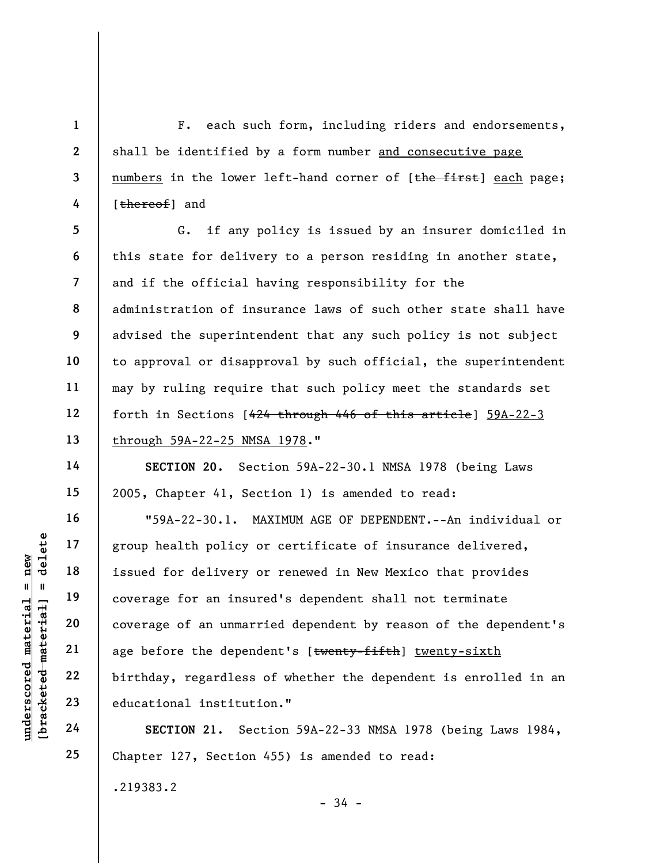F. each such form, including riders and endorsements, shall be identified by a form number and consecutive page numbers in the lower left-hand corner of [the first] each page; [thereof] and

5 6 7 8 9 10 11 12 13 G. if any policy is issued by an insurer domiciled in this state for delivery to a person residing in another state, and if the official having responsibility for the administration of insurance laws of such other state shall have advised the superintendent that any such policy is not subject to approval or disapproval by such official, the superintendent may by ruling require that such policy meet the standards set forth in Sections [424 through 446 of this article] 59A-22-3 through 59A-22-25 NMSA 1978."

SECTION 20. Section 59A-22-30.1 NMSA 1978 (being Laws 2005, Chapter 41, Section 1) is amended to read:

under 17<br>
under 18<br>
19<br>
19<br>
19<br>
19<br>
19<br>
19<br>
19<br>
19<br>
20<br>
21<br>
22<br>
19<br>
22<br>
19<br>
23<br>
24<br>
19<br>
24<br>
24<br>
22<br>
24<br>
24<br>
22<br>
24<br>
22<br>
24<br>
22<br>
24<br>
25<br>
24<br>
25<br>
24<br>
24<br>
25<br>
24<br>
25<br>
24<br>
25<br>
26<br>
24<br>
25<br>
25<br>
26<br>
25<br>
26<br>
25<br>
26<br>
26<br>
26<br>
26<br>
26 "59A-22-30.1. MAXIMUM AGE OF DEPENDENT.--An individual or group health policy or certificate of insurance delivered, issued for delivery or renewed in New Mexico that provides coverage for an insured's dependent shall not terminate coverage of an unmarried dependent by reason of the dependent's age before the dependent's [twenty-fifth] twenty-sixth birthday, regardless of whether the dependent is enrolled in an educational institution."

SECTION 21. Section 59A-22-33 NMSA 1978 (being Laws 1984, Chapter 127, Section 455) is amended to read:

- 34 -

.219383.2

1

2

3

4

14

15

16

17

18

19

20

21

22

23

24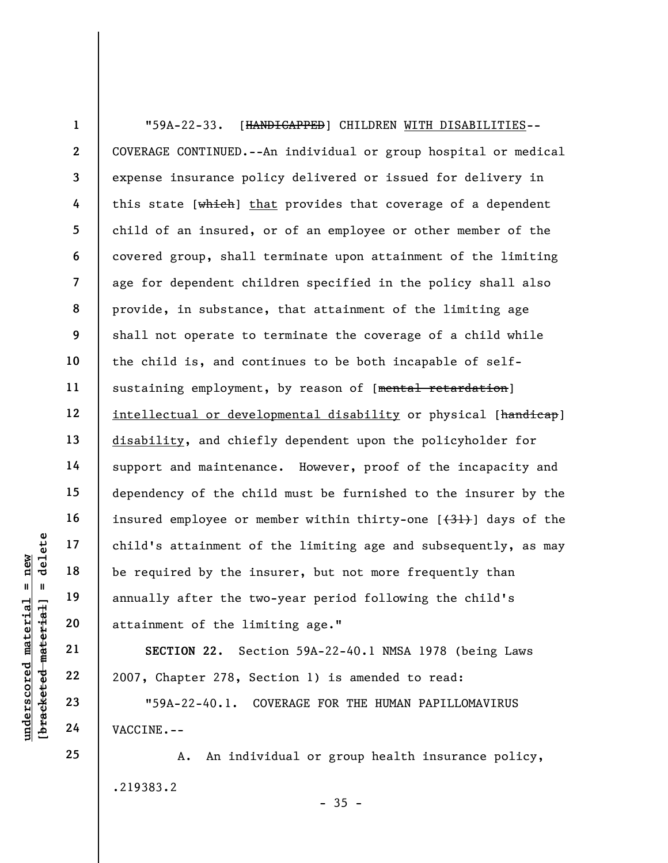understate material end of the independent of the line of the line annually after the two attainment of the line annually after the two attainment of the line annually after the two attainment of the line annually after th 1 2 3 4 5 6 7 8 9 10 11 12 13 14 15 16 17 18 19 20 "59A-22-33. [HANDICAPPED] CHILDREN WITH DISABILITIES-- COVERAGE CONTINUED.--An individual or group hospital or medical expense insurance policy delivered or issued for delivery in this state  $[\overline{\text{which}}]$  that provides that coverage of a dependent child of an insured, or of an employee or other member of the covered group, shall terminate upon attainment of the limiting age for dependent children specified in the policy shall also provide, in substance, that attainment of the limiting age shall not operate to terminate the coverage of a child while the child is, and continues to be both incapable of selfsustaining employment, by reason of [mental retardation] intellectual or developmental disability or physical [handicap] disability, and chiefly dependent upon the policyholder for support and maintenance. However, proof of the incapacity and dependency of the child must be furnished to the insurer by the insured employee or member within thirty-one  $[31]$  days of the child's attainment of the limiting age and subsequently, as may be required by the insurer, but not more frequently than annually after the two-year period following the child's attainment of the limiting age."

SECTION 22. Section 59A-22-40.1 NMSA 1978 (being Laws 2007, Chapter 278, Section 1) is amended to read:

"59A-22-40.1. COVERAGE FOR THE HUMAN PAPILLOMAVIRUS VACCINE.--

A. An individual or group health insurance policy, .219383.2  $-35 -$ 

25

21

22

23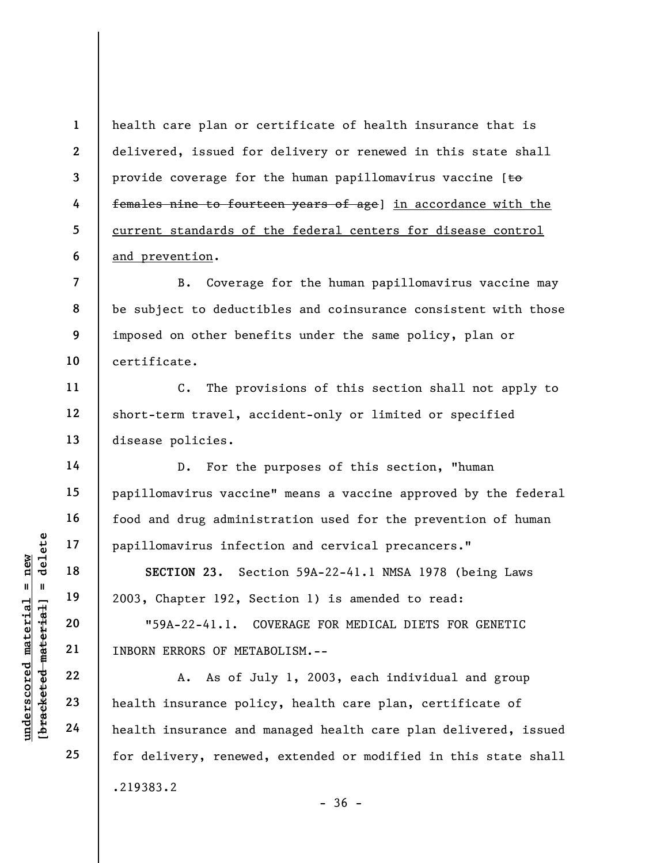health care plan or certificate of health insurance that is delivered, issued for delivery or renewed in this state shall provide coverage for the human papillomavirus vaccine  $[t\Theta]$ females nine to fourteen years of age] in accordance with the current standards of the federal centers for disease control and prevention.

7 8 9 10 B. Coverage for the human papillomavirus vaccine may be subject to deductibles and coinsurance consistent with those imposed on other benefits under the same policy, plan or certificate.

C. The provisions of this section shall not apply to short-term travel, accident-only or limited or specified disease policies.

D. For the purposes of this section, "human papillomavirus vaccine" means a vaccine approved by the federal food and drug administration used for the prevention of human papillomavirus infection and cervical precancers."

SECTION 23. Section 59A-22-41.1 NMSA 1978 (being Laws 2003, Chapter 192, Section 1) is amended to read:

"59A-22-41.1. COVERAGE FOR MEDICAL DIETS FOR GENETIC INBORN ERRORS OF METABOLISM.--

UNE 17<br>
18<br>
19<br>
19<br>
19<br>
20<br>
2003, Chapter 192, Sec<br>
2003, Chapter 192, Sec<br>
2003, Chapter 192, Sec<br>
2003, Chapter 192, Sec<br>
2003, Chapter 192, Sec<br>
2003, Chapter 192, Sec<br>
21<br>
INBORN ERRORS OF META<br>
22<br>
23<br>
24<br>
24<br>
24<br>
22<br> A. As of July 1, 2003, each individual and group health insurance policy, health care plan, certificate of health insurance and managed health care plan delivered, issued for delivery, renewed, extended or modified in this state shall .219383.2

 $-36 -$ 

1

2

3

4

5

6

11

12

13

14

15

16

17

18

19

20

21

22

23

24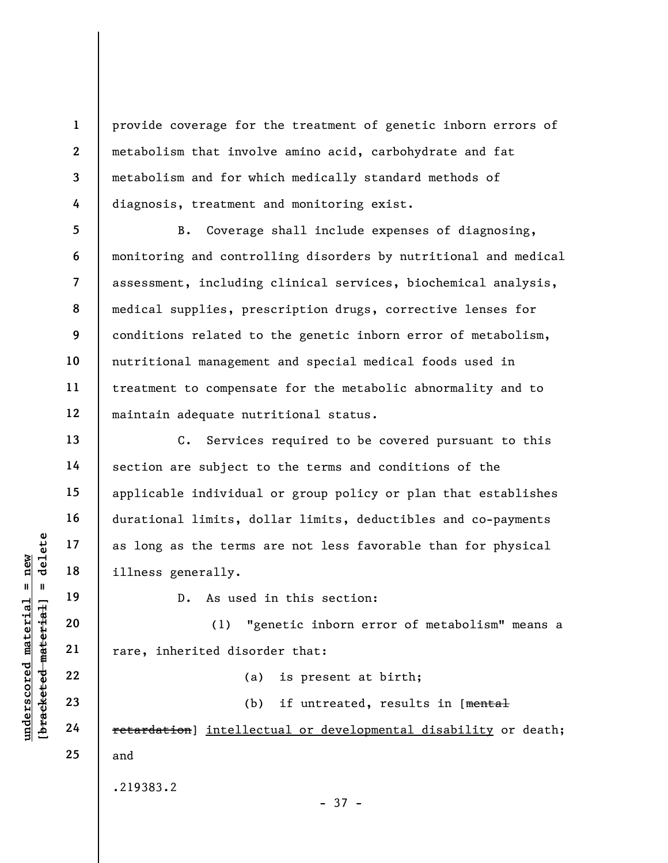provide coverage for the treatment of genetic inborn errors of metabolism that involve amino acid, carbohydrate and fat metabolism and for which medically standard methods of diagnosis, treatment and monitoring exist.

5 6 7 8 9 10 11 12 B. Coverage shall include expenses of diagnosing, monitoring and controlling disorders by nutritional and medical assessment, including clinical services, biochemical analysis, medical supplies, prescription drugs, corrective lenses for conditions related to the genetic inborn error of metabolism, nutritional management and special medical foods used in treatment to compensate for the metabolic abnormality and to maintain adequate nutritional status.

understand material material material material material material material material material material material material material material material material material material material material material material material mate C. Services required to be covered pursuant to this section are subject to the terms and conditions of the applicable individual or group policy or plan that establishes durational limits, dollar limits, deductibles and co-payments as long as the terms are not less favorable than for physical illness generally.

D. As used in this section:

(1) "genetic inborn error of metabolism" means a rare, inherited disorder that:

(a) is present at birth;

(b) if untreated, results in [mental retardation] intellectual or developmental disability or death; and

.219383.2

1

2

3

4

13

14

15

16

17

18

19

20

21

22

23

24

25

- 37 -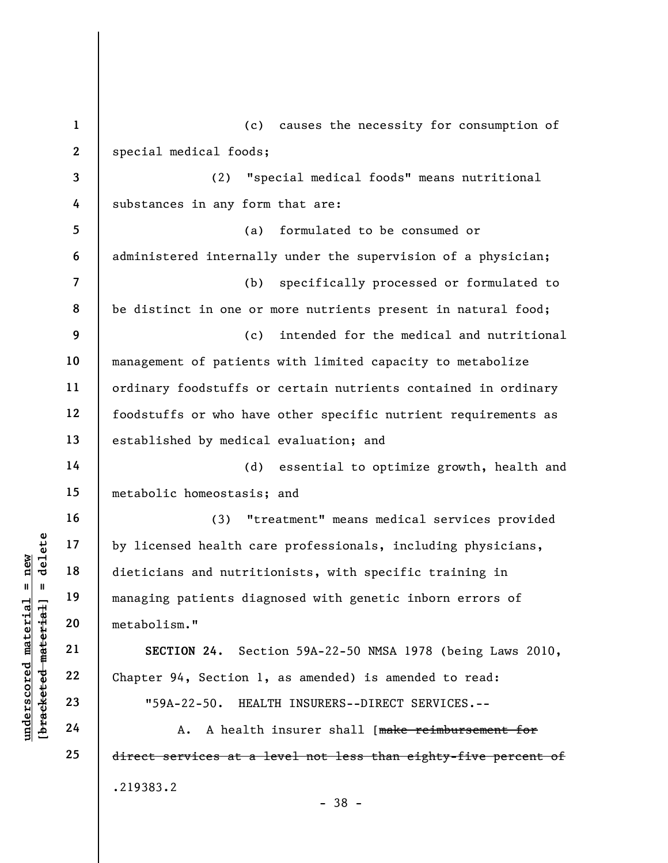|                                                    | $\mathbf{1}$             | causes the necessity for consumption of<br>(c)                  |
|----------------------------------------------------|--------------------------|-----------------------------------------------------------------|
|                                                    | $\mathbf{2}$             | special medical foods;                                          |
|                                                    | 3                        | "special medical foods" means nutritional<br>(2)                |
|                                                    | 4                        | substances in any form that are:                                |
|                                                    | 5                        | formulated to be consumed or<br>(a)                             |
|                                                    | 6                        | administered internally under the supervision of a physician;   |
|                                                    | $\overline{\mathcal{L}}$ | specifically processed or formulated to<br>(b)                  |
|                                                    | 8                        | be distinct in one or more nutrients present in natural food;   |
|                                                    | 9                        | intended for the medical and nutritional<br>(c)                 |
|                                                    | 10                       | management of patients with limited capacity to metabolize      |
|                                                    | 11                       | ordinary foodstuffs or certain nutrients contained in ordinary  |
|                                                    | 12                       | foodstuffs or who have other specific nutrient requirements as  |
|                                                    | 13                       | established by medical evaluation; and                          |
|                                                    | 14                       | essential to optimize growth, health and<br>(d)                 |
|                                                    | 15                       | metabolic homeostasis; and                                      |
|                                                    | 16                       | "treatment" means medical services provided<br>(3)              |
| delete                                             | 17                       | by licensed health care professionals, including physicians,    |
| new<br>Ш.<br>- 11                                  | 18                       | dieticians and nutritionists, with specific training in         |
|                                                    | 19                       | managing patients diagnosed with genetic inborn errors of       |
| materia<br>material                                | 20                       | metabolism."                                                    |
|                                                    | 21                       | SECTION 24. Section 59A-22-50 NMSA 1978 (being Laws 2010,       |
| $\bm{{\rm underscore}}$<br>[ <del>brack</del> eted | 22                       | Chapter 94, Section 1, as amended) is amended to read:          |
|                                                    | 23                       | "59A-22-50. HEALTH INSURERS--DIRECT SERVICES.--                 |
|                                                    | 24                       | A health insurer shall [make reimbursement for<br>Α.            |
|                                                    | 25                       | direct services at a level not less than eighty-five percent of |
|                                                    |                          | .219383.2                                                       |

- 38 -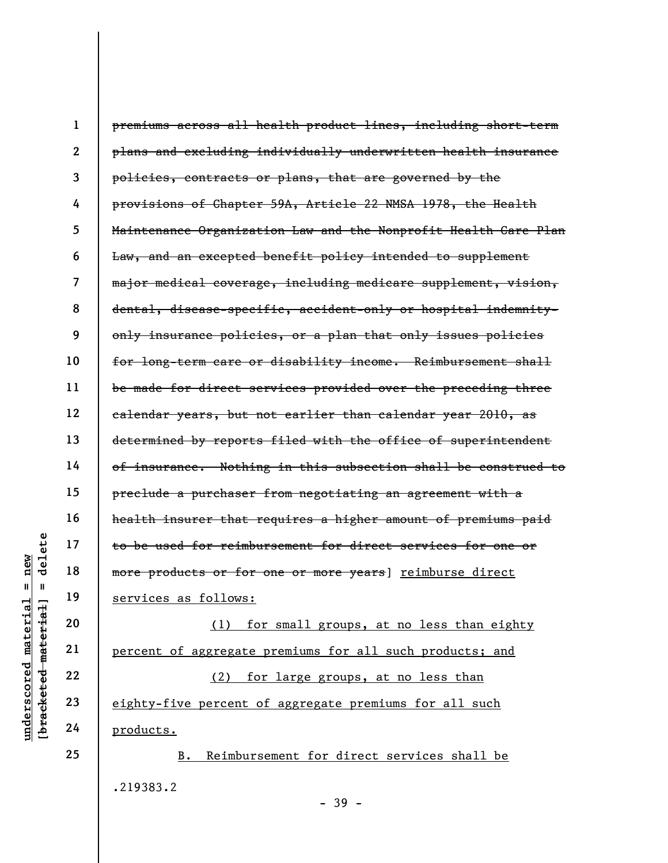|                                                | $\mathbf{1}$            | premiums across all health product lines, including short-term  |
|------------------------------------------------|-------------------------|-----------------------------------------------------------------|
|                                                | $\mathbf{2}$            | plans and excluding individually underwritten health insurance  |
|                                                | 3                       | policies, contracts or plans, that are governed by the          |
|                                                | 4                       | provisions of Chapter 59A, Article 22 NMSA 1978, the Health     |
|                                                | 5                       | Maintenance Organization Law and the Nonprofit Health Care Plan |
|                                                | 6                       | Law, and an excepted benefit policy intended to supplement      |
|                                                | $\overline{\mathbf{z}}$ | major medical coverage, including medicare supplement, vision,  |
|                                                | 8                       | dental, disease-specific, accident-only or hospital indemnity-  |
|                                                | 9                       | only insurance policies, or a plan that only issues policies    |
|                                                | 10                      | for long-term care or disability income. Reimbursement shall    |
|                                                | 11                      | be made for direct services provided over the preceding three   |
|                                                | 12                      | calendar years, but not earlier than calendar year 2010, as     |
|                                                | 13                      | determined by reports filed with the office of superintendent   |
|                                                | 14                      | of insurance. Nothing in this subsection shall be construed to  |
|                                                | 15                      | preclude a purchaser from negotiating an agreement with a       |
|                                                | 16                      | health insurer that requires a higher amount of premiums paid   |
| delete                                         | 17                      | to be used for reimbursement for direct services for one or     |
| new                                            | 18                      | more products or for one or more years] reimburse direct        |
| Ш<br>H                                         | 19                      | services as follows:                                            |
| materia                                        | 20                      | for small groups, at no less than eighty<br>(1)                 |
|                                                | 21                      | percent of aggregate premiums for all such products; and        |
| [ <del>bracketed material</del><br>underscored | 22                      | for large groups, at no less than<br>(2)                        |
|                                                | 23                      | eighty-five percent of aggregate premiums for all such          |
|                                                | 24                      | products.                                                       |
|                                                | 25                      | Reimbursement for direct services shall be<br><b>B.</b>         |
|                                                |                         | .219383.2                                                       |

- 39 -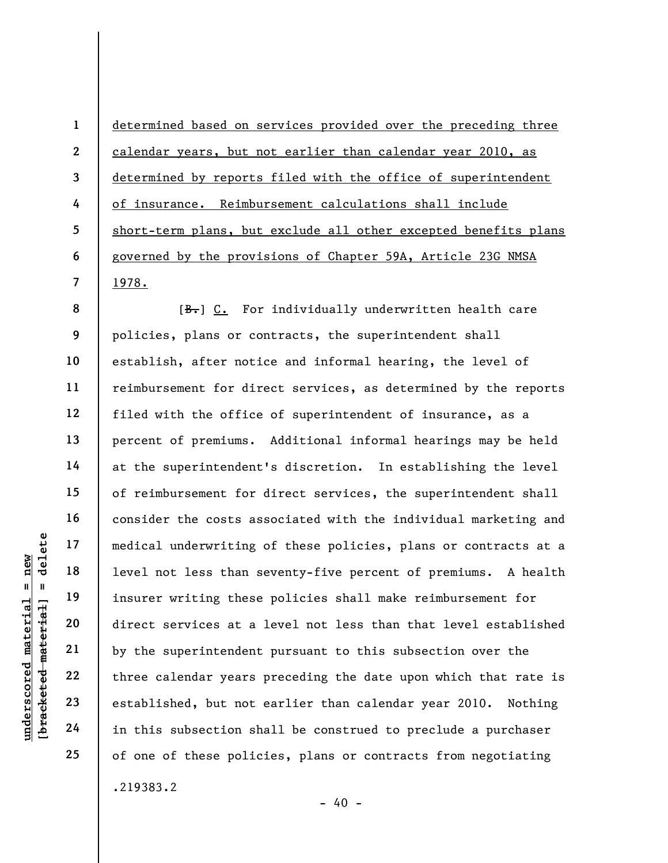determined based on services provided over the preceding three calendar years, but not earlier than calendar year 2010, as determined by reports filed with the office of superintendent of insurance. Reimbursement calculations shall include short-term plans, but exclude all other excepted benefits plans governed by the provisions of Chapter 59A, Article 23G NMSA 1978.

underscored material = new [bracketed material] = delete [B.] C. For individually underwritten health care policies, plans or contracts, the superintendent shall establish, after notice and informal hearing, the level of reimbursement for direct services, as determined by the reports filed with the office of superintendent of insurance, as a percent of premiums. Additional informal hearings may be held at the superintendent's discretion. In establishing the level of reimbursement for direct services, the superintendent shall consider the costs associated with the individual marketing and medical underwriting of these policies, plans or contracts at a level not less than seventy-five percent of premiums. A health insurer writing these policies shall make reimbursement for direct services at a level not less than that level established by the superintendent pursuant to this subsection over the three calendar years preceding the date upon which that rate is established, but not earlier than calendar year 2010. Nothing in this subsection shall be construed to preclude a purchaser of one of these policies, plans or contracts from negotiating .219383.2

 $- 40 -$ 

1

2

3

4

5

6

7

8

9

10

11

12

13

14

15

16

17

18

19

20

21

22

23

24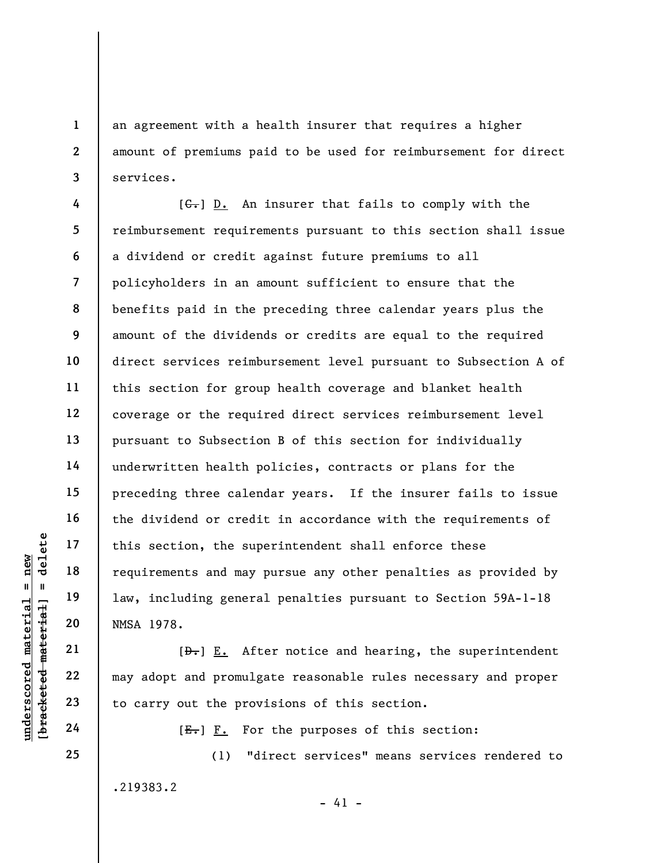an agreement with a health insurer that requires a higher amount of premiums paid to be used for reimbursement for direct services.

understand material material end and material end and material end and material end and material and material material and material end of the same of the same of the same of the same of the same of the same of the same of  $[G<sub>1</sub>]$  D. An insurer that fails to comply with the reimbursement requirements pursuant to this section shall issue a dividend or credit against future premiums to all policyholders in an amount sufficient to ensure that the benefits paid in the preceding three calendar years plus the amount of the dividends or credits are equal to the required direct services reimbursement level pursuant to Subsection A of this section for group health coverage and blanket health coverage or the required direct services reimbursement level pursuant to Subsection B of this section for individually underwritten health policies, contracts or plans for the preceding three calendar years. If the insurer fails to issue the dividend or credit in accordance with the requirements of this section, the superintendent shall enforce these requirements and may pursue any other penalties as provided by law, including general penalties pursuant to Section 59A-1-18 NMSA 1978.

 $[\frac{D-1}{2}]$  E. After notice and hearing, the superintendent may adopt and promulgate reasonable rules necessary and proper to carry out the provisions of this section.

 $[E-]$   $F.$  For the purposes of this section:

(1) "direct services" means services rendered to .219383.2

 $- 41 -$ 

24 25

1

2

3

4

5

6

7

8

9

10

11

12

13

14

15

16

17

18

19

20

21

22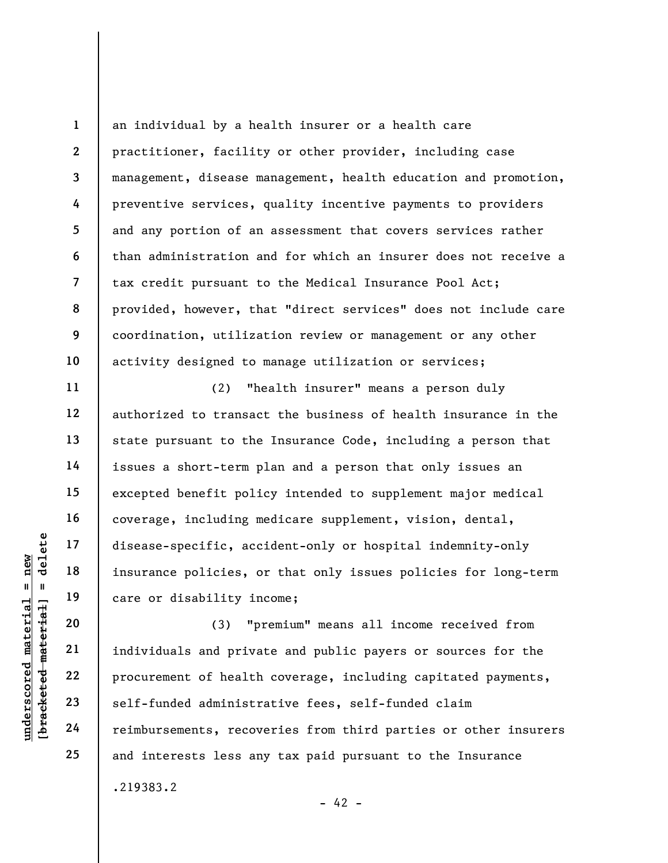1 2 3 4 5 6 7 8 9 10 an individual by a health insurer or a health care practitioner, facility or other provider, including case management, disease management, health education and promotion, preventive services, quality incentive payments to providers and any portion of an assessment that covers services rather than administration and for which an insurer does not receive a tax credit pursuant to the Medical Insurance Pool Act; provided, however, that "direct services" does not include care coordination, utilization review or management or any other activity designed to manage utilization or services;

(2) "health insurer" means a person duly authorized to transact the business of health insurance in the state pursuant to the Insurance Code, including a person that issues a short-term plan and a person that only issues an excepted benefit policy intended to supplement major medical coverage, including medicare supplement, vision, dental, disease-specific, accident-only or hospital indemnity-only insurance policies, or that only issues policies for long-term care or disability income;

underschiff and the set of the set of the set of the set of the set of the set of the set of the set of the set of the set of the set of the set of the set of the set of the set of the set of the set of the set of the set (3) "premium" means all income received from individuals and private and public payers or sources for the procurement of health coverage, including capitated payments, self-funded administrative fees, self-funded claim reimbursements, recoveries from third parties or other insurers and interests less any tax paid pursuant to the Insurance .219383.2

11

12

13

14

15

16

17

18

19

20

21

22

23

24

25

 $- 42 -$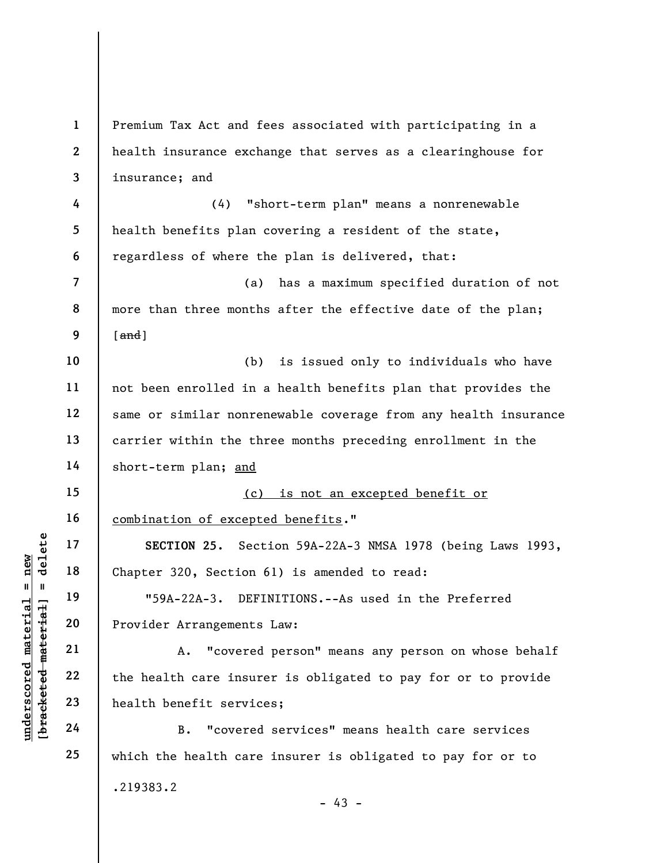underscored material = new [bracketed material] = delete 1 2 3 4 5 6 7 8 9 10 11 12 13 14 15 16 17 18 19 20 21 22 23 24 25 Premium Tax Act and fees associated with participating in a health insurance exchange that serves as a clearinghouse for insurance; and (4) "short-term plan" means a nonrenewable health benefits plan covering a resident of the state, regardless of where the plan is delivered, that: (a) has a maximum specified duration of not more than three months after the effective date of the plan;  $[and]$ (b) is issued only to individuals who have not been enrolled in a health benefits plan that provides the same or similar nonrenewable coverage from any health insurance carrier within the three months preceding enrollment in the short-term plan; and (c) is not an excepted benefit or combination of excepted benefits." SECTION 25. Section 59A-22A-3 NMSA 1978 (being Laws 1993, Chapter 320, Section 61) is amended to read: "59A-22A-3. DEFINITIONS.--As used in the Preferred Provider Arrangements Law: A. "covered person" means any person on whose behalf the health care insurer is obligated to pay for or to provide health benefit services; B. "covered services" means health care services which the health care insurer is obligated to pay for or to .219383.2  $- 43 -$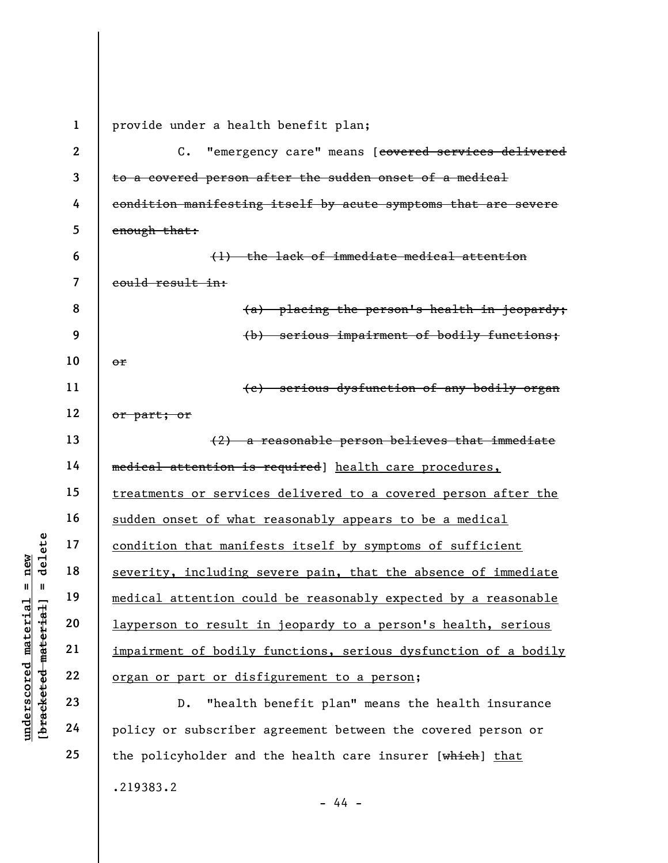underscored material = new [bracketed material] = delete 1 2 3 4 5 6 7 8 9 10 11 12 13 14 15 16 17 18 19 20 21 22 23 provide under a health benefit plan; C. "emergency care" means [covered services delivered to a covered person after the sudden onset of a medical condition manifesting itself by acute symptoms that are severe enough that: (1) the lack of immediate medical attention could result in: (a) placing the person's health in jeopardy; (b) serious impairment of bodily functions; or (c) serious dysfunction of any bodily organ or part; or (2) a reasonable person believes that immediate medical attention is required] health care procedures, treatments or services delivered to a covered person after the sudden onset of what reasonably appears to be a medical condition that manifests itself by symptoms of sufficient severity, including severe pain, that the absence of immediate medical attention could be reasonably expected by a reasonable layperson to result in jeopardy to a person's health, serious impairment of bodily functions, serious dysfunction of a bodily organ or part or disfigurement to a person; D. "health benefit plan" means the health insurance

policy or subscriber agreement between the covered person or the policyholder and the health care insurer [which] that .219383.2 - 44 -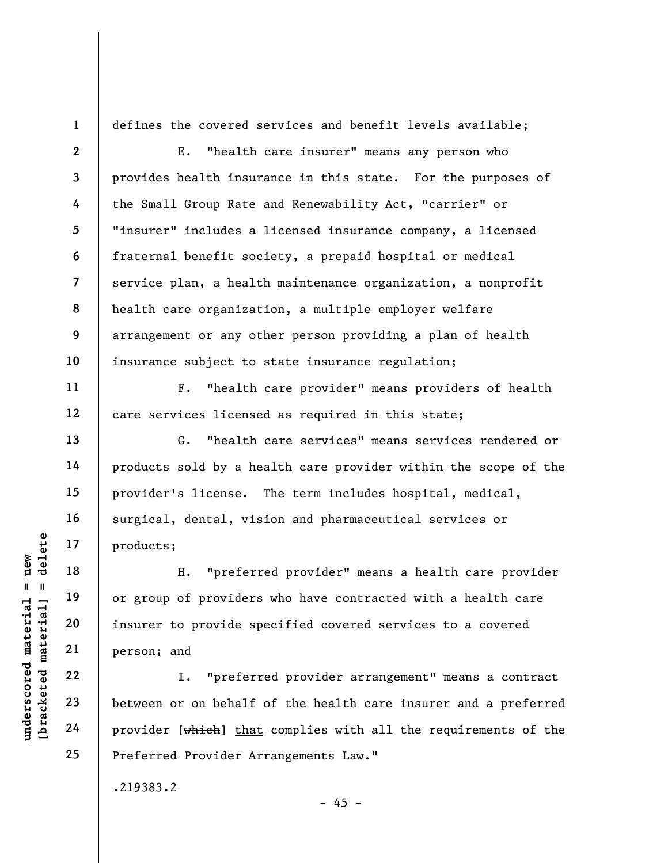1

2

3

4

5

6

7

8

9

10

11

12

13

14

15

16

17

18

19

20

21

22

23

24

25

defines the covered services and benefit levels available;

E. "health care insurer" means any person who provides health insurance in this state. For the purposes of the Small Group Rate and Renewability Act, "carrier" or "insurer" includes a licensed insurance company, a licensed fraternal benefit society, a prepaid hospital or medical service plan, a health maintenance organization, a nonprofit health care organization, a multiple employer welfare arrangement or any other person providing a plan of health insurance subject to state insurance regulation;

F. "health care provider" means providers of health care services licensed as required in this state;

G. "health care services" means services rendered or products sold by a health care provider within the scope of the provider's license. The term includes hospital, medical, surgical, dental, vision and pharmaceutical services or products;

underscored material = new [bracketed material] = delete H. "preferred provider" means a health care provider or group of providers who have contracted with a health care insurer to provide specified covered services to a covered person; and

I. "preferred provider arrangement" means a contract between or on behalf of the health care insurer and a preferred provider [which] that complies with all the requirements of the Preferred Provider Arrangements Law."

.219383.2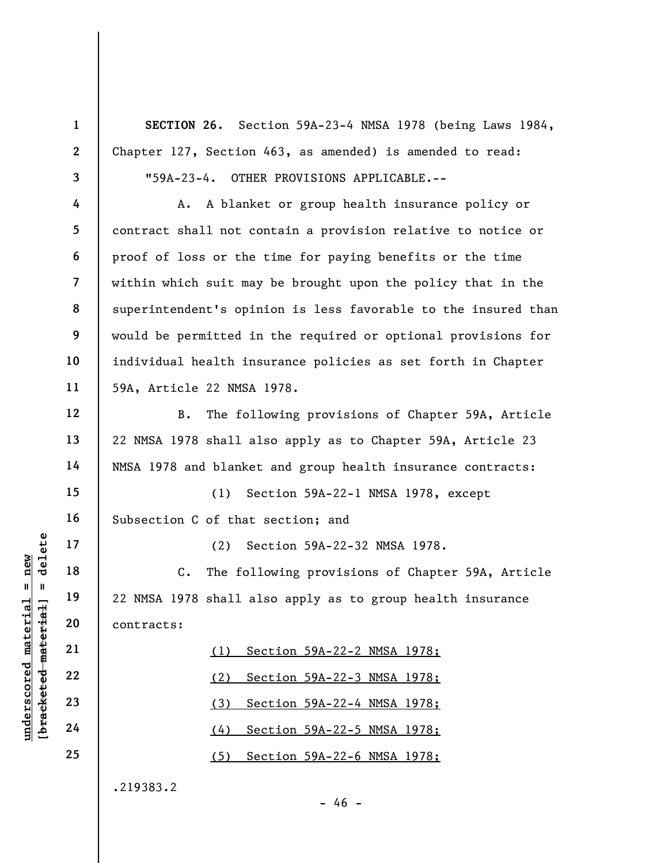UN EXECUTE 18<br>
UN EXECUTE 18<br>
19<br>
19<br>
20<br>
21<br>
22 NMSA 1978 shall al<br>
22 NMSA 1978 shall al<br>
22 C. The foll<br>
22 NMSA 1978 shall al<br>
22 C. The foll<br>
22 C. The foll<br>
22 C. The foll<br>
22 C. The foll<br>
22 C. The foll<br>
22 C. The f 1 2 3 4 5 6 7 8 9 10 11 12 13 14 15 16 17 18 19 20 21 22 23 24 25 SECTION 26. Section 59A-23-4 NMSA 1978 (being Laws 1984, Chapter 127, Section 463, as amended) is amended to read: "59A-23-4. OTHER PROVISIONS APPLICABLE.-- A. A blanket or group health insurance policy or contract shall not contain a provision relative to notice or proof of loss or the time for paying benefits or the time within which suit may be brought upon the policy that in the superintendent's opinion is less favorable to the insured than would be permitted in the required or optional provisions for individual health insurance policies as set forth in Chapter 59A, Article 22 NMSA 1978. B. The following provisions of Chapter 59A, Article 22 NMSA 1978 shall also apply as to Chapter 59A, Article 23 NMSA 1978 and blanket and group health insurance contracts: (1) Section 59A-22-1 NMSA 1978, except Subsection C of that section; and (2) Section 59A-22-32 NMSA 1978. C. The following provisions of Chapter 59A, Article 22 NMSA 1978 shall also apply as to group health insurance contracts: (1) Section 59A-22-2 NMSA 1978; (2) Section 59A-22-3 NMSA 1978; (3) Section 59A-22-4 NMSA 1978; (4) Section 59A-22-5 NMSA 1978; (5) Section 59A-22-6 NMSA 1978; .219383.2

 $- 46 -$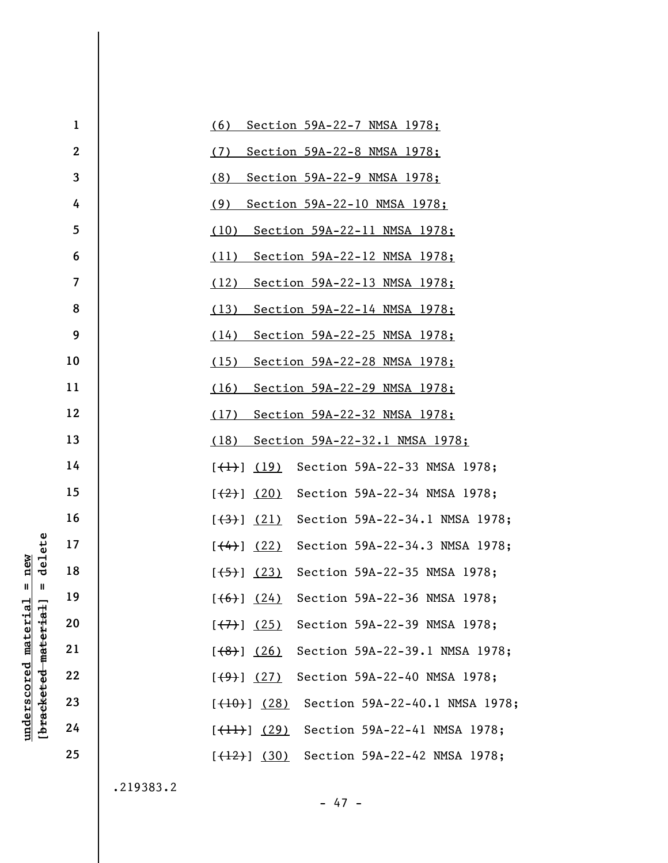| 1                | (6)<br>Section 59A-22-7 NMSA 1978;                               |
|------------------|------------------------------------------------------------------|
| $\boldsymbol{2}$ | (7)<br><u>Section 59A-22-8 NMSA 1978;</u>                        |
| 3                | (8)<br>Section 59A-22-9 NMSA 1978;                               |
| 4                | (9)<br>Section 59A-22-10 NMSA 1978;                              |
| 5                | Section 59A-22-11 NMSA 1978;<br>(10)                             |
| 6                | (11)<br><u>Section 59A-22-12 NMSA 1978;</u>                      |
| 7                | (12)<br><u>Section 59A-22-13 NMSA 1978;</u>                      |
| 8                | (13)<br><u>Section 59A-22-14 NMSA 1978;</u>                      |
| 9                | (14)<br><u>Section 59A-22-25 NMSA 1978;</u>                      |
| 10               | (15)<br><u>Section 59A-22-28 NMSA 1978;</u>                      |
| 11               | (16)<br><u>Section 59A-22-29 NMSA 1978;</u>                      |
| 12               | (17)<br><u>Section 59A-22-32 NMSA 1978;</u>                      |
| 13               | (18)<br>Section 59A-22-32.1 NMSA 1978;                           |
| 14               | Section 59A-22-33 NMSA 1978;<br>$[\left(\frac{1}{2}\right)$ (19) |
| 15               | Section 59A-22-34 NMSA 1978;<br>[ (20)                           |
| 16               | Section 59A-22-34.1 NMSA 1978;<br>[ (3) ] (21)                   |
| 17               | Section 59A-22-34.3 NMSA 1978;<br>$[$ (4) $(22)$                 |
| 18               | Section 59A-22-35 NMSA 1978;<br>$[\frac{(+5)}{2}]$ (23)          |
| 19               | $[ (6)] (24)$ Section 59A-22-36 NMSA 1978;                       |
| 20               | Section 59A-22-39 NMSA 1978;<br>[ (7) ] (25)                     |
| 21               | Section 59A-22-39.1 NMSA 1978;<br>[ (8) ] (26)                   |
| 22               | Section 59A-22-40 NMSA 1978;<br>[ (9) ] (27)                     |
| 23               | Section 59A-22-40.1 NMSA 1978;<br>$[\frac{(10)}{10}]$ (28)       |
| 24               | Section 59A-22-41 NMSA 1978;<br>$[\frac{1}{1}]$ (29)             |
| 25               | Section 59A-22-42 NMSA 1978;<br>$[\frac{(12)}{(12)}]$ (30)       |
|                  |                                                                  |

.219383.2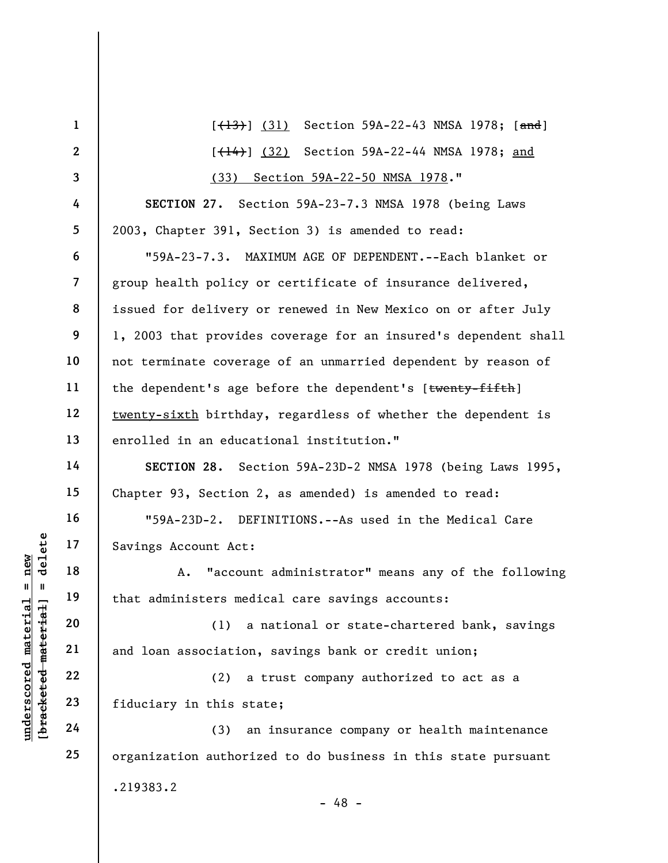|                                                           | $\mathbf{1}$             | $[$ $(13)$ $(31)$ Section 59A-22-43 NMSA 1978; $[$ and]         |  |  |
|-----------------------------------------------------------|--------------------------|-----------------------------------------------------------------|--|--|
|                                                           | $\mathbf{2}$             | [ <del>(14)</del> ] (32) Section 59A-22-44 NMSA 1978; and       |  |  |
|                                                           | $\overline{\mathbf{3}}$  | (33) Section 59A-22-50 NMSA 1978."                              |  |  |
|                                                           | 4                        | SECTION 27. Section 59A-23-7.3 NMSA 1978 (being Laws            |  |  |
|                                                           | 5                        | 2003, Chapter 391, Section 3) is amended to read:               |  |  |
|                                                           | 6                        | "59A-23-7.3. MAXIMUM AGE OF DEPENDENT.--Each blanket or         |  |  |
|                                                           | $\overline{\mathcal{L}}$ | group health policy or certificate of insurance delivered,      |  |  |
|                                                           | 8                        | issued for delivery or renewed in New Mexico on or after July   |  |  |
|                                                           | 9                        | 1, 2003 that provides coverage for an insured's dependent shall |  |  |
|                                                           | 10                       | not terminate coverage of an unmarried dependent by reason of   |  |  |
|                                                           | 11                       | the dependent's age before the dependent's [twenty-fifth]       |  |  |
|                                                           | 12                       | twenty-sixth birthday, regardless of whether the dependent is   |  |  |
|                                                           | 13                       | enrolled in an educational institution."                        |  |  |
|                                                           | 14                       | SECTION 28. Section 59A-23D-2 NMSA 1978 (being Laws 1995,       |  |  |
|                                                           | 15                       | Chapter 93, Section 2, as amended) is amended to read:          |  |  |
|                                                           | 16                       | "59A-23D-2. DEFINITIONS.--As used in the Medical Care           |  |  |
| delete                                                    | 17                       | Savings Account Act:                                            |  |  |
| $n$ ew                                                    | 18                       | "account administrator" means any of the following<br>Α.        |  |  |
| Ш<br>-11                                                  | 19                       | that administers medical care savings accounts:                 |  |  |
|                                                           | 20                       | (1)<br>a national or state-chartered bank, savings              |  |  |
| underscored material<br>[ <del>bracketed material</del> ] | 21                       | and loan association, savings bank or credit union;             |  |  |
|                                                           | 22                       | a trust company authorized to act as a<br>(2)                   |  |  |
|                                                           | 23                       | fiduciary in this state;                                        |  |  |
|                                                           | 24                       | an insurance company or health maintenance<br>(3)               |  |  |
|                                                           | 25                       | organization authorized to do business in this state pursuant   |  |  |
|                                                           |                          | .219383.2<br>$-48 -$                                            |  |  |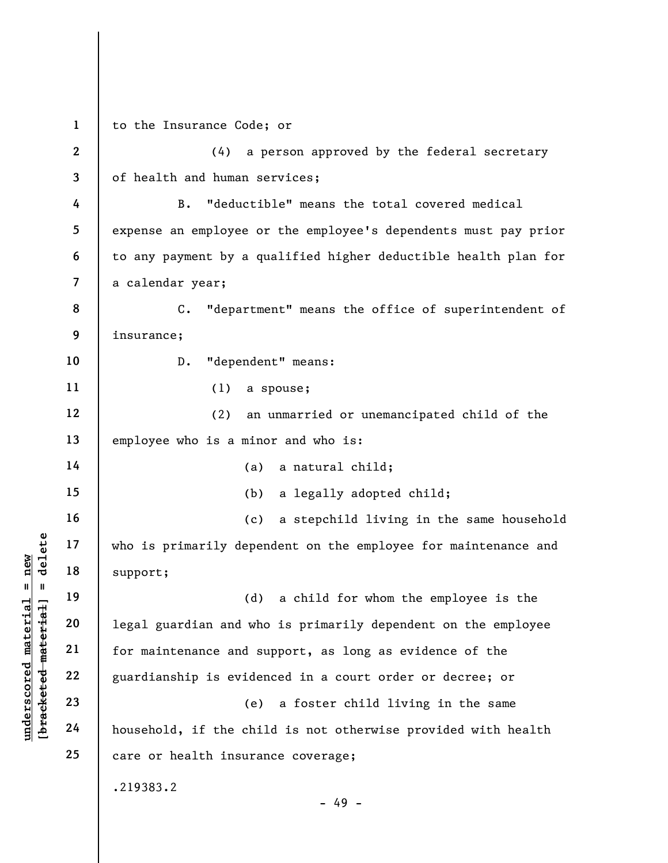understand material material support;<br>  $\begin{array}{c|c|c|c} \n\text{u} & \text{u} & \text{u} & \text{u} & \text{u} & \text{u} & \text{u} & \text{u} & \text{u} & \text{u} & \text{u} & \text{u} & \text{u} & \text{u} & \text{u} & \text{u} & \text{u} & \text{u} & \text{u} & \text{u} & \text{u} & \text{u} & \text{u} & \text{u} & \text{u} & \text{u} & \text{u} & \text{u}$ 1 2 3 4 5 6 7 8 9 10 11 12 13 14 15 16 17 18 19 20 21 22 23 24 25 to the Insurance Code; or (4) a person approved by the federal secretary of health and human services; B. "deductible" means the total covered medical expense an employee or the employee's dependents must pay prior to any payment by a qualified higher deductible health plan for a calendar year; C. "department" means the office of superintendent of insurance; D. "dependent" means: (1) a spouse; (2) an unmarried or unemancipated child of the employee who is a minor and who is: (a) a natural child; (b) a legally adopted child; (c) a stepchild living in the same household who is primarily dependent on the employee for maintenance and support; (d) a child for whom the employee is the legal guardian and who is primarily dependent on the employee for maintenance and support, as long as evidence of the guardianship is evidenced in a court order or decree; or (e) a foster child living in the same household, if the child is not otherwise provided with health care or health insurance coverage; .219383.2 - 49 -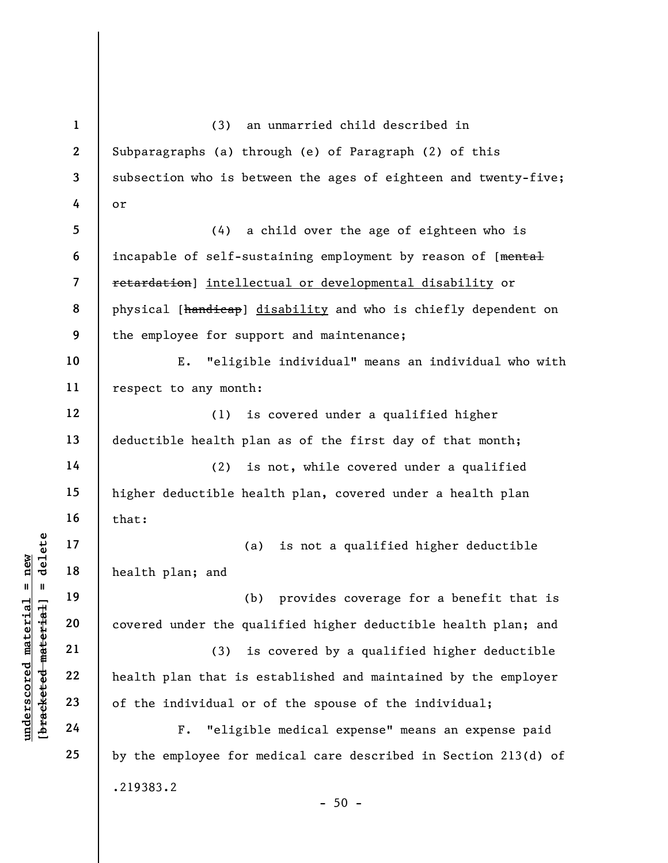underscored material and the plane and the plane and the plane and the plane and the plane and the plane and the plane and the plane and the plane and the plane and the plane and the plane and the plane and the plane the q 1 2 3 4 5 6 7 8 9 10 11 12 13 14 15 16 17 18 19 20 21 22 23 24 25 (3) an unmarried child described in Subparagraphs (a) through (e) of Paragraph (2) of this subsection who is between the ages of eighteen and twenty-five; or (4) a child over the age of eighteen who is incapable of self-sustaining employment by reason of [mental retardation] intellectual or developmental disability or physical [handicap] disability and who is chiefly dependent on the employee for support and maintenance; E. "eligible individual" means an individual who with respect to any month: (1) is covered under a qualified higher deductible health plan as of the first day of that month; (2) is not, while covered under a qualified higher deductible health plan, covered under a health plan that: (a) is not a qualified higher deductible health plan; and (b) provides coverage for a benefit that is covered under the qualified higher deductible health plan; and (3) is covered by a qualified higher deductible health plan that is established and maintained by the employer of the individual or of the spouse of the individual; F. "eligible medical expense" means an expense paid by the employee for medical care described in Section 213(d) of .219383.2  $-50 -$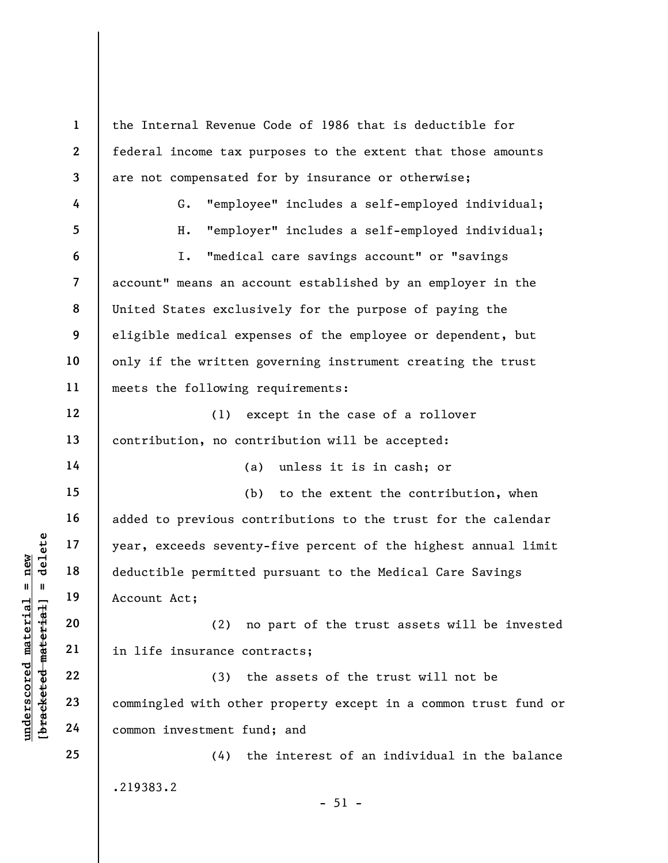understand material material states of the series of the deductible permitted<br>
starting in 19 account Act;<br>
20 c2 c2 c2 c3 commingled with other<br>
24 common investment functions. 1 2 3 4 5 6 7 8 9 10 11 12 13 14 15 16 17 18 19 20 21 22 23 24 25 the Internal Revenue Code of 1986 that is deductible for federal income tax purposes to the extent that those amounts are not compensated for by insurance or otherwise; G. "employee" includes a self-employed individual; H. "employer" includes a self-employed individual; I. "medical care savings account" or "savings account" means an account established by an employer in the United States exclusively for the purpose of paying the eligible medical expenses of the employee or dependent, but only if the written governing instrument creating the trust meets the following requirements: (1) except in the case of a rollover contribution, no contribution will be accepted: (a) unless it is in cash; or (b) to the extent the contribution, when added to previous contributions to the trust for the calendar year, exceeds seventy-five percent of the highest annual limit deductible permitted pursuant to the Medical Care Savings Account Act; (2) no part of the trust assets will be invested in life insurance contracts; (3) the assets of the trust will not be commingled with other property except in a common trust fund or common investment fund; and (4) the interest of an individual in the balance .219383.2

 $-51 -$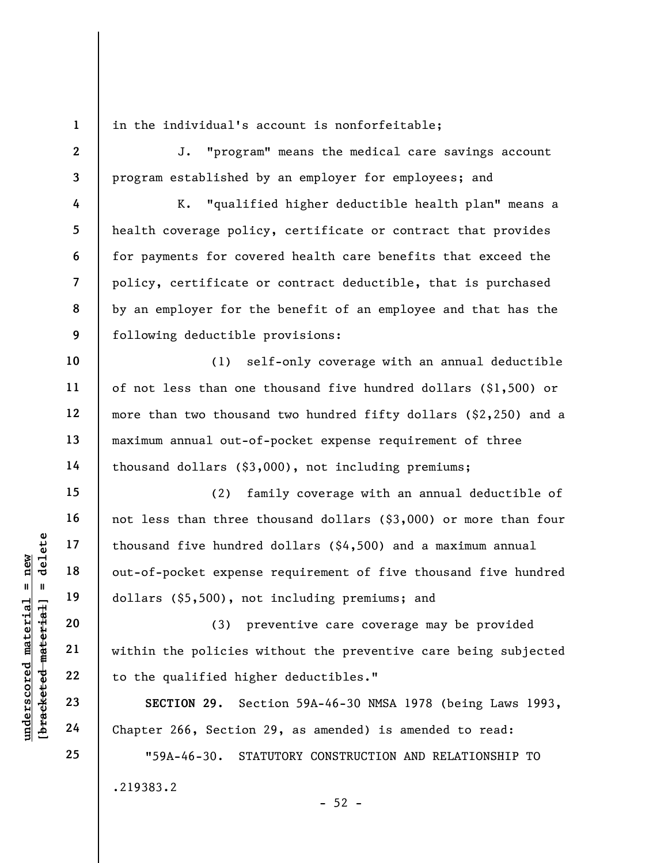1 2

3

4

5

6

7

8

9

10

11

12

13

14

15

16

17

18

19

20

21

22

23

24

25

in the individual's account is nonforfeitable;

J. "program" means the medical care savings account program established by an employer for employees; and

K. "qualified higher deductible health plan" means a health coverage policy, certificate or contract that provides for payments for covered health care benefits that exceed the policy, certificate or contract deductible, that is purchased by an employer for the benefit of an employee and that has the following deductible provisions:

(1) self-only coverage with an annual deductible of not less than one thousand five hundred dollars (\$1,500) or more than two thousand two hundred fifty dollars (\$2,250) and a maximum annual out-of-pocket expense requirement of three thousand dollars (\$3,000), not including premiums;

under 17<br>
and 18<br>
under 18<br>
under 19<br>
dollars (\$5,500), not<br>
dollars (\$5,500), not<br>
dollars (\$5,500), not<br>
(3) pr<br>
within the policies w<br>
z2<br>
to the qualified high<br>
xECTION 29. Sec<br>
24<br>
Chapter 266, Section (2) family coverage with an annual deductible of not less than three thousand dollars (\$3,000) or more than four thousand five hundred dollars (\$4,500) and a maximum annual out-of-pocket expense requirement of five thousand five hundred dollars (\$5,500), not including premiums; and

(3) preventive care coverage may be provided within the policies without the preventive care being subjected to the qualified higher deductibles."

SECTION 29. Section 59A-46-30 NMSA 1978 (being Laws 1993, Chapter 266, Section 29, as amended) is amended to read:

"59A-46-30. STATUTORY CONSTRUCTION AND RELATIONSHIP TO .219383.2

 $-52 -$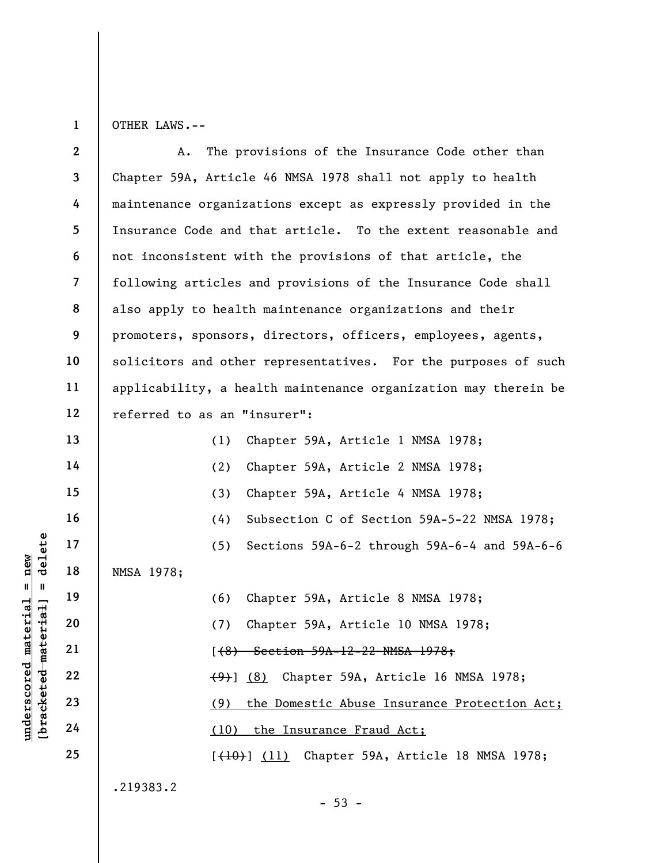1 OTHER LAWS.--

Underscore of the MMSA 1978;<br>  $\begin{array}{c|cc}\n\text{a} & \text{b} & \text{b} & \text{b} \\
\text{c} & \text{d} & \text{e} & \text{d} & \text{d} \\
\text{d} & \text{e} & \text{f} & \text{f} & \text{g} \\
\text{d} & \text{f} & \text{g} & \text{g} & \text{h} \\
\text{h} & \text{h} & \text{h} & \text{h} & \text{h} \\
\text{h} & \text{h} & \text{h} & \text{h} & \text{h} \\
\text{h} & \$ 2 3 4 5 6 7 8 9 10 11 12 13 14 15 16 17 18 19 20 21 22 23 24 25 A. The provisions of the Insurance Code other than Chapter 59A, Article 46 NMSA 1978 shall not apply to health maintenance organizations except as expressly provided in the Insurance Code and that article. To the extent reasonable and not inconsistent with the provisions of that article, the following articles and provisions of the Insurance Code shall also apply to health maintenance organizations and their promoters, sponsors, directors, officers, employees, agents, solicitors and other representatives. For the purposes of such applicability, a health maintenance organization may therein be referred to as an "insurer": (1) Chapter 59A, Article 1 NMSA 1978; (2) Chapter 59A, Article 2 NMSA 1978; (3) Chapter 59A, Article 4 NMSA 1978; (4) Subsection C of Section 59A-5-22 NMSA 1978; (5) Sections 59A-6-2 through 59A-6-4 and 59A-6-6 NMSA 1978; (6) Chapter 59A, Article 8 NMSA 1978; (7) Chapter 59A, Article 10 NMSA 1978; [(8) Section 59A-12-22 NMSA 1978; (9)] (8) Chapter 59A, Article 16 NMSA 1978; (9) the Domestic Abuse Insurance Protection Act; (10) the Insurance Fraud Act; [(10)] (11) Chapter 59A, Article 18 NMSA 1978; .219383.2

 $-53 -$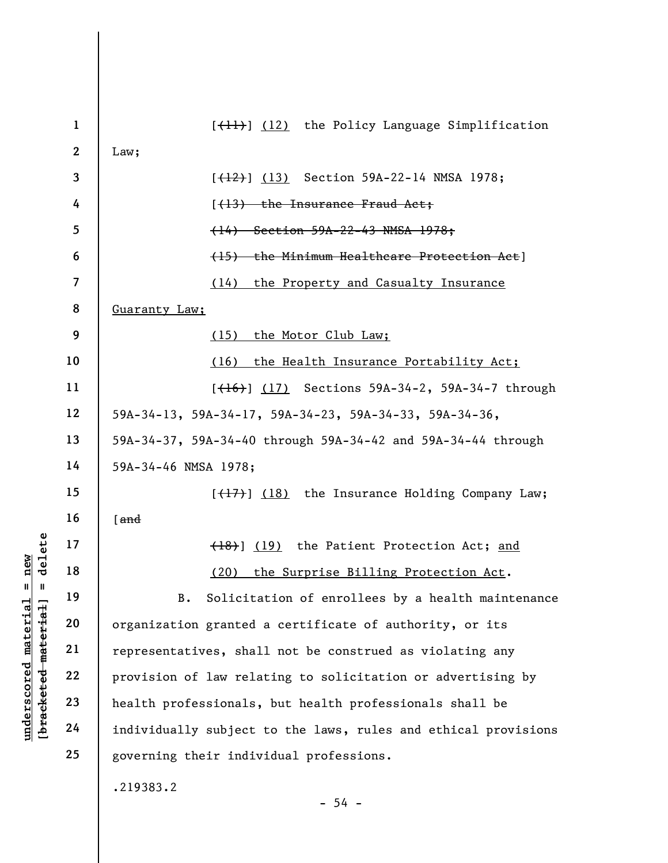|                                 | $\mathbf{1}$   | [ <del>(11)</del> ] (12) the Policy Language Simplification    |
|---------------------------------|----------------|----------------------------------------------------------------|
|                                 | $\mathbf{2}$   | Law;                                                           |
|                                 | $\mathbf{3}$   | $[$ $(12)$ $(13)$ Section 59A-22-14 NMSA 1978;                 |
|                                 | 4              | [(13) the Insurance Fraud Act;                                 |
|                                 | 5              | (14) Section 59A-22-43 NMSA 1978;                              |
|                                 | 6              | (15) the Minimum Healthcare Protection Act]                    |
|                                 | $\overline{7}$ | (14)<br>the Property and Casualty Insurance                    |
|                                 | 8              | Guaranty Law;                                                  |
|                                 | 9              | (15)<br>the Motor Club Law;                                    |
|                                 | 10             | (16)<br>the Health Insurance Portability Act;                  |
|                                 | 11             | [ <del>(16)</del> ] (17) Sections 59A-34-2, 59A-34-7 through   |
|                                 | 12             | 59A-34-13, 59A-34-17, 59A-34-23, 59A-34-33, 59A-34-36,         |
|                                 | 13             | 59A-34-37, 59A-34-40 through 59A-34-42 and 59A-34-44 through   |
|                                 | 14             | 59A-34-46 NMSA 1978;                                           |
|                                 | 15             | [(17)] (18) the Insurance Holding Company Law;                 |
|                                 | 16             | $[$ and                                                        |
| delete                          | 17             | (18) (19) the Patient Protection Act; and                      |
| new<br>$\mathbf{II}$            | 18             | (20) the Surprise Billing Protection Act.                      |
| - II                            | 19             | Solicitation of enrollees by a health maintenance<br>B.        |
| materia.<br>[bracketed material | 20             | organization granted a certificate of authority, or its        |
|                                 | 21             | representatives, shall not be construed as violating any       |
|                                 | 22             | provision of law relating to solicitation or advertising by    |
| underscored                     | 23             | health professionals, but health professionals shall be        |
|                                 | 24             | individually subject to the laws, rules and ethical provisions |
|                                 | 25             | governing their individual professions.                        |
|                                 |                | .219383.2<br>$-54 -$                                           |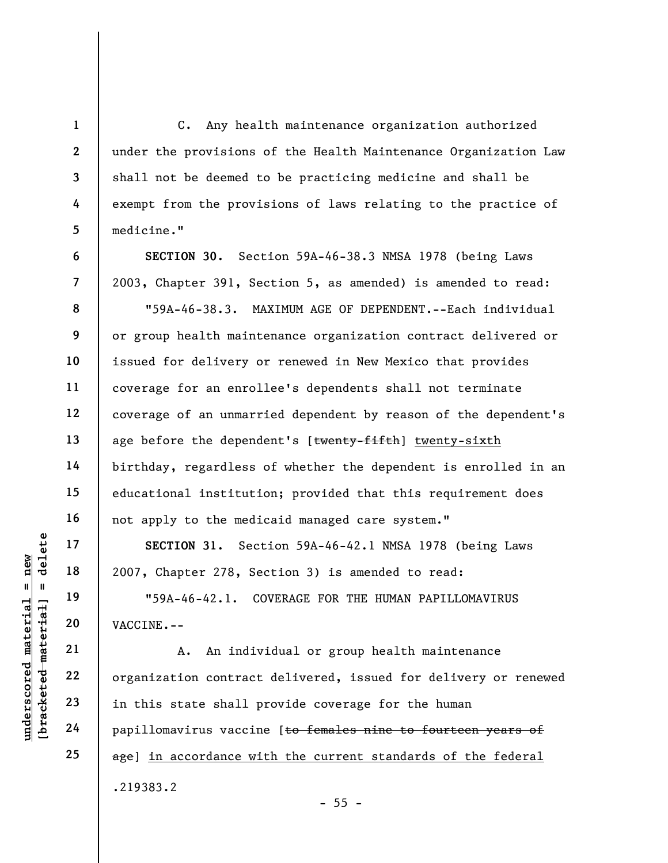C. Any health maintenance organization authorized under the provisions of the Health Maintenance Organization Law shall not be deemed to be practicing medicine and shall be exempt from the provisions of laws relating to the practice of medicine."

SECTION 30. Section 59A-46-38.3 NMSA 1978 (being Laws 2003, Chapter 391, Section 5, as amended) is amended to read:

"59A-46-38.3. MAXIMUM AGE OF DEPENDENT.--Each individual or group health maintenance organization contract delivered or issued for delivery or renewed in New Mexico that provides coverage for an enrollee's dependents shall not terminate coverage of an unmarried dependent by reason of the dependent's age before the dependent's [twenty-fifth] twenty-sixth birthday, regardless of whether the dependent is enrolled in an educational institution; provided that this requirement does not apply to the medicaid managed care system."

SECTION 31. Section 59A-46-42.1 NMSA 1978 (being Laws 2007, Chapter 278, Section 3) is amended to read:

"59A-46-42.1. COVERAGE FOR THE HUMAN PAPILLOMAVIRUS VACCINE.--

underscored material = new [bracketed material] = delete A. An individual or group health maintenance organization contract delivered, issued for delivery or renewed in this state shall provide coverage for the human papillomavirus vaccine [to females nine to fourteen years of age] in accordance with the current standards of the federal .219383.2

 $- 55 -$ 

1

2

3

4

5

6

7

8

9

10

11

12

13

14

15

16

17

18

19

20

21

22

23

24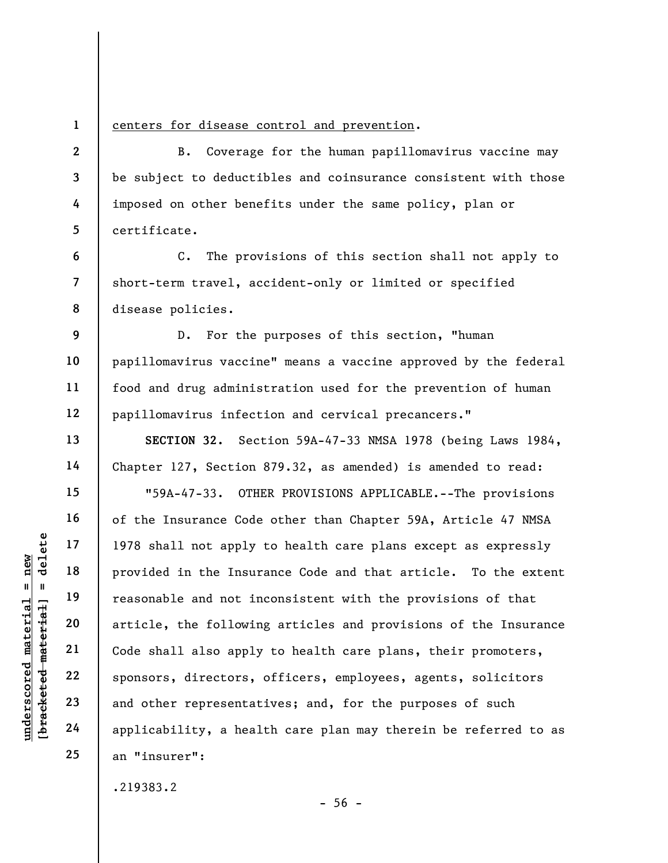1 2

3

4

5

6

7

8

9

10

11

12

13

14

15

16

17

18

19

20

21

22

23

24

25

## centers for disease control and prevention.

B. Coverage for the human papillomavirus vaccine may be subject to deductibles and coinsurance consistent with those imposed on other benefits under the same policy, plan or certificate.

C. The provisions of this section shall not apply to short-term travel, accident-only or limited or specified disease policies.

D. For the purposes of this section, "human papillomavirus vaccine" means a vaccine approved by the federal food and drug administration used for the prevention of human papillomavirus infection and cervical precancers."

SECTION 32. Section 59A-47-33 NMSA 1978 (being Laws 1984, Chapter 127, Section 879.32, as amended) is amended to read:

understand material material end are the set of the set of the set of the set of the set of the set of the set of the set of the set of the set of the set of the set of the set of the set of the set of the set of the set o "59A-47-33. OTHER PROVISIONS APPLICABLE.--The provisions of the Insurance Code other than Chapter 59A, Article 47 NMSA 1978 shall not apply to health care plans except as expressly provided in the Insurance Code and that article. To the extent reasonable and not inconsistent with the provisions of that article, the following articles and provisions of the Insurance Code shall also apply to health care plans, their promoters, sponsors, directors, officers, employees, agents, solicitors and other representatives; and, for the purposes of such applicability, a health care plan may therein be referred to as an "insurer":

.219383.2

 $-56 -$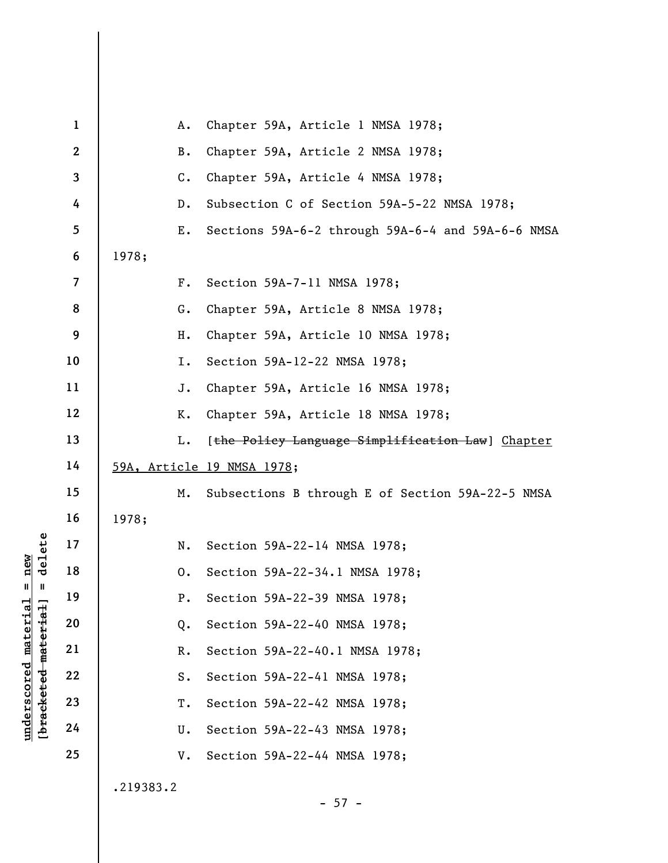|                                                         | $\mathbf{1}$     | Α.             | Chapter 59A, Article 1 NMSA 1978;                 |
|---------------------------------------------------------|------------------|----------------|---------------------------------------------------|
|                                                         | $\boldsymbol{2}$ | <b>B.</b>      | Chapter 59A, Article 2 NMSA 1978;                 |
|                                                         | $\mathbf{3}$     | $\mathsf{C}$ . | Chapter 59A, Article 4 NMSA 1978;                 |
|                                                         | 4                | $D$ .          | Subsection C of Section 59A-5-22 NMSA 1978;       |
|                                                         | 5                | Ε.             | Sections 59A-6-2 through 59A-6-4 and 59A-6-6 NMSA |
|                                                         | 6                | 1978;          |                                                   |
|                                                         | $\overline{7}$   | $F$ .          | Section 59A-7-11 NMSA 1978;                       |
|                                                         | 8                | G.             | Chapter 59A, Article 8 NMSA 1978;                 |
|                                                         | 9                | Η.             | Chapter 59A, Article 10 NMSA 1978;                |
|                                                         | 10               | I.             | Section 59A-12-22 NMSA 1978;                      |
|                                                         | 11               | J.             | Chapter 59A, Article 16 NMSA 1978;                |
|                                                         | 12               | К.             | Chapter 59A, Article 18 NMSA 1978;                |
|                                                         | 13               | L.             | [the Policy Language Simplification Law] Chapter  |
|                                                         | 14               |                | 59A, Article 19 NMSA 1978;                        |
|                                                         | 15               | М.             | Subsections B through E of Section 59A-22-5 NMSA  |
|                                                         | 16               | 1978;          |                                                   |
| delete                                                  | 17               | N.             | Section 59A-22-14 NMSA 1978;                      |
| new                                                     | 18               | 0.             | Section 59A-22-34.1 NMSA 1978;                    |
| Ш<br>Ш                                                  | 19               | $P$ .          | Section 59A-22-39 NMSA 1978;                      |
|                                                         | 20               | Q.             | Section 59A-22-40 NMSA 1978;                      |
|                                                         | 21               | $R$ .          | Section 59A-22-40.1 NMSA 1978;                    |
|                                                         | 22               | $S$ .          | Section 59A-22-41 NMSA 1978;                      |
| underscored material<br>[ <del>bracketed material</del> | 23               | Τ.             | Section 59A-22-42 NMSA 1978;                      |
|                                                         | 24               | U.             | Section 59A-22-43 NMSA 1978;                      |
|                                                         | 25               | V.             | Section 59A-22-44 NMSA 1978;                      |
|                                                         |                  | .219383.2      | $-57 -$                                           |
|                                                         |                  |                |                                                   |

 $\overline{\phantom{a}}$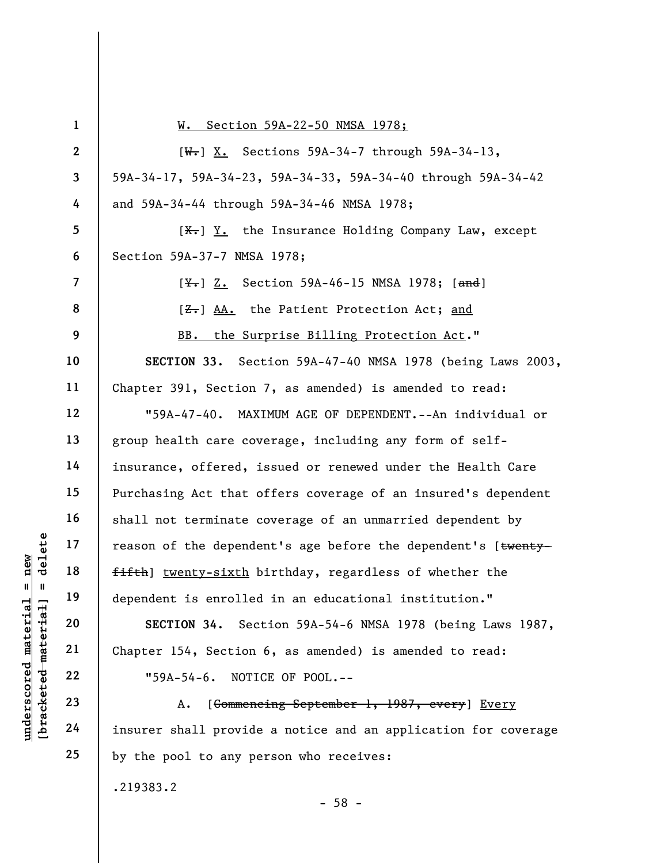|                                                         | $\mathbf{1}$            | Section 59A-22-50 NMSA 1978;<br>W.                             |
|---------------------------------------------------------|-------------------------|----------------------------------------------------------------|
|                                                         | $\mathbf{2}$            | $[W-]$ X. Sections 59A-34-7 through 59A-34-13,                 |
|                                                         | $\mathbf{3}$            | 59A-34-17, 59A-34-23, 59A-34-33, 59A-34-40 through 59A-34-42   |
|                                                         | 4                       | and 59A-34-44 through 59A-34-46 NMSA 1978;                     |
|                                                         | 5                       | $[\frac{X}{X}]$ Y. the Insurance Holding Company Law, except   |
|                                                         | 6                       | Section 59A-37-7 NMSA 1978;                                    |
|                                                         | $\overline{\mathbf{z}}$ | [ <del>Y.</del> ] Z. Section 59A-46-15 NMSA 1978; [and]        |
|                                                         | 8                       | [ <del>Z.</del> ] AA. the Patient Protection Act; and          |
|                                                         | 9                       | BB. the Surprise Billing Protection Act."                      |
|                                                         | 10                      | SECTION 33. Section 59A-47-40 NMSA 1978 (being Laws 2003,      |
|                                                         | 11                      | Chapter 391, Section 7, as amended) is amended to read:        |
|                                                         | 12                      | "59A-47-40. MAXIMUM AGE OF DEPENDENT.--An individual or        |
|                                                         | 13                      | group health care coverage, including any form of self-        |
|                                                         | 14                      | insurance, offered, issued or renewed under the Health Care    |
|                                                         | 15                      | Purchasing Act that offers coverage of an insured's dependent  |
|                                                         | 16                      | shall not terminate coverage of an unmarried dependent by      |
| delete                                                  | 17                      | reason of the dependent's age before the dependent's [twenty-  |
| $n$ ew                                                  | 18                      | fifth) twenty-sixth birthday, regardless of whether the        |
| Ш<br>- II                                               | 19                      | dependent is enrolled in an educational institution."          |
|                                                         | 20                      | SECTION 34. Section 59A-54-6 NMSA 1978 (being Laws 1987,       |
|                                                         | 21                      | Chapter 154, Section 6, as amended) is amended to read:        |
|                                                         | 22                      | NOTICE OF POOL.--<br>$"59A-54-6.$                              |
| underscored material<br>[ <del>bracketed material</del> | 23                      | [Commencing September 1, 1987, every] Every<br>Α.              |
|                                                         | 24                      | insurer shall provide a notice and an application for coverage |
|                                                         | 25                      | by the pool to any person who receives:                        |
|                                                         |                         | .219383.2                                                      |

- 58 -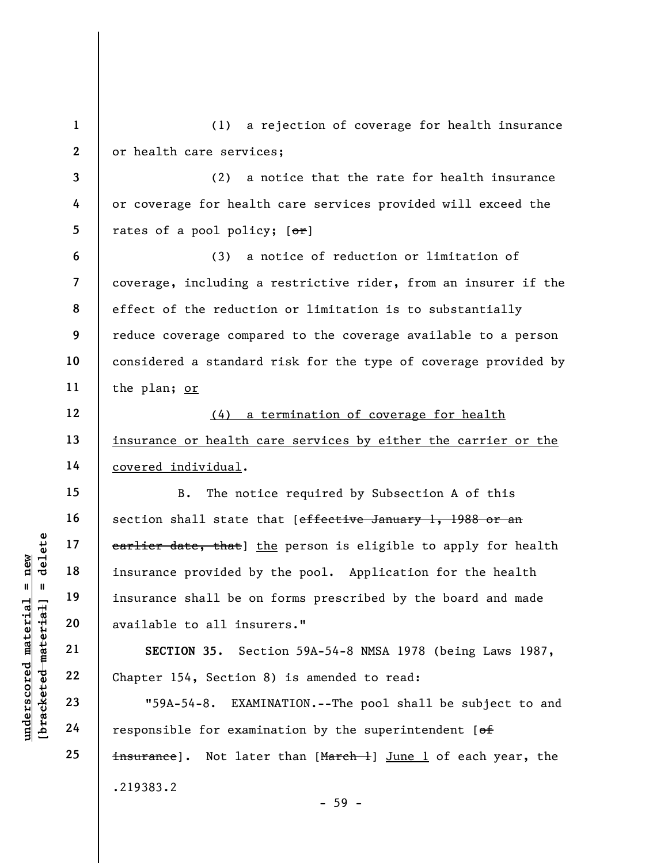underscored material = new [bracketed material] = delete 1 2 3 4 5 6 7 8 9 10 11 12 13 14 15 16 17 18 19 20 21 22 23 24 25 (1) a rejection of coverage for health insurance or health care services; (2) a notice that the rate for health insurance or coverage for health care services provided will exceed the rates of a pool policy;  $[ $\theta$  r]$ (3) a notice of reduction or limitation of coverage, including a restrictive rider, from an insurer if the effect of the reduction or limitation is to substantially reduce coverage compared to the coverage available to a person considered a standard risk for the type of coverage provided by the plan; or (4) a termination of coverage for health insurance or health care services by either the carrier or the covered individual. B. The notice required by Subsection A of this section shall state that [effective January 1, 1988 or an earlier date, that] the person is eligible to apply for health insurance provided by the pool. Application for the health insurance shall be on forms prescribed by the board and made available to all insurers." SECTION 35. Section 59A-54-8 NMSA 1978 (being Laws 1987, Chapter 154, Section 8) is amended to read: "59A-54-8. EXAMINATION.--The pool shall be subject to and responsible for examination by the superintendent  $[ $\theta$  f]$ insurance]. Not later than [March 1] June 1 of each year, the .219383.2 - 59 -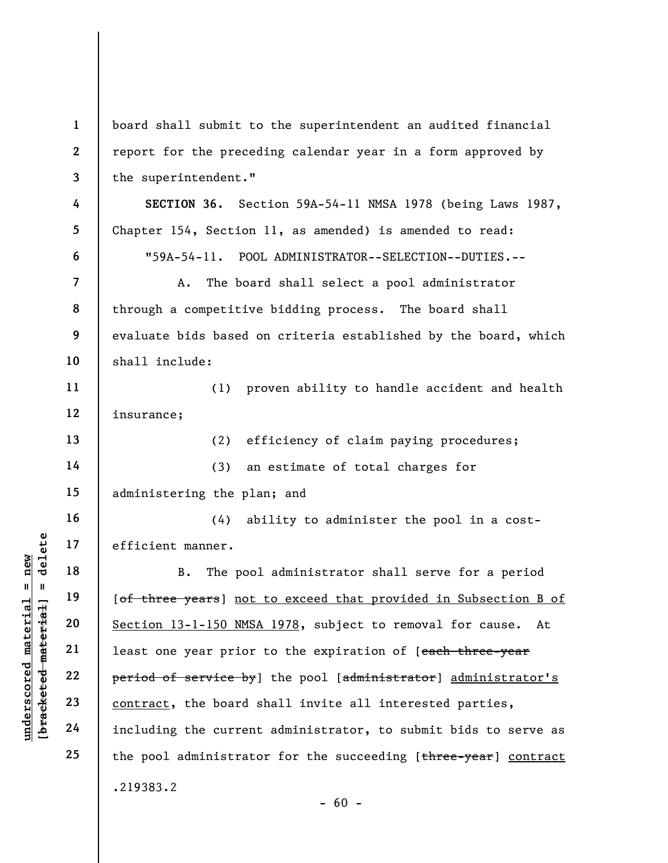|                                 | $\mathbf{1}$             | board shall submit to the superintendent an audited financial          |
|---------------------------------|--------------------------|------------------------------------------------------------------------|
|                                 | $\mathbf{2}$             | report for the preceding calendar year in a form approved by           |
|                                 | 3                        | the superintendent."                                                   |
|                                 | 4                        |                                                                        |
|                                 |                          | SECTION 36. Section 59A-54-11 NMSA 1978 (being Laws 1987,              |
|                                 | 5                        | Chapter 154, Section 11, as amended) is amended to read:               |
|                                 | 6                        | "59A-54-11. POOL ADMINISTRATOR--SELECTION--DUTIES.--                   |
|                                 | $\overline{\mathcal{L}}$ | The board shall select a pool administrator<br>Α.                      |
|                                 | 8                        | through a competitive bidding process. The board shall                 |
|                                 | 9                        | evaluate bids based on criteria established by the board, which        |
|                                 | 10                       | shall include:                                                         |
|                                 | 11                       | proven ability to handle accident and health<br>(1)                    |
|                                 | 12                       | insurance;                                                             |
|                                 | 13                       | (2)<br>efficiency of claim paying procedures;                          |
|                                 | 14                       | an estimate of total charges for<br>(3)                                |
|                                 | 15                       | administering the plan; and                                            |
|                                 | 16                       | ability to administer the pool in a cost-<br>(4)                       |
| delete                          | 17                       | efficient manner.                                                      |
| $n$ ew                          | 18                       | B.<br>The pool administrator shall serve for a period                  |
| $\mathbf{u}$<br>- 11            | 19                       | [of three years] not to exceed that provided in Subsection B of        |
|                                 | 20                       | Section 13-1-150 NMSA 1978, subject to removal for cause.<br>At        |
| material<br>[bracketed material | 21                       | least one year prior to the expiration of [ <del>each three-year</del> |
|                                 | 22                       | period of service by] the pool [administrator] administrator's         |
| underscored                     | 23                       |                                                                        |
|                                 |                          | contract, the board shall invite all interested parties,               |
|                                 | 24                       | including the current administrator, to submit bids to serve as        |
|                                 | 25                       | the pool administrator for the succeeding [three-year] contract        |
|                                 |                          | .219383.2                                                              |
|                                 |                          | $-60 -$                                                                |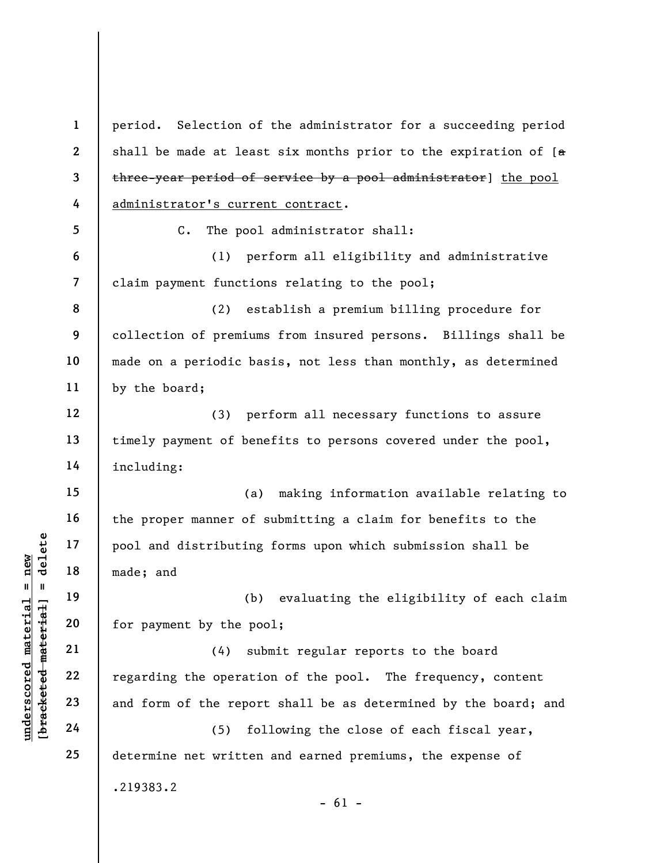understand<br>
understand<br>  $\begin{bmatrix}\n1 & 1 & 1 & 1 \\
0 & 1 & 0 & 0 \\
0 & 0 & 0 & 0 \\
0 & 0 & 0 & 0 \\
0 & 0 & 0 & 0 \\
0 & 0 & 0 & 0 \\
0 & 0 & 0 & 0 \\
0 & 0 & 0 & 0 \\
0 & 0 & 0 & 0\n\end{bmatrix}$  (4) su<br>
except 22<br>
23<br>
24<br>
24<br>
25 0<br>
24<br>
25 0<br>
29<br>
29<br>
29<br>
29<br>
29 1 2 3 4 5 6 7 8 9 10 11 12 13 14 15 16 17 18 19 20 21 22 23 24 25 period. Selection of the administrator for a succeeding period shall be made at least six months prior to the expiration of  $[a]$ three-year period of service by a pool administrator] the pool administrator's current contract. C. The pool administrator shall: (1) perform all eligibility and administrative claim payment functions relating to the pool; (2) establish a premium billing procedure for collection of premiums from insured persons. Billings shall be made on a periodic basis, not less than monthly, as determined by the board; (3) perform all necessary functions to assure timely payment of benefits to persons covered under the pool, including: (a) making information available relating to the proper manner of submitting a claim for benefits to the pool and distributing forms upon which submission shall be made; and (b) evaluating the eligibility of each claim for payment by the pool; (4) submit regular reports to the board regarding the operation of the pool. The frequency, content and form of the report shall be as determined by the board; and (5) following the close of each fiscal year, determine net written and earned premiums, the expense of .219383.2  $- 61 -$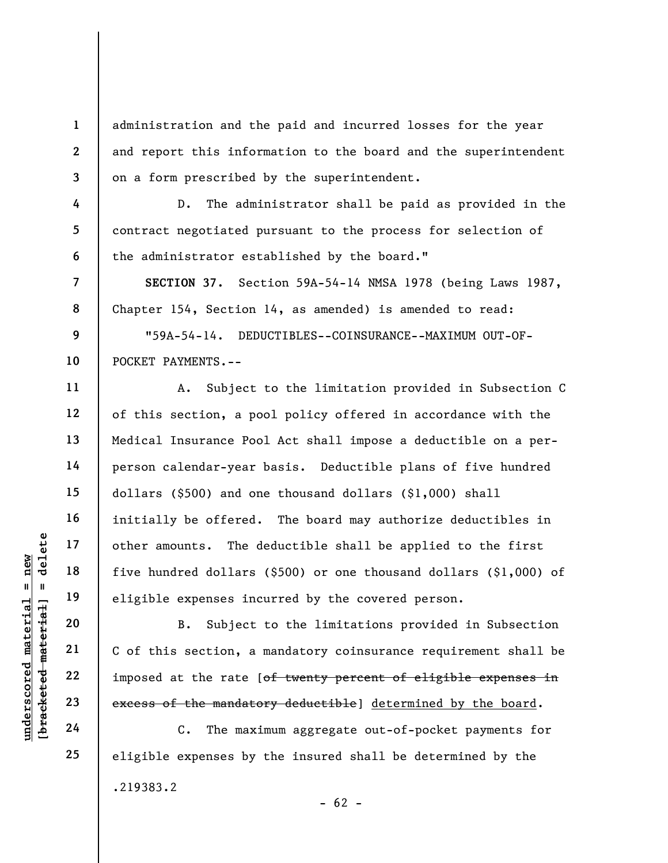administration and the paid and incurred losses for the year and report this information to the board and the superintendent on a form prescribed by the superintendent.

D. The administrator shall be paid as provided in the contract negotiated pursuant to the process for selection of the administrator established by the board."

SECTION 37. Section 59A-54-14 NMSA 1978 (being Laws 1987, Chapter 154, Section 14, as amended) is amended to read:

9 10 "59A-54-14. DEDUCTIBLES--COINSURANCE--MAXIMUM OUT-OF-POCKET PAYMENTS.--

A. Subject to the limitation provided in Subsection C of this section, a pool policy offered in accordance with the Medical Insurance Pool Act shall impose a deductible on a perperson calendar-year basis. Deductible plans of five hundred dollars (\$500) and one thousand dollars (\$1,000) shall initially be offered. The board may authorize deductibles in other amounts. The deductible shall be applied to the first five hundred dollars (\$500) or one thousand dollars (\$1,000) of eligible expenses incurred by the covered person.

underscored material = new [bracketed material] = delete B. Subject to the limitations provided in Subsection C of this section, a mandatory coinsurance requirement shall be imposed at the rate [of twenty percent of eligible expenses in excess of the mandatory deductible] determined by the board.

C. The maximum aggregate out-of-pocket payments for eligible expenses by the insured shall be determined by the .219383.2  $- 62 -$ 

1

2

3

4

5

6

7

8

11

12

13

14

15

16

17

18

19

20

21

22

23

24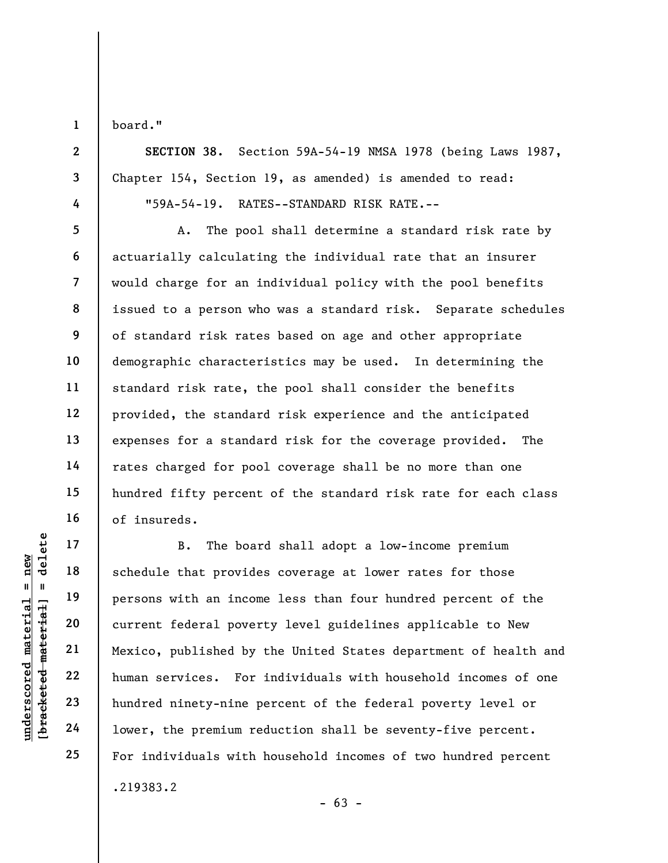1

2

3

4

5

6

7

8

9

10

11

12

13

14

15

16

17

18

19

20

21

22

23

24

25

board."

SECTION 38. Section 59A-54-19 NMSA 1978 (being Laws 1987, Chapter 154, Section 19, as amended) is amended to read: "59A-54-19. RATES--STANDARD RISK RATE.--

A. The pool shall determine a standard risk rate by actuarially calculating the individual rate that an insurer would charge for an individual policy with the pool benefits issued to a person who was a standard risk. Separate schedules of standard risk rates based on age and other appropriate demographic characteristics may be used. In determining the standard risk rate, the pool shall consider the benefits provided, the standard risk experience and the anticipated expenses for a standard risk for the coverage provided. The rates charged for pool coverage shall be no more than one hundred fifty percent of the standard risk rate for each class of insureds.

underscored material = new [bracketed material] = delete B. The board shall adopt a low-income premium schedule that provides coverage at lower rates for those persons with an income less than four hundred percent of the current federal poverty level guidelines applicable to New Mexico, published by the United States department of health and human services. For individuals with household incomes of one hundred ninety-nine percent of the federal poverty level or lower, the premium reduction shall be seventy-five percent. For individuals with household incomes of two hundred percent .219383.2

 $- 63 -$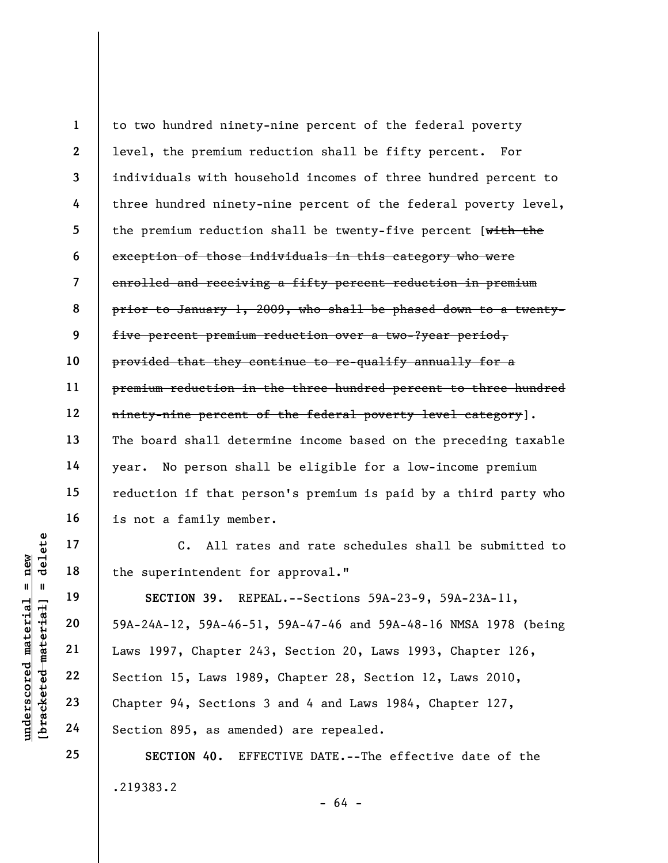1 2 3 4 5 6 7 8 9 10 11 12 13 14 15 16 to two hundred ninety-nine percent of the federal poverty level, the premium reduction shall be fifty percent. For individuals with household incomes of three hundred percent to three hundred ninety-nine percent of the federal poverty level, the premium reduction shall be twenty-five percent [ $w$ ith the exception of those individuals in this category who were enrolled and receiving a fifty percent reduction in premium prior to January 1, 2009, who shall be phased down to a twentyfive percent premium reduction over a two-?year period, provided that they continue to re-qualify annually for a premium reduction in the three hundred percent to three hundred ninety-nine percent of the federal poverty level category]. The board shall determine income based on the preceding taxable year. No person shall be eligible for a low-income premium reduction if that person's premium is paid by a third party who is not a family member.

C. All rates and rate schedules shall be submitted to the superintendent for approval."

underscored material = new [bracketed material] = delete SECTION 39. REPEAL.--Sections 59A-23-9, 59A-23A-11, 59A-24A-12, 59A-46-51, 59A-47-46 and 59A-48-16 NMSA 1978 (being Laws 1997, Chapter 243, Section 20, Laws 1993, Chapter 126, Section 15, Laws 1989, Chapter 28, Section 12, Laws 2010, Chapter 94, Sections 3 and 4 and Laws 1984, Chapter 127, Section 895, as amended) are repealed.

> SECTION 40. EFFECTIVE DATE.--The effective date of the .219383.2 - 64 -

17

18

19

20

21

22

23

24